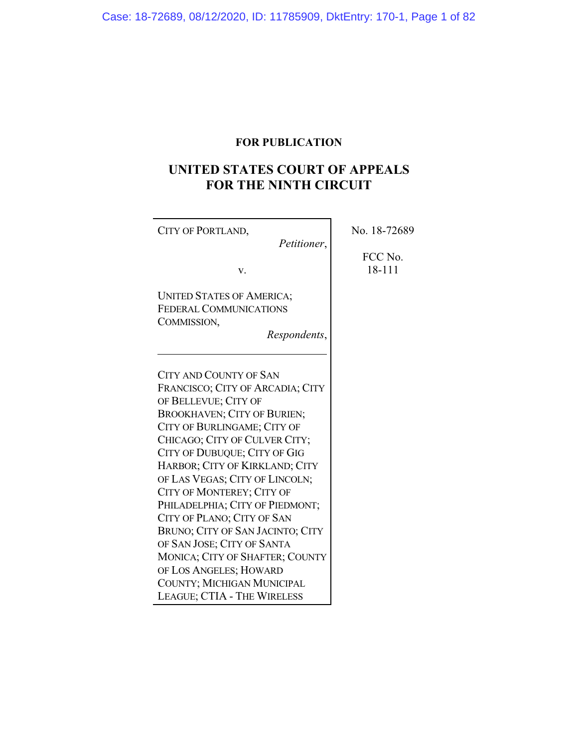# **FOR PUBLICATION**

# **UNITED STATES COURT OF APPEALS FOR THE NINTH CIRCUIT**

| CITY OF PORTLAND,<br>Petitioner,                                                                                                                                                                                                                                                                                                                                                                                                                                                                       | No. 18-72689      |
|--------------------------------------------------------------------------------------------------------------------------------------------------------------------------------------------------------------------------------------------------------------------------------------------------------------------------------------------------------------------------------------------------------------------------------------------------------------------------------------------------------|-------------------|
| V.                                                                                                                                                                                                                                                                                                                                                                                                                                                                                                     | FCC No.<br>18-111 |
| <b>UNITED STATES OF AMERICA;</b><br><b>FEDERAL COMMUNICATIONS</b><br>COMMISSION,<br>Respondents,                                                                                                                                                                                                                                                                                                                                                                                                       |                   |
| <b>CITY AND COUNTY OF SAN</b><br>FRANCISCO; CITY OF ARCADIA; CITY<br>OF BELLEVUE; CITY OF<br><b>BROOKHAVEN; CITY OF BURIEN;</b><br>CITY OF BURLINGAME; CITY OF<br>CHICAGO; CITY OF CULVER CITY;<br>CITY OF DUBUQUE; CITY OF GIG<br>HARBOR; CITY OF KIRKLAND; CITY<br>OF LAS VEGAS; CITY OF LINCOLN;<br>CITY OF MONTEREY; CITY OF<br>PHILADELPHIA; CITY OF PIEDMONT;<br>CITY OF PLANO; CITY OF SAN<br>BRUNO; CITY OF SAN JACINTO; CITY<br>OF SAN JOSE; CITY OF SANTA<br>MONICA; CITY OF SHAFTER; COUNTY |                   |
| OF LOS ANGELES; HOWARD<br>COUNTY; MICHIGAN MUNICIPAL<br>LEAGUE; CTIA - THE WIRELESS                                                                                                                                                                                                                                                                                                                                                                                                                    |                   |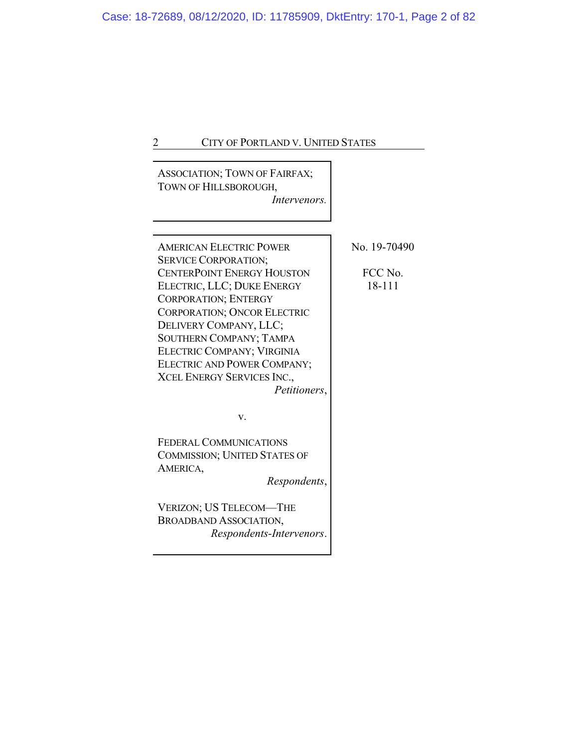| <b>ASSOCIATION; TOWN OF FAIRFAX;</b><br>TOWN OF HILLSBOROUGH,<br>Intervenors.                                                                                                                                                                                                                                                         |                                   |
|---------------------------------------------------------------------------------------------------------------------------------------------------------------------------------------------------------------------------------------------------------------------------------------------------------------------------------------|-----------------------------------|
| <b>AMERICAN ELECTRIC POWER</b><br><b>SERVICE CORPORATION;</b><br><b>CENTERPOINT ENERGY HOUSTON</b><br>ELECTRIC, LLC; DUKE ENERGY<br><b>CORPORATION; ENTERGY</b><br><b>CORPORATION; ONCOR ELECTRIC</b><br>DELIVERY COMPANY, LLC;<br><b>SOUTHERN COMPANY; TAMPA</b><br><b>ELECTRIC COMPANY; VIRGINIA</b><br>ELECTRIC AND POWER COMPANY; | No. 19-70490<br>FCC No.<br>18-111 |
| <b>XCEL ENERGY SERVICES INC.,</b><br>Petitioners,<br>V.                                                                                                                                                                                                                                                                               |                                   |
| <b>FEDERAL COMMUNICATIONS</b><br><b>COMMISSION; UNITED STATES OF</b><br>AMERICA,<br>Respondents,                                                                                                                                                                                                                                      |                                   |
| VERIZON; US TELECOM—THE<br><b>BROADBAND ASSOCIATION,</b><br>Respondents-Intervenors.                                                                                                                                                                                                                                                  |                                   |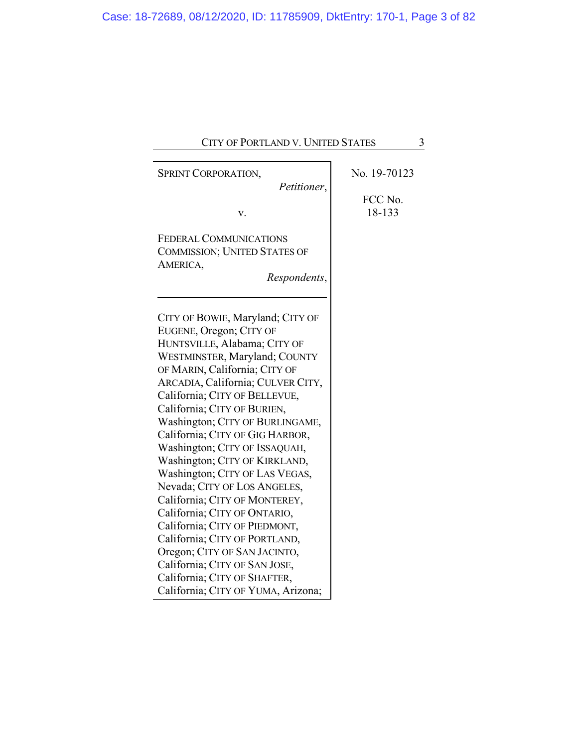| CITY OF PORTLAND V. UNITED STATES                                                                                                                                                                                                                                                                                                                                                                                                                                                                             | 3            |
|---------------------------------------------------------------------------------------------------------------------------------------------------------------------------------------------------------------------------------------------------------------------------------------------------------------------------------------------------------------------------------------------------------------------------------------------------------------------------------------------------------------|--------------|
| SPRINT CORPORATION,<br>Petitioner,                                                                                                                                                                                                                                                                                                                                                                                                                                                                            | No. 19-70123 |
|                                                                                                                                                                                                                                                                                                                                                                                                                                                                                                               | FCC No.      |
| v.                                                                                                                                                                                                                                                                                                                                                                                                                                                                                                            | 18-133       |
| FEDERAL COMMUNICATIONS<br><b>COMMISSION; UNITED STATES OF</b><br>AMERICA,<br>Respondents,                                                                                                                                                                                                                                                                                                                                                                                                                     |              |
| CITY OF BOWIE, Maryland; CITY OF<br>EUGENE, Oregon; CITY OF<br>HUNTSVILLE, Alabama; CITY OF<br>WESTMINSTER, Maryland; COUNTY<br>OF MARIN, California; CITY OF<br>ARCADIA, California; CULVER CITY,<br>California; CITY OF BELLEVUE,<br>California; CITY OF BURIEN,<br>Washington; CITY OF BURLINGAME,<br>California; CITY OF GIG HARBOR,<br>Washington; CITY OF ISSAQUAH,<br>Washington; CITY OF KIRKLAND,<br>Washington; CITY OF LAS VEGAS,<br>Nevada; CITY OF LOS ANGELES,<br>California; CITY OF MONTEREY, |              |
| California; CITY OF ONTARIO,<br>California; CITY OF PIEDMONT,<br>California; CITY OF PORTLAND,                                                                                                                                                                                                                                                                                                                                                                                                                |              |
| Oregon; CITY OF SAN JACINTO,<br>California; CITY OF SAN JOSE,<br>California; CITY OF SHAFTER,<br>California; CITY OF YUMA, Arizona;                                                                                                                                                                                                                                                                                                                                                                           |              |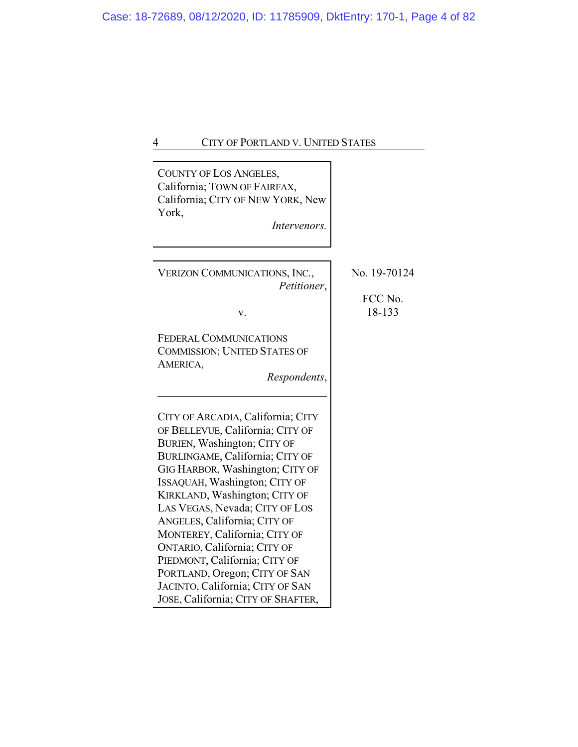| COUNTY OF LOS ANGELES,<br>California; TOWN OF FAIRFAX,<br>California; CITY OF NEW YORK, New<br>York,<br><i>Intervenors.</i>                                                                                                                                                                                                                                                                                                                                                                                                 |                                   |
|-----------------------------------------------------------------------------------------------------------------------------------------------------------------------------------------------------------------------------------------------------------------------------------------------------------------------------------------------------------------------------------------------------------------------------------------------------------------------------------------------------------------------------|-----------------------------------|
| VERIZON COMMUNICATIONS, INC.,<br>Petitioner,<br>v.                                                                                                                                                                                                                                                                                                                                                                                                                                                                          | No. 19-70124<br>FCC No.<br>18-133 |
| <b>FEDERAL COMMUNICATIONS</b><br><b>COMMISSION; UNITED STATES OF</b><br>AMERICA,<br>Respondents,                                                                                                                                                                                                                                                                                                                                                                                                                            |                                   |
| CITY OF ARCADIA, California; CITY<br>OF BELLEVUE, California; CITY OF<br>BURIEN, Washington; CITY OF<br>BURLINGAME, California; CITY OF<br>GIG HARBOR, Washington; CITY OF<br>ISSAQUAH, Washington; CITY OF<br>KIRKLAND, Washington; CITY OF<br>LAS VEGAS, Nevada; CITY OF LOS<br>ANGELES, California; CITY OF<br>MONTEREY, California; CITY OF<br>ONTARIO, California; CITY OF<br>PIEDMONT, California; CITY OF<br>PORTLAND, Oregon; CITY OF SAN<br>JACINTO, California; CITY OF SAN<br>JOSE, California; CITY OF SHAFTER, |                                   |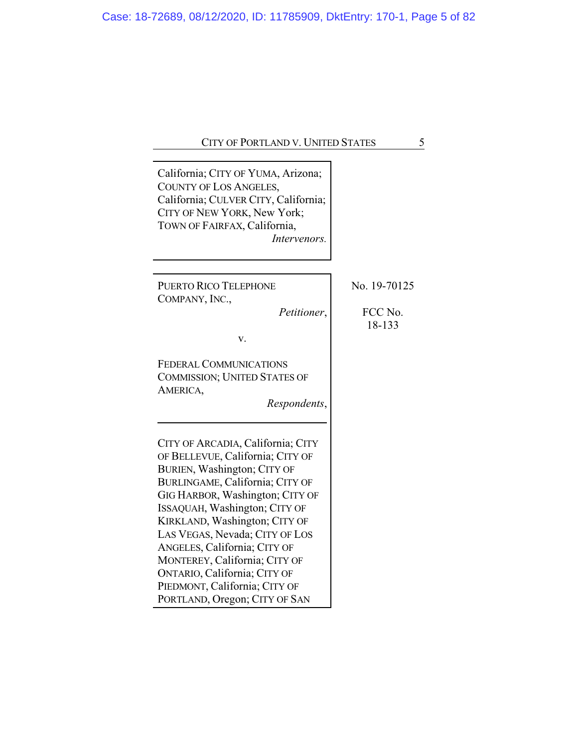|--|

| California; CITY OF YUMA, Arizona;<br>COUNTY OF LOS ANGELES,<br>California; CULVER CITY, California;<br>CITY OF NEW YORK, New York;<br>TOWN OF FAIRFAX, California,<br>Intervenors.                                                                                                                                                                                                                                                               |                                   |
|---------------------------------------------------------------------------------------------------------------------------------------------------------------------------------------------------------------------------------------------------------------------------------------------------------------------------------------------------------------------------------------------------------------------------------------------------|-----------------------------------|
| <b>PUERTO RICO TELEPHONE</b><br>COMPANY, INC.,<br>Petitioner,<br>V.                                                                                                                                                                                                                                                                                                                                                                               | No. 19-70125<br>FCC No.<br>18-133 |
| <b>FEDERAL COMMUNICATIONS</b><br><b>COMMISSION; UNITED STATES OF</b><br>AMERICA,<br>Respondents,                                                                                                                                                                                                                                                                                                                                                  |                                   |
| CITY OF ARCADIA, California; CITY<br>OF BELLEVUE, California; CITY OF<br>BURIEN, Washington; CITY OF<br>BURLINGAME, California; CITY OF<br>GIG HARBOR, Washington; CITY OF<br>ISSAQUAH, Washington; CITY OF<br>KIRKLAND, Washington; CITY OF<br>LAS VEGAS, Nevada; CITY OF LOS<br>ANGELES, California; CITY OF<br>MONTEREY, California; CITY OF<br>ONTARIO, California; CITY OF<br>PIEDMONT, California; CITY OF<br>PORTLAND, Oregon; CITY OF SAN |                                   |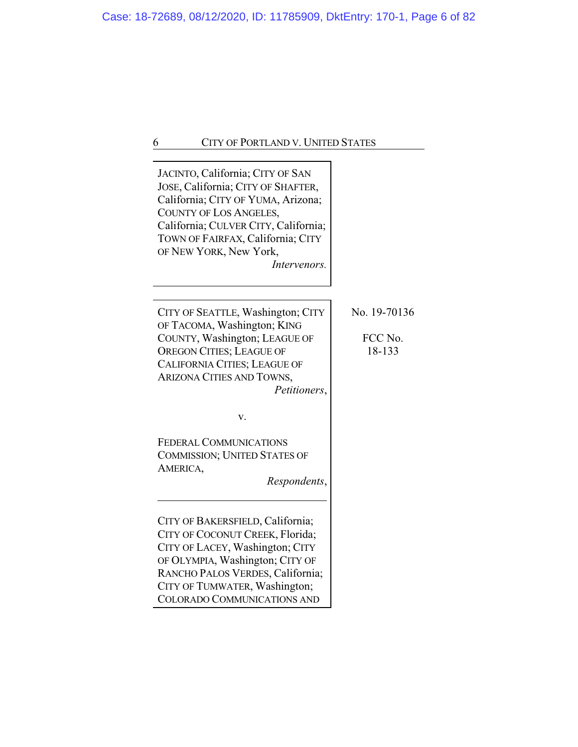| JACINTO, California; CITY OF SAN<br>JOSE, California; CITY OF SHAFTER,<br>California; CITY OF YUMA, Arizona;<br>COUNTY OF LOS ANGELES,<br>California; CULVER CITY, California;<br>TOWN OF FAIRFAX, California; CITY<br>OF NEW YORK, New York,<br>Intervenors.                                                                                                  |                                   |
|----------------------------------------------------------------------------------------------------------------------------------------------------------------------------------------------------------------------------------------------------------------------------------------------------------------------------------------------------------------|-----------------------------------|
| CITY OF SEATTLE, Washington; CITY<br>OF TACOMA, Washington; KING<br>COUNTY, Washington; LEAGUE OF<br><b>OREGON CITIES; LEAGUE OF</b><br><b>CALIFORNIA CITIES; LEAGUE OF</b><br>ARIZONA CITIES AND TOWNS,<br>Petitioners,                                                                                                                                       | No. 19-70136<br>FCC No.<br>18-133 |
| v.<br><b>FEDERAL COMMUNICATIONS</b><br><b>COMMISSION; UNITED STATES OF</b><br>AMERICA,<br>Respondents,<br>CITY OF BAKERSFIELD, California;<br>CITY OF COCONUT CREEK, Florida;<br>CITY OF LACEY, Washington; CITY<br>OF OLYMPIA, Washington; CITY OF<br>RANCHO PALOS VERDES, California;<br>CITY OF TUMWATER, Washington;<br><b>COLORADO COMMUNICATIONS AND</b> |                                   |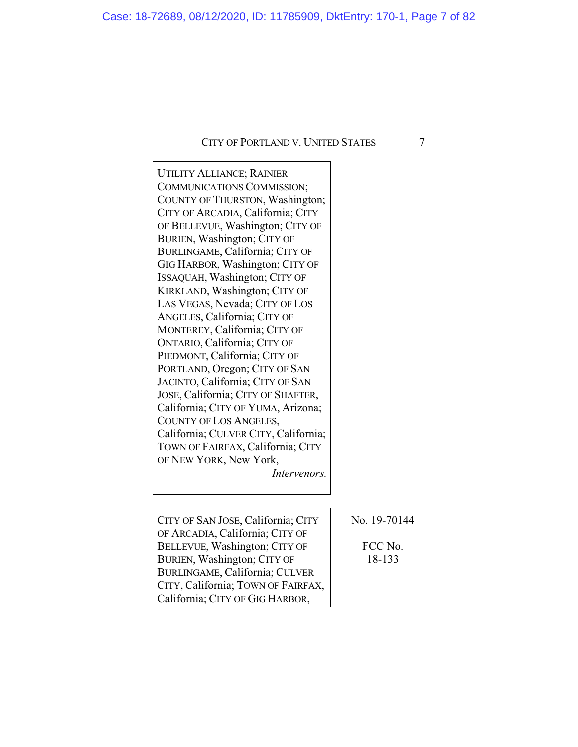| <b>UTILITY ALLIANCE; RAINIER</b><br>COMMUNICATIONS COMMISSION;<br>COUNTY OF THURSTON, Washington;<br>CITY OF ARCADIA, California; CITY<br>OF BELLEVUE, Washington; CITY OF<br>BURIEN, Washington; CITY OF<br>BURLINGAME, California; CITY OF<br>GIG HARBOR, Washington; CITY OF<br>ISSAQUAH, Washington; CITY OF<br>KIRKLAND, Washington; CITY OF<br>LAS VEGAS, Nevada; CITY OF LOS<br>ANGELES, California; CITY OF<br>MONTEREY, California; CITY OF<br>ONTARIO, California; CITY OF<br>PIEDMONT, California; CITY OF<br>PORTLAND, Oregon; CITY OF SAN<br>JACINTO, California; CITY OF SAN<br>JOSE, California; CITY OF SHAFTER,<br>California; CITY OF YUMA, Arizona;<br>COUNTY OF LOS ANGELES,<br>California; CULVER CITY, California;<br>TOWN OF FAIRFAX, California; CITY<br>OF NEW YORK, New York,<br><i>Intervenors.</i> |                                   |
|--------------------------------------------------------------------------------------------------------------------------------------------------------------------------------------------------------------------------------------------------------------------------------------------------------------------------------------------------------------------------------------------------------------------------------------------------------------------------------------------------------------------------------------------------------------------------------------------------------------------------------------------------------------------------------------------------------------------------------------------------------------------------------------------------------------------------------|-----------------------------------|
| CITY OF SAN JOSE, California; CITY<br>OF ARCADIA, California; CITY OF<br>BELLEVUE, Washington; CITY OF<br>BURIEN, Washington; CITY OF<br>BURLINGAME, California; CULVER<br>CITY, California; TOWN OF FAIRFAX,<br>California; CITY OF GIG HARBOR,                                                                                                                                                                                                                                                                                                                                                                                                                                                                                                                                                                               | No. 19-70144<br>FCC No.<br>18-133 |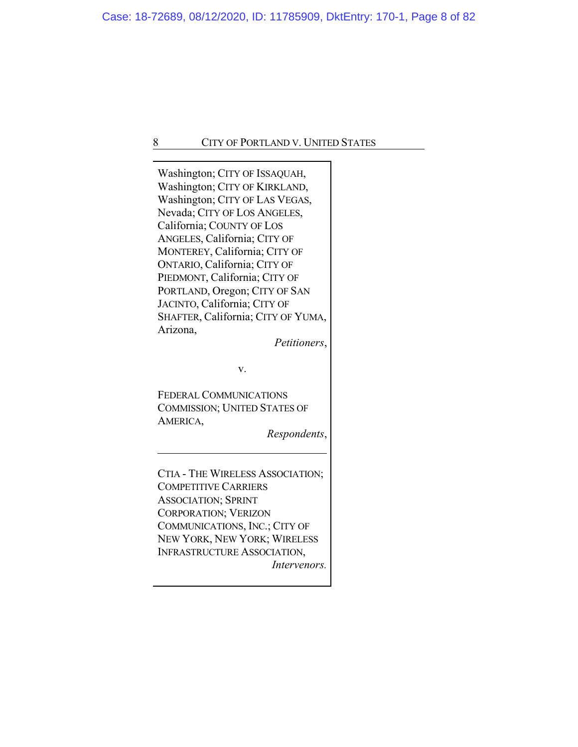| Washington; CITY OF ISSAQUAH,<br>Washington; CITY OF KIRKLAND,<br>Washington; CITY OF LAS VEGAS,<br>Nevada; CITY OF LOS ANGELES,<br>California; COUNTY OF LOS<br>ANGELES, California; CITY OF<br>MONTEREY, California; CITY OF<br>ONTARIO, California; CITY OF<br>PIEDMONT, California; CITY OF<br>PORTLAND, Oregon; CITY OF SAN<br>JACINTO, California; CITY OF<br>SHAFTER, California; CITY OF YUMA,<br>Arizona,<br>Petitioners, |  |
|------------------------------------------------------------------------------------------------------------------------------------------------------------------------------------------------------------------------------------------------------------------------------------------------------------------------------------------------------------------------------------------------------------------------------------|--|
|                                                                                                                                                                                                                                                                                                                                                                                                                                    |  |
| v.                                                                                                                                                                                                                                                                                                                                                                                                                                 |  |
| <b>FEDERAL COMMUNICATIONS</b><br><b>COMMISSION; UNITED STATES OF</b><br>AMERICA,<br>Respondents,                                                                                                                                                                                                                                                                                                                                   |  |
|                                                                                                                                                                                                                                                                                                                                                                                                                                    |  |
| CTIA - THE WIRELESS ASSOCIATION;<br><b>COMPETITIVE CARRIERS</b><br><b>ASSOCIATION; SPRINT</b><br><b>CORPORATION; VERIZON</b><br>COMMUNICATIONS, INC.; CITY OF                                                                                                                                                                                                                                                                      |  |
| NEW YORK, NEW YORK; WIRELESS                                                                                                                                                                                                                                                                                                                                                                                                       |  |
| <b>INFRASTRUCTURE ASSOCIATION,</b>                                                                                                                                                                                                                                                                                                                                                                                                 |  |
| <i>Intervenors.</i>                                                                                                                                                                                                                                                                                                                                                                                                                |  |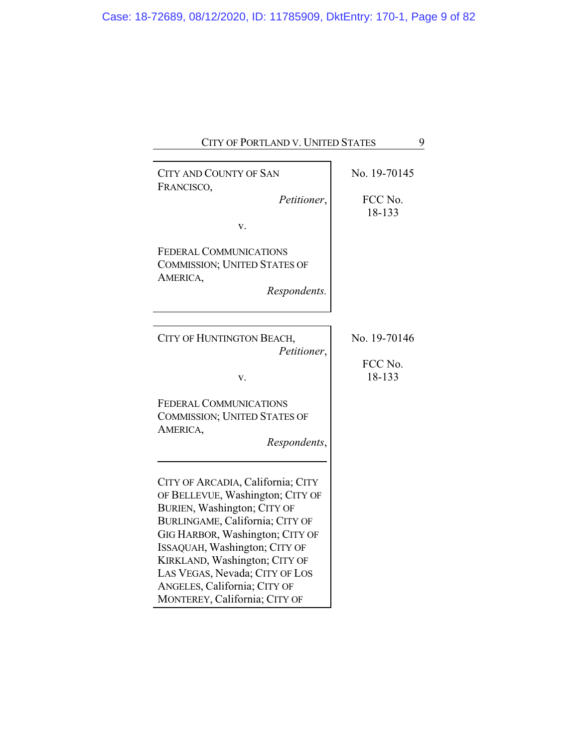| CITY OF PORTLAND V. UNITED STATES                                                                                                                                                                                                                                                                                                               | 9                                 |
|-------------------------------------------------------------------------------------------------------------------------------------------------------------------------------------------------------------------------------------------------------------------------------------------------------------------------------------------------|-----------------------------------|
| <b>CITY AND COUNTY OF SAN</b><br>FRANCISCO,<br>Petitioner,<br>v.<br><b>FEDERAL COMMUNICATIONS</b>                                                                                                                                                                                                                                               | No. 19-70145<br>FCC No.<br>18-133 |
| <b>COMMISSION; UNITED STATES OF</b><br>AMERICA,<br>Respondents.                                                                                                                                                                                                                                                                                 |                                   |
| CITY OF HUNTINGTON BEACH,<br>Petitioner,<br>v.                                                                                                                                                                                                                                                                                                  | No. 19-70146<br>FCC No.<br>18-133 |
| <b>FEDERAL COMMUNICATIONS</b><br><b>COMMISSION; UNITED STATES OF</b><br>AMERICA,<br>Respondents,                                                                                                                                                                                                                                                |                                   |
| CITY OF ARCADIA, California; CITY<br>OF BELLEVUE, Washington; CITY OF<br>BURIEN, Washington; CITY OF<br>BURLINGAME, California; CITY OF<br>GIG HARBOR, Washington; CITY OF<br>ISSAQUAH, Washington; CITY OF<br>KIRKLAND, Washington; CITY OF<br>LAS VEGAS, Nevada; CITY OF LOS<br>ANGELES, California; CITY OF<br>MONTEREY, California; CITY OF |                                   |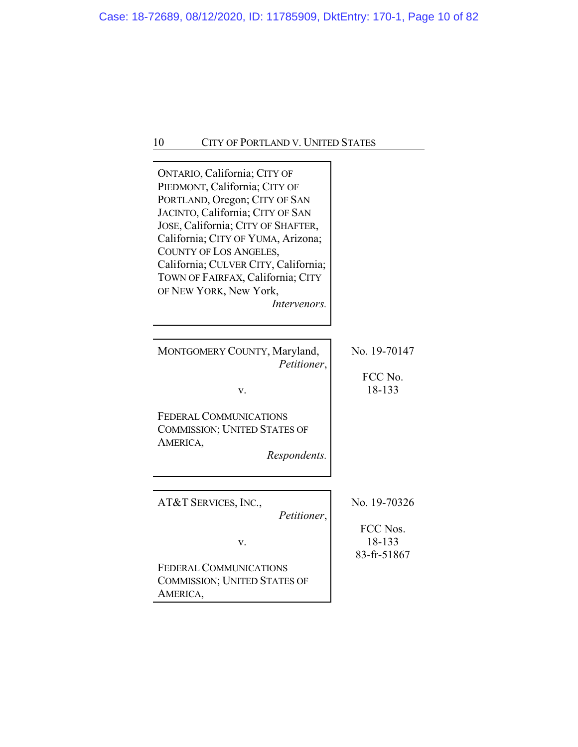| ONTARIO, California; CITY OF<br>PIEDMONT, California; CITY OF<br>PORTLAND, Oregon; CITY OF SAN<br>JACINTO, California; CITY OF SAN<br>JOSE, California; CITY OF SHAFTER,<br>California; CITY OF YUMA, Arizona;<br>COUNTY OF LOS ANGELES,<br>California; CULVER CITY, California;<br>TOWN OF FAIRFAX, California; CITY<br>OF NEW YORK, New York,<br>Intervenors. |                                   |
|-----------------------------------------------------------------------------------------------------------------------------------------------------------------------------------------------------------------------------------------------------------------------------------------------------------------------------------------------------------------|-----------------------------------|
| MONTGOMERY COUNTY, Maryland,<br>Petitioner,<br>v.<br><b>FEDERAL COMMUNICATIONS</b><br><b>COMMISSION; UNITED STATES OF</b><br>AMERICA,<br>Respondents.                                                                                                                                                                                                           | No. 19-70147<br>FCC No.<br>18-133 |
| AT&T SERVICES, INC.,<br>Petitioner,                                                                                                                                                                                                                                                                                                                             | No. 19-70326<br>FCC Nos.          |
| v.<br><b>FEDERAL COMMUNICATIONS</b><br><b>COMMISSION; UNITED STATES OF</b><br>AMERICA,                                                                                                                                                                                                                                                                          | 18-133<br>83-fr-51867             |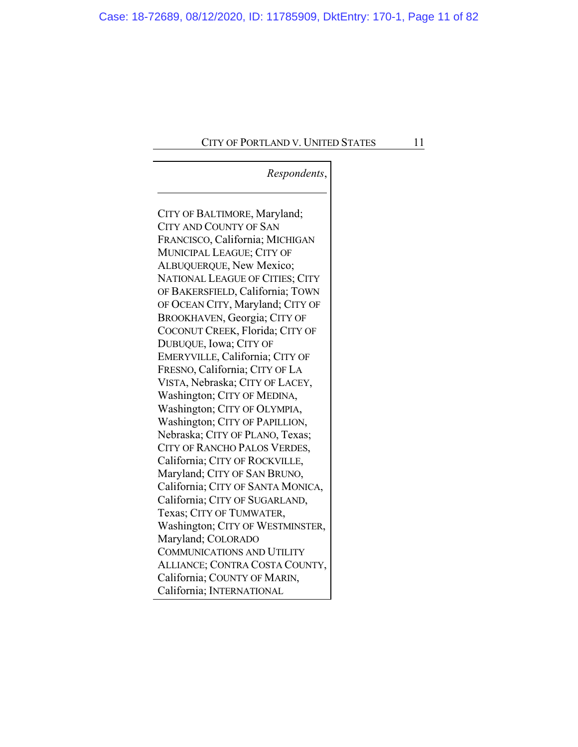# *Respondents*,

CITY OF BALTIMORE, Maryland; CITY AND COUNTY OF SAN FRANCISCO, California; MICHIGAN MUNICIPAL LEAGUE; CITY OF ALBUQUERQUE, New Mexico; NATIONAL LEAGUE OF CITIES; CITY OF BAKERSFIELD, California; TOWN OF OCEAN CITY, Maryland; CITY OF BROOKHAVEN, Georgia; CITY OF COCONUT CREEK, Florida; CITY OF DUBUQUE, Iowa; CITY OF EMERYVILLE, California; CITY OF FRESNO, California; CITY OF LA VISTA, Nebraska; CITY OF LACEY, Washington; CITY OF MEDINA, Washington; CITY OF OLYMPIA, Washington; CITY OF PAPILLION, Nebraska; CITY OF PLANO, Texas; CITY OF RANCHO PALOS VERDES, California; CITY OF ROCKVILLE, Maryland; CITY OF SAN BRUNO, California; CITY OF SANTA MONICA, California; CITY OF SUGARLAND, Texas; CITY OF TUMWATER, Washington; CITY OF WESTMINSTER, Maryland; COLORADO COMMUNICATIONS AND UTILITY ALLIANCE; CONTRA COSTA COUNTY, California; COUNTY OF MARIN, California; INTERNATIONAL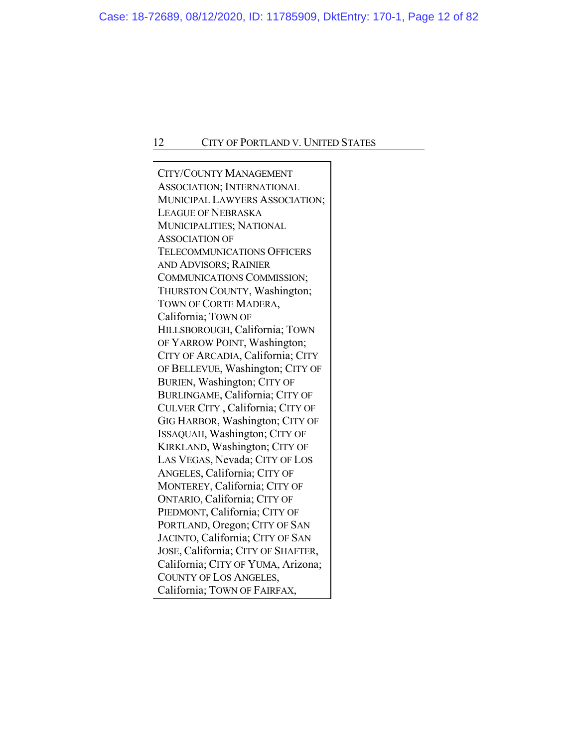CITY/COUNTY MANAGEMENT ASSOCIATION; INTERNATIONAL MUNICIPAL LAWYERS ASSOCIATION; LEAGUE OF NEBRASKA MUNICIPALITIES; NATIONAL ASSOCIATION OF TELECOMMUNICATIONS OFFICERS AND ADVISORS; RAINIER COMMUNICATIONS COMMISSION; THURSTON COUNTY, Washington; TOWN OF CORTE MADERA, California; TOWN OF HILLSBOROUGH, California; TOWN OF YARROW POINT, Washington; CITY OF ARCADIA, California; CITY OF BELLEVUE, Washington; CITY OF BURIEN, Washington; CITY OF BURLINGAME, California; CITY OF CULVER CITY , California; CITY OF GIG HARBOR, Washington; CITY OF ISSAQUAH, Washington; CITY OF KIRKLAND, Washington; CITY OF LAS VEGAS, Nevada; CITY OF LOS ANGELES, California; CITY OF MONTEREY, California; CITY OF ONTARIO, California; CITY OF PIEDMONT, California; CITY OF PORTLAND, Oregon; CITY OF SAN JACINTO, California; CITY OF SAN JOSE, California; CITY OF SHAFTER, California; CITY OF YUMA, Arizona; COUNTY OF LOS ANGELES, California; TOWN OF FAIRFAX,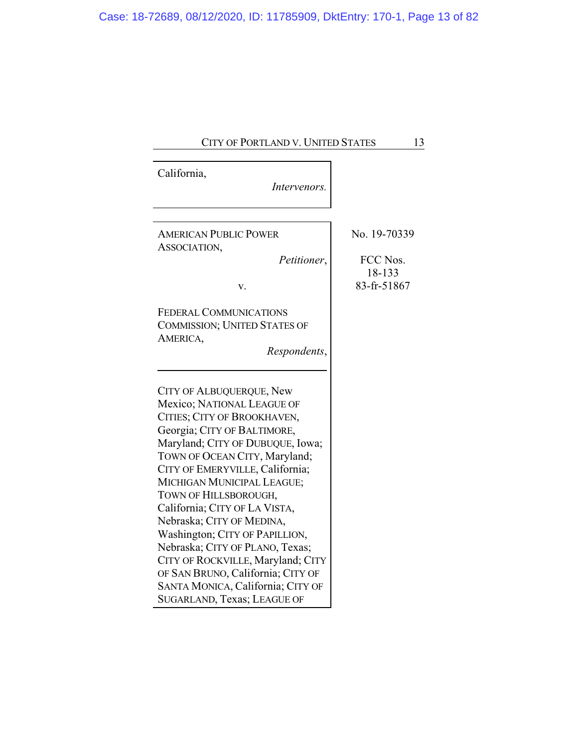| CITY OF PORTLAND V. UNITED STATES                                                                                                                                                                                                                                                                                                                                                                                                                                                                                                                                    | 13                                                |
|----------------------------------------------------------------------------------------------------------------------------------------------------------------------------------------------------------------------------------------------------------------------------------------------------------------------------------------------------------------------------------------------------------------------------------------------------------------------------------------------------------------------------------------------------------------------|---------------------------------------------------|
|                                                                                                                                                                                                                                                                                                                                                                                                                                                                                                                                                                      |                                                   |
| California,<br>Intervenors.                                                                                                                                                                                                                                                                                                                                                                                                                                                                                                                                          |                                                   |
| <b>AMERICAN PUBLIC POWER</b><br>ASSOCIATION,<br>Petitioner,<br>v.                                                                                                                                                                                                                                                                                                                                                                                                                                                                                                    | No. 19-70339<br>FCC Nos.<br>18-133<br>83-fr-51867 |
| <b>FEDERAL COMMUNICATIONS</b><br><b>COMMISSION; UNITED STATES OF</b><br>AMERICA,<br>Respondents,                                                                                                                                                                                                                                                                                                                                                                                                                                                                     |                                                   |
| CITY OF ALBUQUERQUE, New<br>Mexico; NATIONAL LEAGUE OF<br>CITIES; CITY OF BROOKHAVEN,<br>Georgia; CITY OF BALTIMORE,<br>Maryland; CITY OF DUBUQUE, Iowa;<br>TOWN OF OCEAN CITY, Maryland;<br>CITY OF EMERYVILLE, California;<br>MICHIGAN MUNICIPAL LEAGUE;<br>TOWN OF HILLSBOROUGH,<br>California; CITY OF LA VISTA,<br>Nebraska; CITY OF MEDINA,<br>Washington; CITY OF PAPILLION,<br>Nebraska; CITY OF PLANO, Texas;<br>CITY OF ROCKVILLE, Maryland; CITY<br>OF SAN BRUNO, California; CITY OF<br>SANTA MONICA, California; CITY OF<br>SUGARLAND, Texas; LEAGUE OF |                                                   |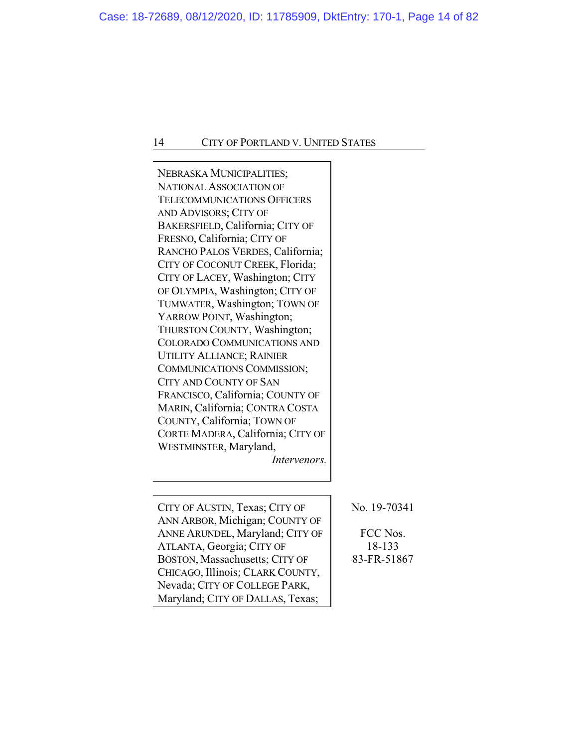L,

| NEBRASKA MUNICIPALITIES;<br><b>NATIONAL ASSOCIATION OF</b><br><b>TELECOMMUNICATIONS OFFICERS</b><br>AND ADVISORS; CITY OF<br>BAKERSFIELD, California; CITY OF<br>FRESNO, California; CITY OF<br>RANCHO PALOS VERDES, California;<br>CITY OF COCONUT CREEK, Florida;<br>CITY OF LACEY, Washington; CITY<br>OF OLYMPIA, Washington; CITY OF<br>TUMWATER, Washington; TOWN OF<br>YARROW POINT, Washington;<br>THURSTON COUNTY, Washington;<br><b>COLORADO COMMUNICATIONS AND</b><br><b>UTILITY ALLIANCE; RAINIER</b><br>COMMUNICATIONS COMMISSION;<br><b>CITY AND COUNTY OF SAN</b><br>FRANCISCO, California; COUNTY OF<br>MARIN, California; CONTRA COSTA<br>COUNTY, California; TOWN OF<br>CORTE MADERA, California; CITY OF<br>WESTMINSTER, Maryland,<br>Intervenors. |                                                   |
|-----------------------------------------------------------------------------------------------------------------------------------------------------------------------------------------------------------------------------------------------------------------------------------------------------------------------------------------------------------------------------------------------------------------------------------------------------------------------------------------------------------------------------------------------------------------------------------------------------------------------------------------------------------------------------------------------------------------------------------------------------------------------|---------------------------------------------------|
| CITY OF AUSTIN, Texas; CITY OF<br>ANN ARBOR, Michigan; COUNTY OF<br>ANNE ARUNDEL, Maryland; CITY OF<br>ATLANTA, Georgia; CITY OF<br>BOSTON, Massachusetts; CITY OF<br>CHICAGO, Illinois; CLARK COUNTY,<br>Nevada; CITY OF COLLEGE PARK,<br>Maryland; CITY OF DALLAS, Texas;                                                                                                                                                                                                                                                                                                                                                                                                                                                                                           | No. 19-70341<br>FCC Nos.<br>18-133<br>83-FR-51867 |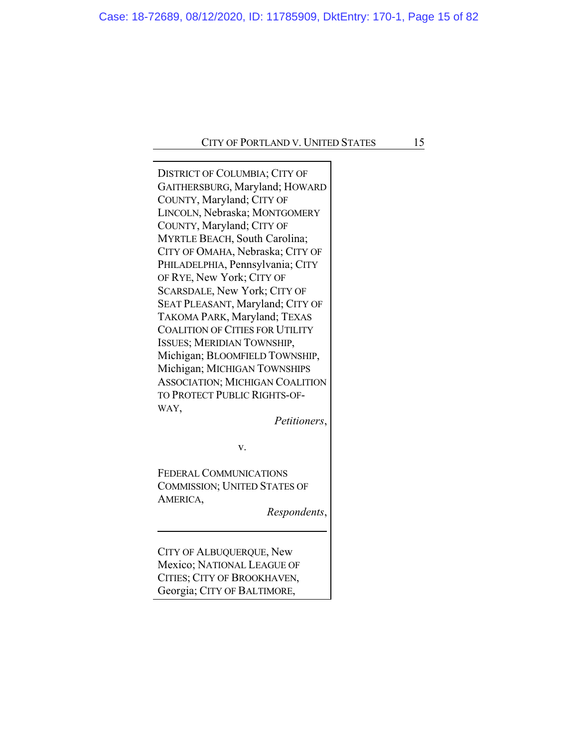DISTRICT OF COLUMBIA; CITY OF GAITHERSBURG, Maryland; HOWARD COUNTY, Maryland; CITY OF LINCOLN, Nebraska; MONTGOMERY COUNTY, Maryland; CITY OF MYRTLE BEACH, South Carolina; CITY OF OMAHA, Nebraska; CITY OF PHILADELPHIA, Pennsylvania; CITY OF RYE, New York; CITY OF SCARSDALE, New York; CITY OF SEAT PLEASANT, Maryland; CITY OF TAKOMA PARK, Maryland; TEXAS COALITION OF CITIES FOR UTILITY ISSUES; MERIDIAN TOWNSHIP, Michigan; BLOOMFIELD TOWNSHIP, Michigan; MICHIGAN TOWNSHIPS ASSOCIATION; MICHIGAN COALITION TO PROTECT PUBLIC RIGHTS-OF-WAY,

*Petitioners*,

v.

FEDERAL COMMUNICATIONS COMMISSION; UNITED STATES OF AMERICA,

*Respondents*,

CITY OF ALBUQUERQUE, New Mexico; NATIONAL LEAGUE OF CITIES; CITY OF BROOKHAVEN, Georgia; CITY OF BALTIMORE,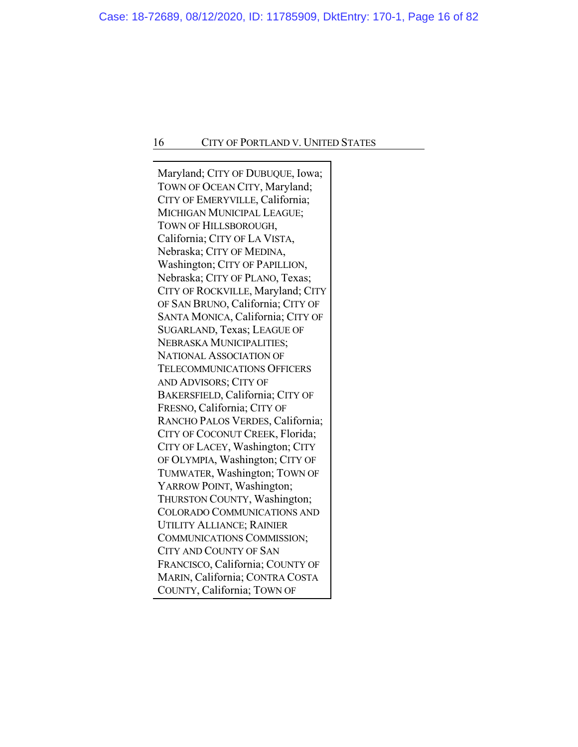Maryland; CITY OF DUBUQUE, Iowa; TOWN OF OCEAN CITY, Maryland; CITY OF EMERYVILLE, California; MICHIGAN MUNICIPAL LEAGUE; TOWN OF HILLSBOROUGH, California; CITY OF LA VISTA, Nebraska; CITY OF MEDINA, Washington; CITY OF PAPILLION, Nebraska; CITY OF PLANO, Texas; CITY OF ROCKVILLE, Maryland; CITY OF SAN BRUNO, California; CITY OF SANTA MONICA, California; CITY OF SUGARLAND, Texas; LEAGUE OF NEBRASKA MUNICIPALITIES; NATIONAL ASSOCIATION OF TELECOMMUNICATIONS OFFICERS AND ADVISORS; CITY OF BAKERSFIELD, California; CITY OF FRESNO, California; CITY OF RANCHO PALOS VERDES, California; CITY OF COCONUT CREEK, Florida; CITY OF LACEY, Washington; CITY OF OLYMPIA, Washington; CITY OF TUMWATER, Washington; TOWN OF YARROW POINT, Washington; THURSTON COUNTY, Washington; COLORADO COMMUNICATIONS AND UTILITY ALLIANCE; RAINIER COMMUNICATIONS COMMISSION; CITY AND COUNTY OF SAN FRANCISCO, California; COUNTY OF MARIN, California; CONTRA COSTA COUNTY, California; TOWN OF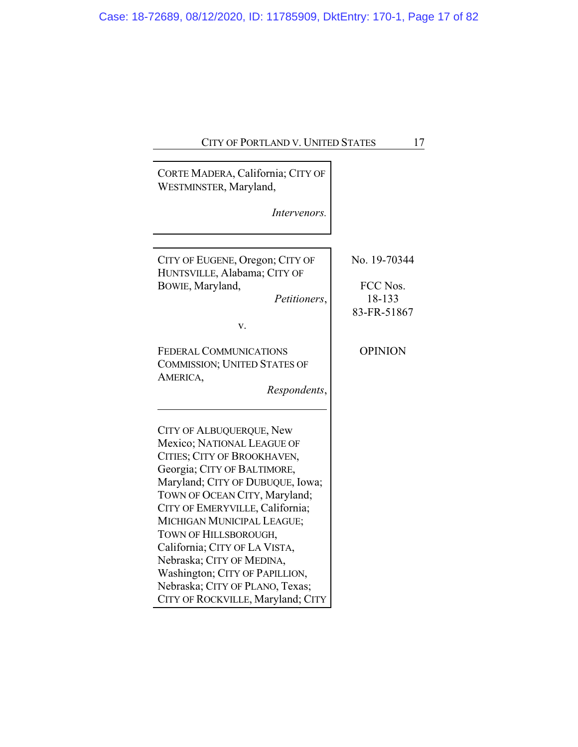|  | CITY OF PORTLAND V. UNITED STATES |  |
|--|-----------------------------------|--|
|--|-----------------------------------|--|

| CORTE MADERA, California; CITY OF<br>WESTMINSTER, Maryland,                                                                                                                                                                                                                                                                                                                                                                                                        |                |
|--------------------------------------------------------------------------------------------------------------------------------------------------------------------------------------------------------------------------------------------------------------------------------------------------------------------------------------------------------------------------------------------------------------------------------------------------------------------|----------------|
| <i>Intervenors.</i>                                                                                                                                                                                                                                                                                                                                                                                                                                                |                |
|                                                                                                                                                                                                                                                                                                                                                                                                                                                                    |                |
| CITY OF EUGENE, Oregon; CITY OF<br>HUNTSVILLE, Alabama; CITY OF                                                                                                                                                                                                                                                                                                                                                                                                    | No. 19-70344   |
| BOWIE, Maryland,                                                                                                                                                                                                                                                                                                                                                                                                                                                   | FCC Nos.       |
| Petitioners,                                                                                                                                                                                                                                                                                                                                                                                                                                                       | 18-133         |
|                                                                                                                                                                                                                                                                                                                                                                                                                                                                    | 83-FR-51867    |
| v.                                                                                                                                                                                                                                                                                                                                                                                                                                                                 |                |
| <b>FEDERAL COMMUNICATIONS</b><br><b>COMMISSION; UNITED STATES OF</b><br>AMERICA,<br>Respondents,                                                                                                                                                                                                                                                                                                                                                                   | <b>OPINION</b> |
|                                                                                                                                                                                                                                                                                                                                                                                                                                                                    |                |
| <b>CITY OF ALBUQUERQUE, New</b><br>Mexico; NATIONAL LEAGUE OF<br>CITIES; CITY OF BROOKHAVEN,<br>Georgia; CITY OF BALTIMORE,<br>Maryland; CITY OF DUBUQUE, Iowa;<br>TOWN OF OCEAN CITY, Maryland;<br>CITY OF EMERYVILLE, California;<br>MICHIGAN MUNICIPAL LEAGUE;<br>TOWN OF HILLSBOROUGH,<br>California; CITY OF LA VISTA,<br>Nebraska; CITY OF MEDINA,<br>Washington; CITY OF PAPILLION,<br>Nebraska; CITY OF PLANO, Texas;<br>CITY OF ROCKVILLE, Maryland; CITY |                |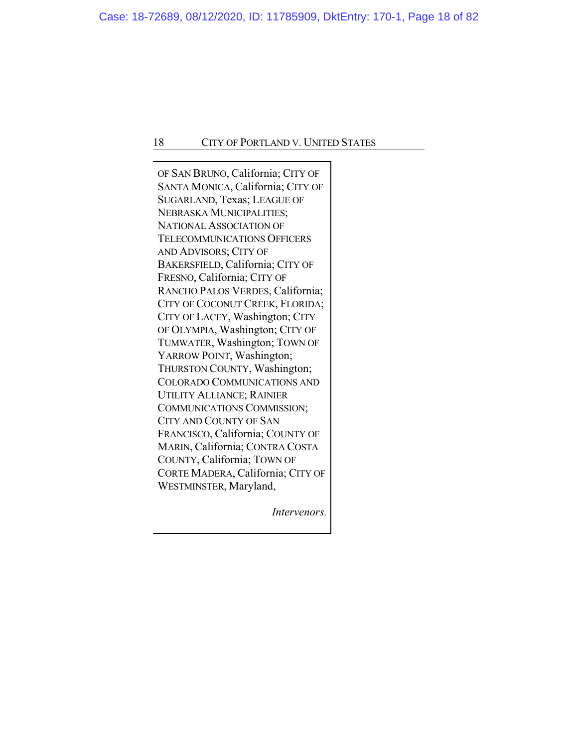OF SAN BRUNO, California; CITY OF SANTA MONICA, California; CITY OF SUGARLAND, Texas; LEAGUE OF NEBRASKA MUNICIPALITIES; NATIONAL ASSOCIATION OF TELECOMMUNICATIONS OFFICERS AND ADVISORS; CITY OF BAKERSFIELD, California; CITY OF FRESNO, California; CITY OF RANCHO PALOS VERDES, California; CITY OF COCONUT CREEK, FLORIDA; CITY OF LACEY, Washington; CITY OF OLYMPIA, Washington; CITY OF TUMWATER, Washington; TOWN OF YARROW POINT, Washington; THURSTON COUNTY, Washington; COLORADO COMMUNICATIONS AND UTILITY ALLIANCE; RAINIER COMMUNICATIONS COMMISSION; CITY AND COUNTY OF SAN FRANCISCO, California; COUNTY OF MARIN, California; CONTRA COSTA COUNTY, California; TOWN OF CORTE MADERA, California; CITY OF WESTMINSTER, Maryland,

*Intervenors.*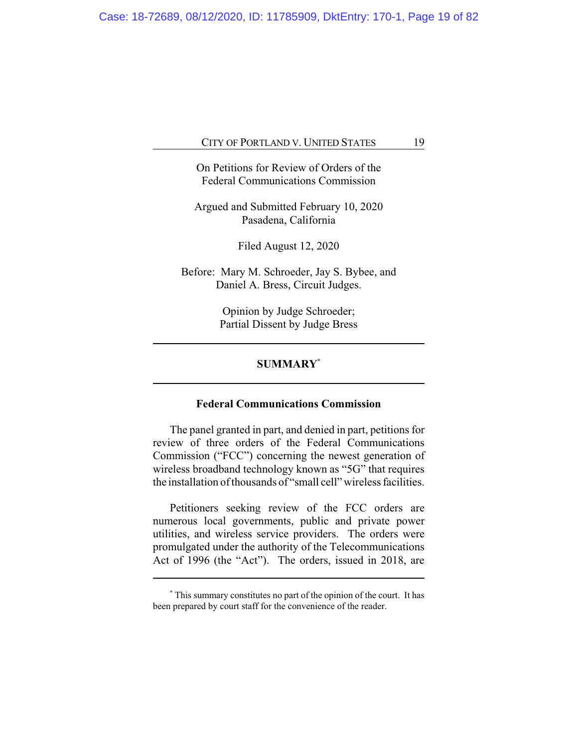On Petitions for Review of Orders of the Federal Communications Commission

Argued and Submitted February 10, 2020 Pasadena, California

Filed August 12, 2020

Before: Mary M. Schroeder, Jay S. Bybee, and Daniel A. Bress, Circuit Judges.

> Opinion by Judge Schroeder; Partial Dissent by Judge Bress

# **SUMMARY\***

# **Federal Communications Commission**

The panel granted in part, and denied in part, petitions for review of three orders of the Federal Communications Commission ("FCC") concerning the newest generation of wireless broadband technology known as "5G" that requires the installation of thousands of "small cell" wireless facilities.

Petitioners seeking review of the FCC orders are numerous local governments, public and private power utilities, and wireless service providers. The orders were promulgated under the authority of the Telecommunications Act of 1996 (the "Act"). The orders, issued in 2018, are

**<sup>\*</sup>** This summary constitutes no part of the opinion of the court. It has been prepared by court staff for the convenience of the reader.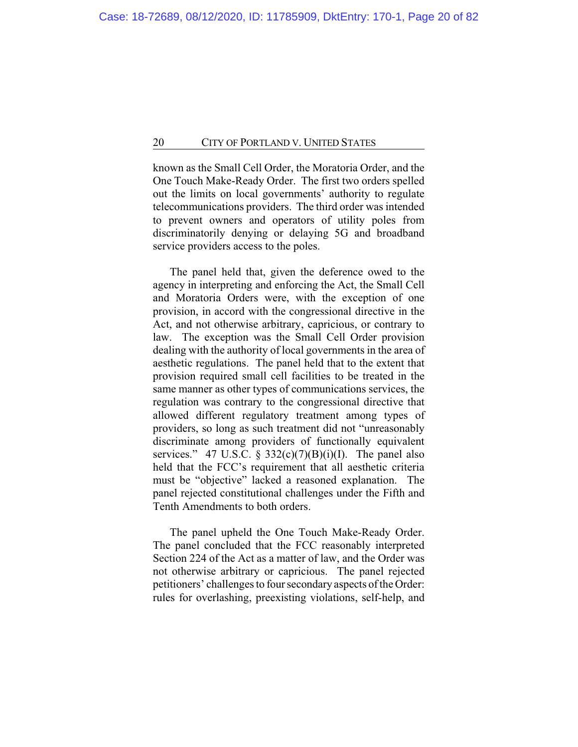known as the Small Cell Order, the Moratoria Order, and the One Touch Make-Ready Order. The first two orders spelled out the limits on local governments' authority to regulate telecommunications providers. The third order was intended to prevent owners and operators of utility poles from discriminatorily denying or delaying 5G and broadband service providers access to the poles.

The panel held that, given the deference owed to the agency in interpreting and enforcing the Act, the Small Cell and Moratoria Orders were, with the exception of one provision, in accord with the congressional directive in the Act, and not otherwise arbitrary, capricious, or contrary to law. The exception was the Small Cell Order provision dealing with the authority of local governments in the area of aesthetic regulations. The panel held that to the extent that provision required small cell facilities to be treated in the same manner as other types of communications services, the regulation was contrary to the congressional directive that allowed different regulatory treatment among types of providers, so long as such treatment did not "unreasonably discriminate among providers of functionally equivalent services." 47 U.S.C. §  $332(c)(7)(B)(i)(I)$ . The panel also held that the FCC's requirement that all aesthetic criteria must be "objective" lacked a reasoned explanation. The panel rejected constitutional challenges under the Fifth and Tenth Amendments to both orders.

The panel upheld the One Touch Make-Ready Order. The panel concluded that the FCC reasonably interpreted Section 224 of the Act as a matter of law, and the Order was not otherwise arbitrary or capricious. The panel rejected petitioners' challenges to four secondary aspects of the Order: rules for overlashing, preexisting violations, self-help, and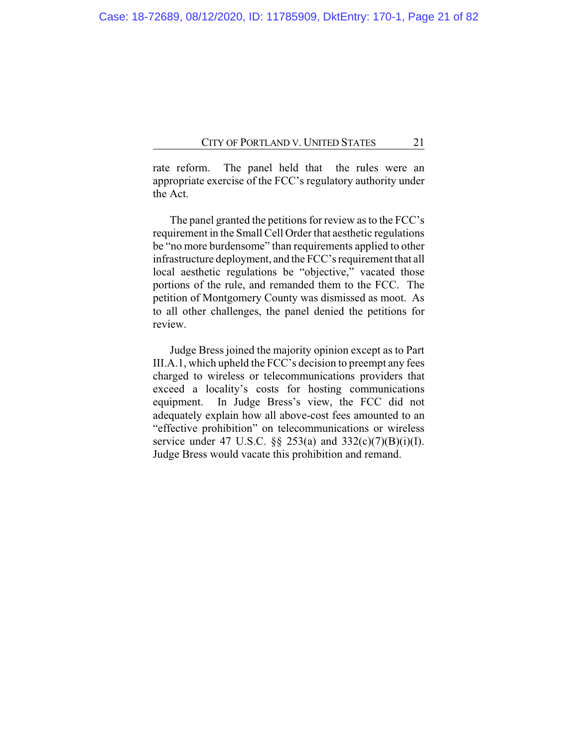rate reform. The panel held that the rules were an appropriate exercise of the FCC's regulatory authority under the Act.

The panel granted the petitions for review as to the FCC's requirement in the Small Cell Order that aesthetic regulations be "no more burdensome" than requirements applied to other infrastructure deployment, and the FCC's requirement that all local aesthetic regulations be "objective," vacated those portions of the rule, and remanded them to the FCC. The petition of Montgomery County was dismissed as moot. As to all other challenges, the panel denied the petitions for review.

Judge Bress joined the majority opinion except as to Part III.A.1, which upheld the FCC's decision to preempt any fees charged to wireless or telecommunications providers that exceed a locality's costs for hosting communications equipment. In Judge Bress's view, the FCC did not adequately explain how all above-cost fees amounted to an "effective prohibition" on telecommunications or wireless service under 47 U.S.C. §§ 253(a) and 332(c)(7)(B)(i)(I). Judge Bress would vacate this prohibition and remand.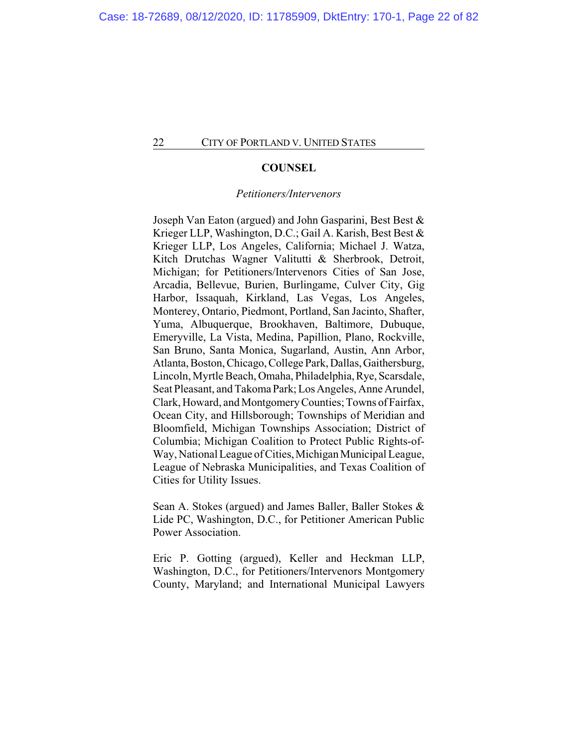#### **COUNSEL**

#### *Petitioners/Intervenors*

Joseph Van Eaton (argued) and John Gasparini, Best Best & Krieger LLP, Washington, D.C.; Gail A. Karish, Best Best & Krieger LLP, Los Angeles, California; Michael J. Watza, Kitch Drutchas Wagner Valitutti & Sherbrook, Detroit, Michigan; for Petitioners/Intervenors Cities of San Jose, Arcadia, Bellevue, Burien, Burlingame, Culver City, Gig Harbor, Issaquah, Kirkland, Las Vegas, Los Angeles, Monterey, Ontario, Piedmont, Portland, San Jacinto, Shafter, Yuma, Albuquerque, Brookhaven, Baltimore, Dubuque, Emeryville, La Vista, Medina, Papillion, Plano, Rockville, San Bruno, Santa Monica, Sugarland, Austin, Ann Arbor, Atlanta, Boston, Chicago, College Park, Dallas, Gaithersburg, Lincoln, Myrtle Beach, Omaha, Philadelphia, Rye, Scarsdale, Seat Pleasant, and Takoma Park; Los Angeles, Anne Arundel, Clark, Howard, and Montgomery Counties; Towns of Fairfax, Ocean City, and Hillsborough; Townships of Meridian and Bloomfield, Michigan Townships Association; District of Columbia; Michigan Coalition to Protect Public Rights-of-Way, National League of Cities, Michigan Municipal League, League of Nebraska Municipalities, and Texas Coalition of Cities for Utility Issues.

Sean A. Stokes (argued) and James Baller, Baller Stokes & Lide PC, Washington, D.C., for Petitioner American Public Power Association.

Eric P. Gotting (argued), Keller and Heckman LLP, Washington, D.C., for Petitioners/Intervenors Montgomery County, Maryland; and International Municipal Lawyers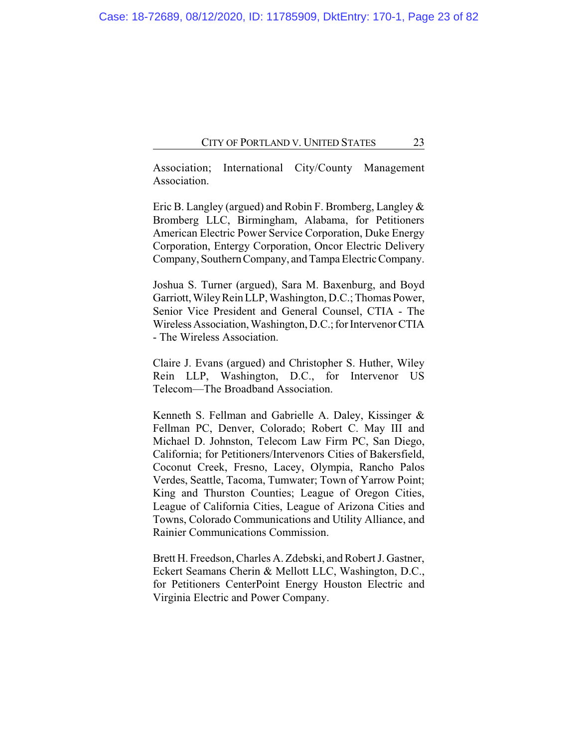Association; International City/County Management Association.

Eric B. Langley (argued) and Robin F. Bromberg, Langley & Bromberg LLC, Birmingham, Alabama, for Petitioners American Electric Power Service Corporation, Duke Energy Corporation, Entergy Corporation, Oncor Electric Delivery Company, Southern Company, and Tampa Electric Company.

Joshua S. Turner (argued), Sara M. Baxenburg, and Boyd Garriott, Wiley Rein LLP, Washington, D.C.; Thomas Power, Senior Vice President and General Counsel, CTIA - The Wireless Association, Washington, D.C.; for Intervenor CTIA - The Wireless Association.

Claire J. Evans (argued) and Christopher S. Huther, Wiley Rein LLP, Washington, D.C., for Intervenor US Telecom—The Broadband Association.

Kenneth S. Fellman and Gabrielle A. Daley, Kissinger & Fellman PC, Denver, Colorado; Robert C. May III and Michael D. Johnston, Telecom Law Firm PC, San Diego, California; for Petitioners/Intervenors Cities of Bakersfield, Coconut Creek, Fresno, Lacey, Olympia, Rancho Palos Verdes, Seattle, Tacoma, Tumwater; Town of Yarrow Point; King and Thurston Counties; League of Oregon Cities, League of California Cities, League of Arizona Cities and Towns, Colorado Communications and Utility Alliance, and Rainier Communications Commission.

Brett H. Freedson, Charles A. Zdebski, and Robert J. Gastner, Eckert Seamans Cherin & Mellott LLC, Washington, D.C., for Petitioners CenterPoint Energy Houston Electric and Virginia Electric and Power Company.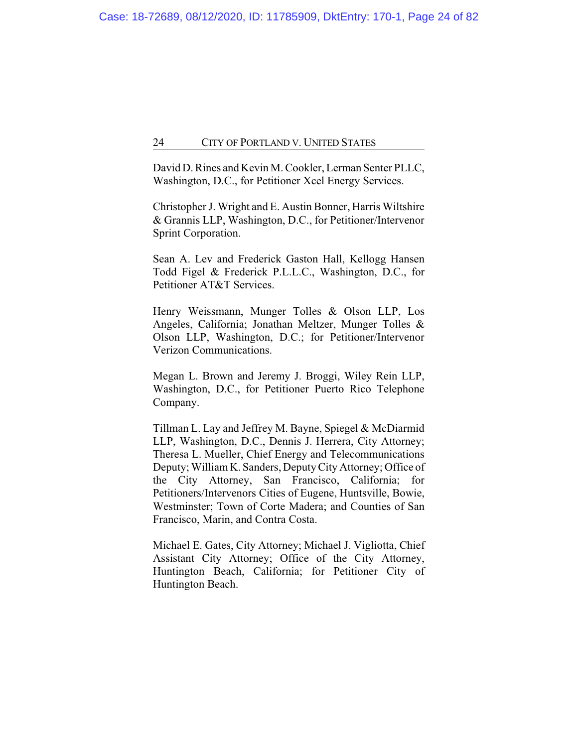David D. Rines and Kevin M. Cookler, Lerman Senter PLLC, Washington, D.C., for Petitioner Xcel Energy Services.

Christopher J. Wright and E. Austin Bonner, Harris Wiltshire & Grannis LLP, Washington, D.C., for Petitioner/Intervenor Sprint Corporation.

Sean A. Lev and Frederick Gaston Hall, Kellogg Hansen Todd Figel & Frederick P.L.L.C., Washington, D.C., for Petitioner AT&T Services.

Henry Weissmann, Munger Tolles & Olson LLP, Los Angeles, California; Jonathan Meltzer, Munger Tolles & Olson LLP, Washington, D.C.; for Petitioner/Intervenor Verizon Communications.

Megan L. Brown and Jeremy J. Broggi, Wiley Rein LLP, Washington, D.C., for Petitioner Puerto Rico Telephone Company.

Tillman L. Lay and Jeffrey M. Bayne, Spiegel & McDiarmid LLP, Washington, D.C., Dennis J. Herrera, City Attorney; Theresa L. Mueller, Chief Energy and Telecommunications Deputy; William K. Sanders, Deputy City Attorney; Office of the City Attorney, San Francisco, California; for Petitioners/Intervenors Cities of Eugene, Huntsville, Bowie, Westminster; Town of Corte Madera; and Counties of San Francisco, Marin, and Contra Costa.

Michael E. Gates, City Attorney; Michael J. Vigliotta, Chief Assistant City Attorney; Office of the City Attorney, Huntington Beach, California; for Petitioner City of Huntington Beach.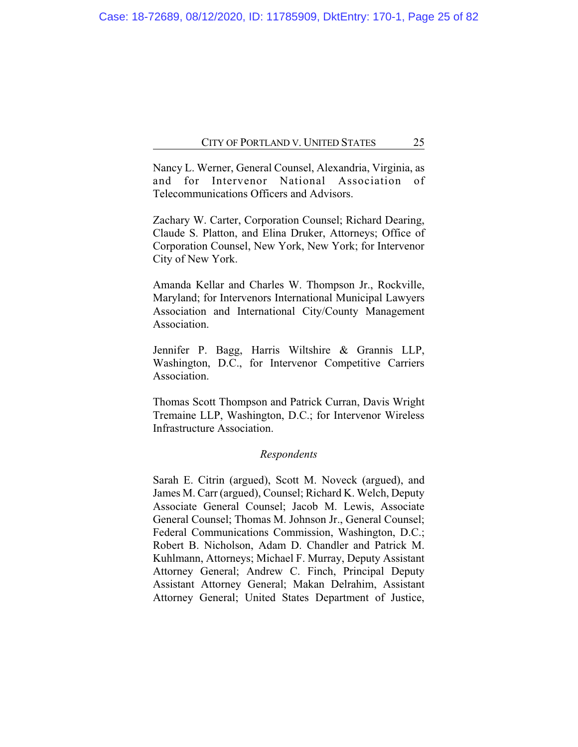Nancy L. Werner, General Counsel, Alexandria, Virginia, as and for Intervenor National Association of Telecommunications Officers and Advisors.

Zachary W. Carter, Corporation Counsel; Richard Dearing, Claude S. Platton, and Elina Druker, Attorneys; Office of Corporation Counsel, New York, New York; for Intervenor City of New York.

Amanda Kellar and Charles W. Thompson Jr., Rockville, Maryland; for Intervenors International Municipal Lawyers Association and International City/County Management Association.

Jennifer P. Bagg, Harris Wiltshire & Grannis LLP, Washington, D.C., for Intervenor Competitive Carriers Association.

Thomas Scott Thompson and Patrick Curran, Davis Wright Tremaine LLP, Washington, D.C.; for Intervenor Wireless Infrastructure Association.

#### *Respondents*

Sarah E. Citrin (argued), Scott M. Noveck (argued), and James M. Carr (argued), Counsel; Richard K. Welch, Deputy Associate General Counsel; Jacob M. Lewis, Associate General Counsel; Thomas M. Johnson Jr., General Counsel; Federal Communications Commission, Washington, D.C.; Robert B. Nicholson, Adam D. Chandler and Patrick M. Kuhlmann, Attorneys; Michael F. Murray, Deputy Assistant Attorney General; Andrew C. Finch, Principal Deputy Assistant Attorney General; Makan Delrahim, Assistant Attorney General; United States Department of Justice,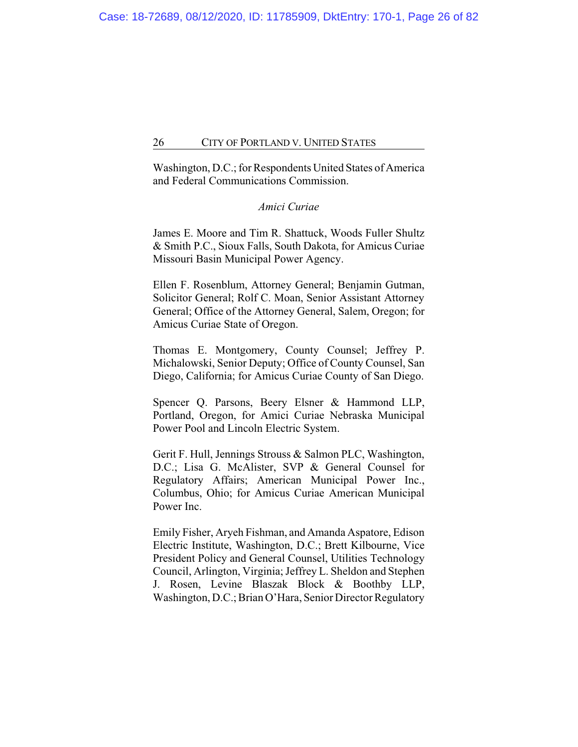Washington, D.C.; for Respondents United States of America and Federal Communications Commission.

### *Amici Curiae*

James E. Moore and Tim R. Shattuck, Woods Fuller Shultz & Smith P.C., Sioux Falls, South Dakota, for Amicus Curiae Missouri Basin Municipal Power Agency.

Ellen F. Rosenblum, Attorney General; Benjamin Gutman, Solicitor General; Rolf C. Moan, Senior Assistant Attorney General; Office of the Attorney General, Salem, Oregon; for Amicus Curiae State of Oregon.

Thomas E. Montgomery, County Counsel; Jeffrey P. Michalowski, Senior Deputy; Office of County Counsel, San Diego, California; for Amicus Curiae County of San Diego.

Spencer Q. Parsons, Beery Elsner & Hammond LLP, Portland, Oregon, for Amici Curiae Nebraska Municipal Power Pool and Lincoln Electric System.

Gerit F. Hull, Jennings Strouss & Salmon PLC, Washington, D.C.; Lisa G. McAlister, SVP & General Counsel for Regulatory Affairs; American Municipal Power Inc., Columbus, Ohio; for Amicus Curiae American Municipal Power Inc.

Emily Fisher, Aryeh Fishman, and Amanda Aspatore, Edison Electric Institute, Washington, D.C.; Brett Kilbourne, Vice President Policy and General Counsel, Utilities Technology Council, Arlington, Virginia; Jeffrey L. Sheldon and Stephen J. Rosen, Levine Blaszak Block & Boothby LLP, Washington, D.C.; Brian O'Hara, Senior Director Regulatory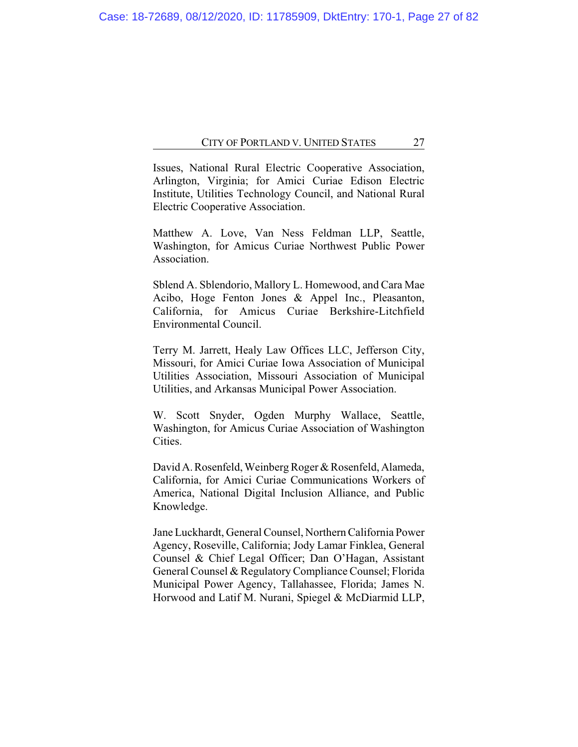Issues, National Rural Electric Cooperative Association, Arlington, Virginia; for Amici Curiae Edison Electric Institute, Utilities Technology Council, and National Rural Electric Cooperative Association.

Matthew A. Love, Van Ness Feldman LLP, Seattle, Washington, for Amicus Curiae Northwest Public Power Association.

Sblend A. Sblendorio, Mallory L. Homewood, and Cara Mae Acibo, Hoge Fenton Jones & Appel Inc., Pleasanton, California, for Amicus Curiae Berkshire-Litchfield Environmental Council.

Terry M. Jarrett, Healy Law Offices LLC, Jefferson City, Missouri, for Amici Curiae Iowa Association of Municipal Utilities Association, Missouri Association of Municipal Utilities, and Arkansas Municipal Power Association.

W. Scott Snyder, Ogden Murphy Wallace, Seattle, Washington, for Amicus Curiae Association of Washington Cities.

David A. Rosenfeld, Weinberg Roger & Rosenfeld, Alameda, California, for Amici Curiae Communications Workers of America, National Digital Inclusion Alliance, and Public Knowledge.

Jane Luckhardt, General Counsel, Northern California Power Agency, Roseville, California; Jody Lamar Finklea, General Counsel & Chief Legal Officer; Dan O'Hagan, Assistant General Counsel & Regulatory Compliance Counsel; Florida Municipal Power Agency, Tallahassee, Florida; James N. Horwood and Latif M. Nurani, Spiegel & McDiarmid LLP,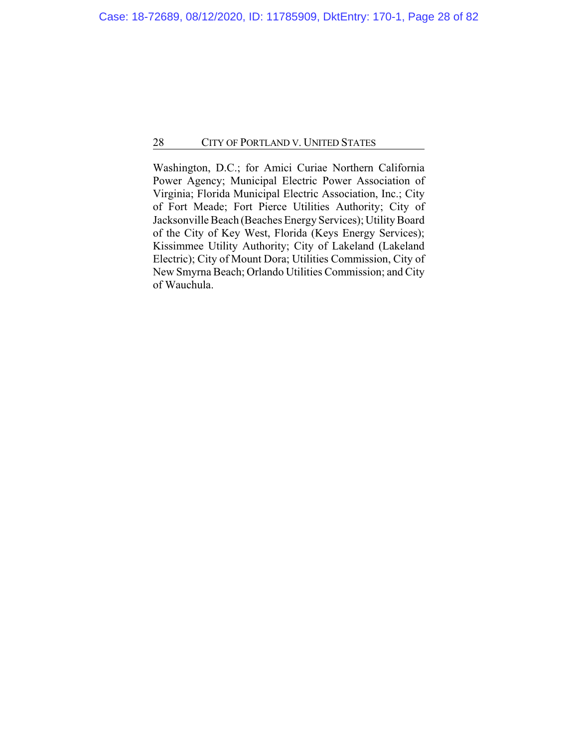Washington, D.C.; for Amici Curiae Northern California Power Agency; Municipal Electric Power Association of Virginia; Florida Municipal Electric Association, Inc.; City of Fort Meade; Fort Pierce Utilities Authority; City of Jacksonville Beach (Beaches Energy Services); Utility Board of the City of Key West, Florida (Keys Energy Services); Kissimmee Utility Authority; City of Lakeland (Lakeland Electric); City of Mount Dora; Utilities Commission, City of New Smyrna Beach; Orlando Utilities Commission; and City of Wauchula.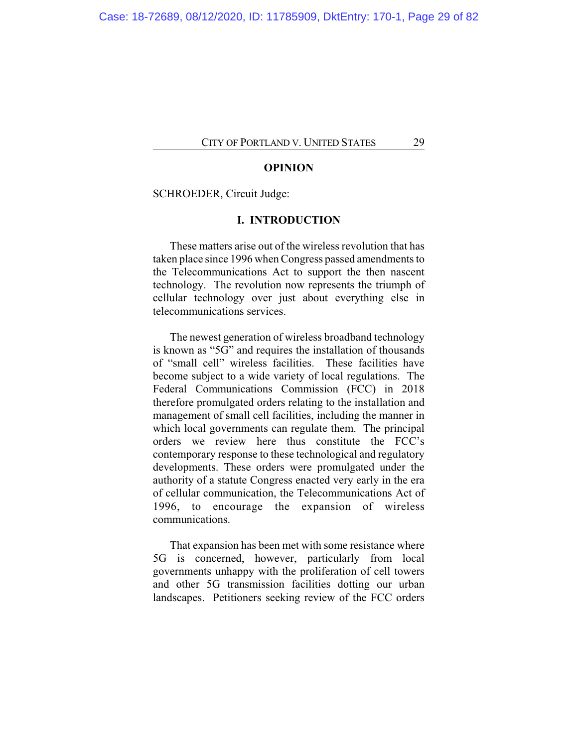#### **OPINION**

#### SCHROEDER, Circuit Judge:

#### **I. INTRODUCTION**

These matters arise out of the wireless revolution that has taken place since 1996 when Congress passed amendments to the Telecommunications Act to support the then nascent technology. The revolution now represents the triumph of cellular technology over just about everything else in telecommunications services.

The newest generation of wireless broadband technology is known as "5G" and requires the installation of thousands of "small cell" wireless facilities. These facilities have become subject to a wide variety of local regulations. The Federal Communications Commission (FCC) in 2018 therefore promulgated orders relating to the installation and management of small cell facilities, including the manner in which local governments can regulate them. The principal orders we review here thus constitute the FCC's contemporary response to these technological and regulatory developments. These orders were promulgated under the authority of a statute Congress enacted very early in the era of cellular communication, the Telecommunications Act of 1996, to encourage the expansion of wireless communications.

That expansion has been met with some resistance where 5G is concerned, however, particularly from local governments unhappy with the proliferation of cell towers and other 5G transmission facilities dotting our urban landscapes. Petitioners seeking review of the FCC orders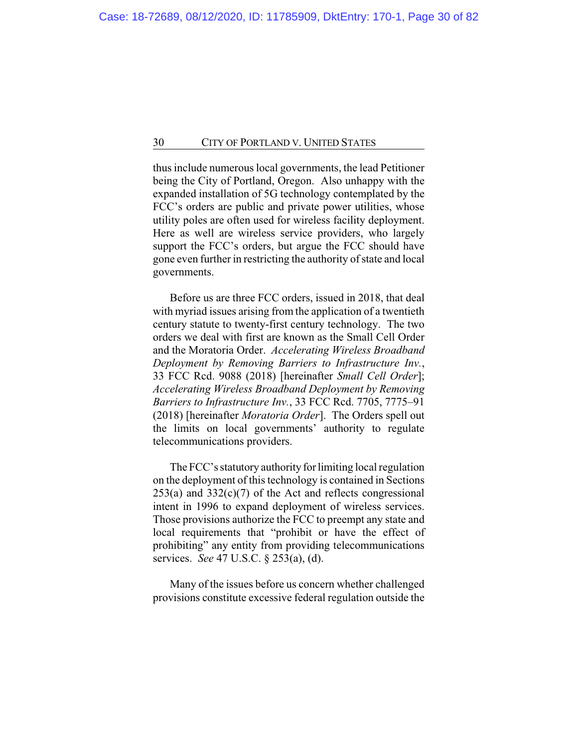thus include numerous local governments, the lead Petitioner being the City of Portland, Oregon. Also unhappy with the expanded installation of 5G technology contemplated by the FCC's orders are public and private power utilities, whose utility poles are often used for wireless facility deployment. Here as well are wireless service providers, who largely support the FCC's orders, but argue the FCC should have gone even further in restricting the authority of state and local governments.

Before us are three FCC orders, issued in 2018, that deal with myriad issues arising from the application of a twentieth century statute to twenty-first century technology. The two orders we deal with first are known as the Small Cell Order and the Moratoria Order. *Accelerating Wireless Broadband Deployment by Removing Barriers to Infrastructure Inv.*, 33 FCC Rcd. 9088 (2018) [hereinafter *Small Cell Order*]; *Accelerating Wireless Broadband Deployment by Removing Barriers to Infrastructure Inv.*, 33 FCC Rcd. 7705, 7775–91 (2018) [hereinafter *Moratoria Order*]. The Orders spell out the limits on local governments' authority to regulate telecommunications providers.

The FCC's statutory authority for limiting local regulation on the deployment of this technology is contained in Sections  $253(a)$  and  $332(c)(7)$  of the Act and reflects congressional intent in 1996 to expand deployment of wireless services. Those provisions authorize the FCC to preempt any state and local requirements that "prohibit or have the effect of prohibiting" any entity from providing telecommunications services. *See* 47 U.S.C. § 253(a), (d).

Many of the issues before us concern whether challenged provisions constitute excessive federal regulation outside the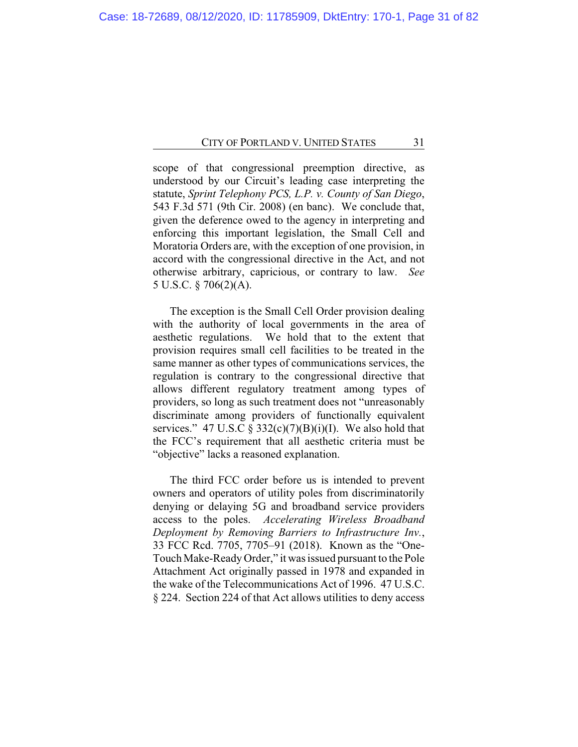scope of that congressional preemption directive, as understood by our Circuit's leading case interpreting the statute, *Sprint Telephony PCS, L.P. v. County of San Diego*, 543 F.3d 571 (9th Cir. 2008) (en banc). We conclude that, given the deference owed to the agency in interpreting and enforcing this important legislation, the Small Cell and Moratoria Orders are, with the exception of one provision, in accord with the congressional directive in the Act, and not otherwise arbitrary, capricious, or contrary to law. *See* 5 U.S.C. § 706(2)(A).

The exception is the Small Cell Order provision dealing with the authority of local governments in the area of aesthetic regulations. We hold that to the extent that provision requires small cell facilities to be treated in the same manner as other types of communications services, the regulation is contrary to the congressional directive that allows different regulatory treatment among types of providers, so long as such treatment does not "unreasonably discriminate among providers of functionally equivalent services." 47 U.S.C §  $332(c)(7)(B)(i)(I)$ . We also hold that the FCC's requirement that all aesthetic criteria must be "objective" lacks a reasoned explanation.

The third FCC order before us is intended to prevent owners and operators of utility poles from discriminatorily denying or delaying 5G and broadband service providers access to the poles. *Accelerating Wireless Broadband Deployment by Removing Barriers to Infrastructure Inv.*, 33 FCC Rcd. 7705, 7705–91 (2018). Known as the "One-Touch Make-Ready Order," it was issued pursuant to the Pole Attachment Act originally passed in 1978 and expanded in the wake of the Telecommunications Act of 1996. 47 U.S.C. § 224. Section 224 of that Act allows utilities to deny access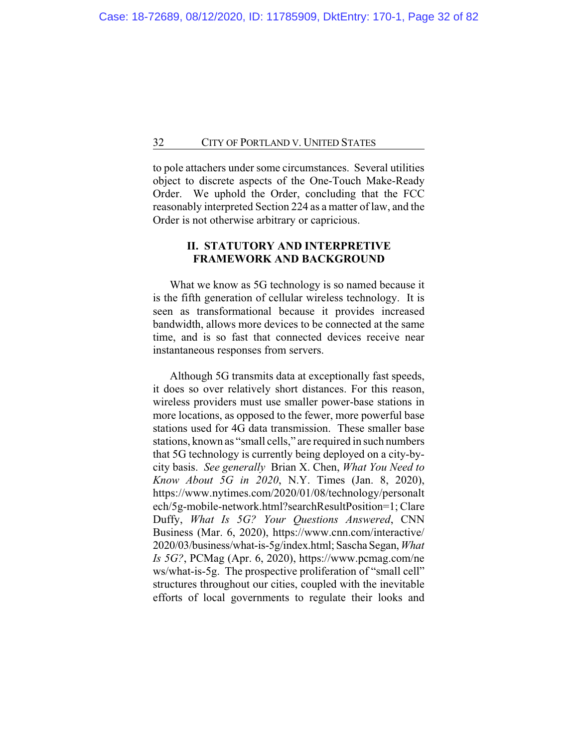to pole attachers under some circumstances. Several utilities object to discrete aspects of the One-Touch Make-Ready Order. We uphold the Order, concluding that the FCC reasonably interpreted Section 224 as a matter of law, and the Order is not otherwise arbitrary or capricious.

# **II. STATUTORY AND INTERPRETIVE FRAMEWORK AND BACKGROUND**

What we know as 5G technology is so named because it is the fifth generation of cellular wireless technology. It is seen as transformational because it provides increased bandwidth, allows more devices to be connected at the same time, and is so fast that connected devices receive near instantaneous responses from servers.

Although 5G transmits data at exceptionally fast speeds, it does so over relatively short distances. For this reason, wireless providers must use smaller power-base stations in more locations, as opposed to the fewer, more powerful base stations used for 4G data transmission. These smaller base stations, known as "small cells," are required in such numbers that 5G technology is currently being deployed on a city-bycity basis. *See generally* Brian X. Chen, *What You Need to Know About 5G in 2020*, N.Y. Times (Jan. 8, 2020), https://www.nytimes.com/2020/01/08/technology/personalt ech/5g-mobile-network.html?searchResultPosition=1; Clare Duffy, *What Is 5G? Your Questions Answered*, CNN Business (Mar. 6, 2020), https://www.cnn.com/interactive/ 2020/03/business/what-is-5g/index.html; Sascha Segan, *What Is 5G?*, PCMag (Apr. 6, 2020), https://www.pcmag.com/ne ws/what-is-5g. The prospective proliferation of "small cell" structures throughout our cities, coupled with the inevitable efforts of local governments to regulate their looks and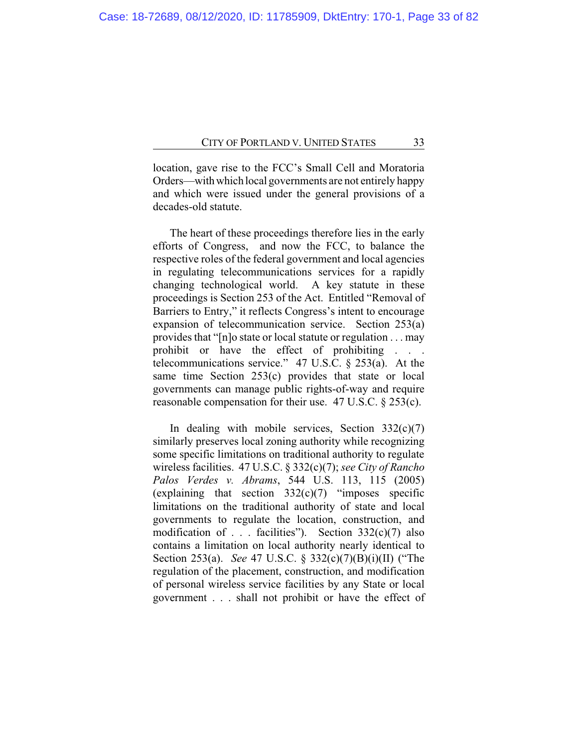location, gave rise to the FCC's Small Cell and Moratoria Orders—with which local governments are not entirely happy and which were issued under the general provisions of a decades-old statute.

The heart of these proceedings therefore lies in the early efforts of Congress, and now the FCC, to balance the respective roles of the federal government and local agencies in regulating telecommunications services for a rapidly changing technological world. A key statute in these proceedings is Section 253 of the Act. Entitled "Removal of Barriers to Entry," it reflects Congress's intent to encourage expansion of telecommunication service. Section 253(a) provides that "[n]o state or local statute or regulation . . . may prohibit or have the effect of prohibiting . . . telecommunications service." 47 U.S.C. § 253(a). At the same time Section 253(c) provides that state or local governments can manage public rights-of-way and require reasonable compensation for their use. 47 U.S.C. § 253(c).

In dealing with mobile services, Section  $332(c)(7)$ similarly preserves local zoning authority while recognizing some specific limitations on traditional authority to regulate wireless facilities. 47 U.S.C. § 332(c)(7); *see City of Rancho Palos Verdes v. Abrams*, 544 U.S. 113, 115 (2005) (explaining that section  $332(c)(7)$  "imposes specific limitations on the traditional authority of state and local governments to regulate the location, construction, and modification of . . . facilities"). Section  $332(c)(7)$  also contains a limitation on local authority nearly identical to Section 253(a). *See* 47 U.S.C. § 332(c)(7)(B)(i)(II) ("The regulation of the placement, construction, and modification of personal wireless service facilities by any State or local government . . . shall not prohibit or have the effect of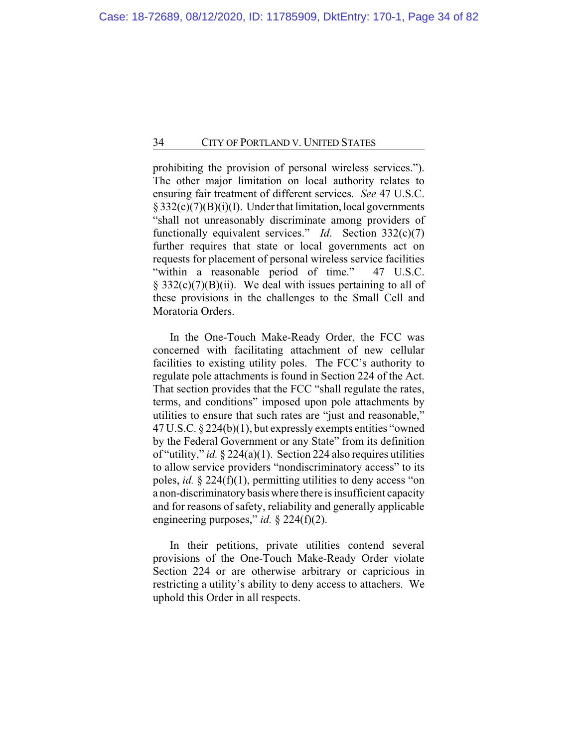prohibiting the provision of personal wireless services."). The other major limitation on local authority relates to ensuring fair treatment of different services. *See* 47 U.S.C. § 332(c)(7)(B)(i)(I). Under that limitation, local governments "shall not unreasonably discriminate among providers of functionally equivalent services." *Id*. Section 332(c)(7) further requires that state or local governments act on requests for placement of personal wireless service facilities "within a reasonable period of time." 47 U.S.C.  $\S$  332(c)(7)(B)(ii). We deal with issues pertaining to all of these provisions in the challenges to the Small Cell and Moratoria Orders.

In the One-Touch Make-Ready Order, the FCC was concerned with facilitating attachment of new cellular facilities to existing utility poles. The FCC's authority to regulate pole attachments is found in Section 224 of the Act. That section provides that the FCC "shall regulate the rates, terms, and conditions" imposed upon pole attachments by utilities to ensure that such rates are "just and reasonable," 47 U.S.C. § 224(b)(1), but expressly exempts entities "owned by the Federal Government or any State" from its definition of "utility," *id.* § 224(a)(1). Section 224 also requires utilities to allow service providers "nondiscriminatory access" to its poles, *id.* § 224(f)(1), permitting utilities to deny access "on a non-discriminatory basis where there is insufficient capacity and for reasons of safety, reliability and generally applicable engineering purposes," *id.* § 224(f)(2).

In their petitions, private utilities contend several provisions of the One-Touch Make-Ready Order violate Section 224 or are otherwise arbitrary or capricious in restricting a utility's ability to deny access to attachers. We uphold this Order in all respects.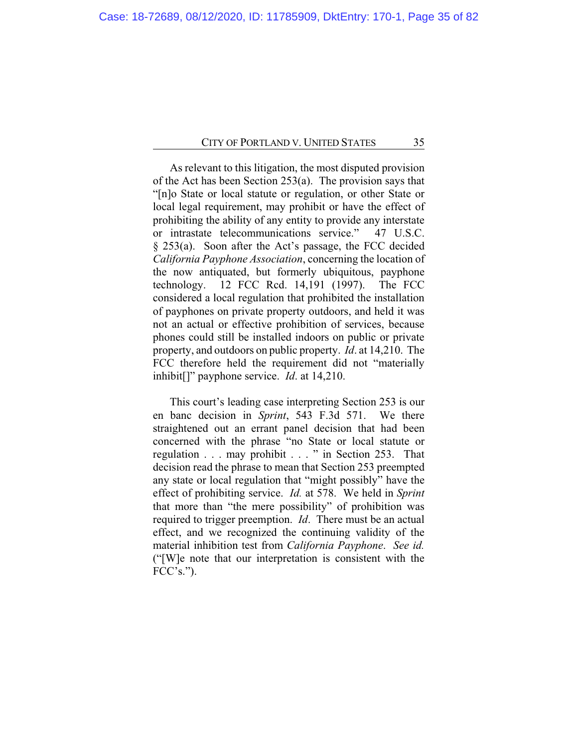As relevant to this litigation, the most disputed provision of the Act has been Section 253(a). The provision says that "[n]o State or local statute or regulation, or other State or local legal requirement, may prohibit or have the effect of prohibiting the ability of any entity to provide any interstate or intrastate telecommunications service." 47 U.S.C. § 253(a). Soon after the Act's passage, the FCC decided *California Payphone Association*, concerning the location of the now antiquated, but formerly ubiquitous, payphone technology. 12 FCC Rcd. 14,191 (1997). The FCC considered a local regulation that prohibited the installation of payphones on private property outdoors, and held it was not an actual or effective prohibition of services, because phones could still be installed indoors on public or private property, and outdoors on public property. *Id*. at 14,210. The FCC therefore held the requirement did not "materially inhibit[]" payphone service. *Id*. at 14,210.

This court's leading case interpreting Section 253 is our en banc decision in *Sprint*, 543 F.3d 571. We there straightened out an errant panel decision that had been concerned with the phrase "no State or local statute or regulation . . . may prohibit . . . " in Section 253. That decision read the phrase to mean that Section 253 preempted any state or local regulation that "might possibly" have the effect of prohibiting service. *Id.* at 578. We held in *Sprint* that more than "the mere possibility" of prohibition was required to trigger preemption. *Id*. There must be an actual effect, and we recognized the continuing validity of the material inhibition test from *California Payphone*. *See id.* ("[W]e note that our interpretation is consistent with the  $FCC's.'$ ).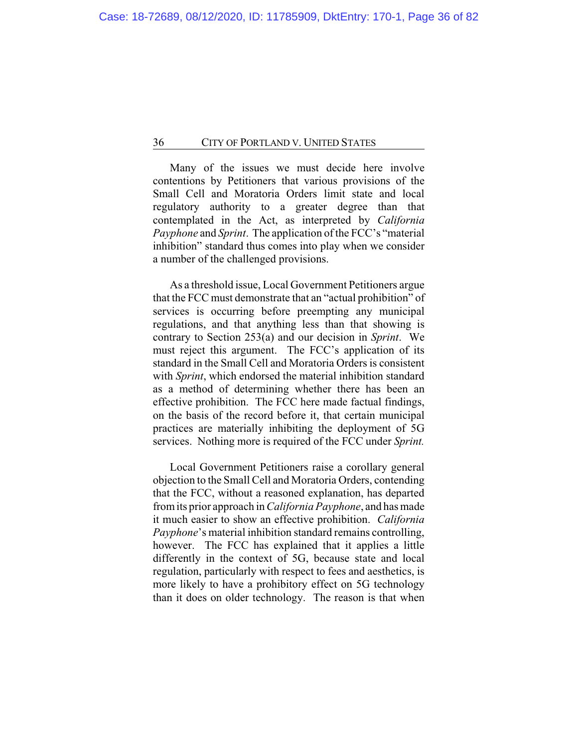Many of the issues we must decide here involve contentions by Petitioners that various provisions of the Small Cell and Moratoria Orders limit state and local regulatory authority to a greater degree than that contemplated in the Act, as interpreted by *California Payphone* and *Sprint*. The application of the FCC's "material inhibition" standard thus comes into play when we consider a number of the challenged provisions.

As a threshold issue, Local Government Petitioners argue that the FCC must demonstrate that an "actual prohibition" of services is occurring before preempting any municipal regulations, and that anything less than that showing is contrary to Section 253(a) and our decision in *Sprint*. We must reject this argument. The FCC's application of its standard in the Small Cell and Moratoria Orders is consistent with *Sprint*, which endorsed the material inhibition standard as a method of determining whether there has been an effective prohibition. The FCC here made factual findings, on the basis of the record before it, that certain municipal practices are materially inhibiting the deployment of 5G services. Nothing more is required of the FCC under *Sprint.*

Local Government Petitioners raise a corollary general objection to the Small Cell and Moratoria Orders, contending that the FCC, without a reasoned explanation, has departed from its prior approach in *California Payphone*, and has made it much easier to show an effective prohibition. *California Payphone*'s material inhibition standard remains controlling, however. The FCC has explained that it applies a little differently in the context of 5G, because state and local regulation, particularly with respect to fees and aesthetics, is more likely to have a prohibitory effect on 5G technology than it does on older technology. The reason is that when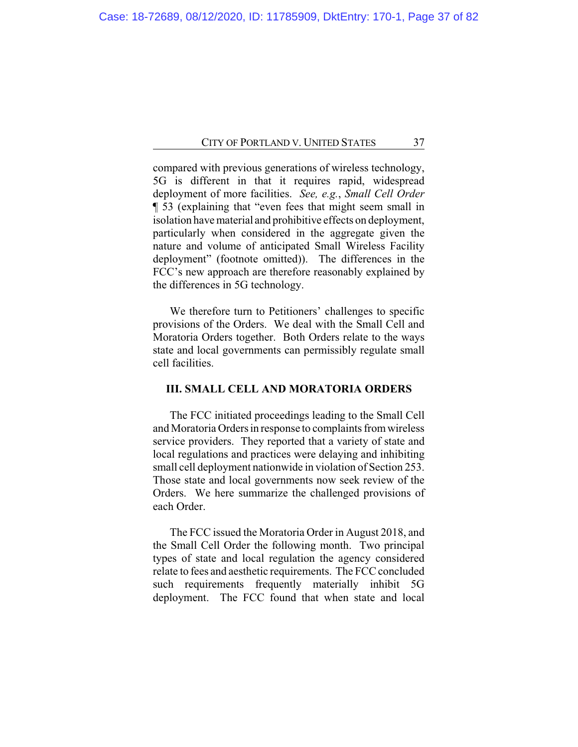compared with previous generations of wireless technology, 5G is different in that it requires rapid, widespread deployment of more facilities. *See, e.g.*, *Small Cell Order* ¶ 53 (explaining that "even fees that might seem small in isolation have material and prohibitive effects on deployment, particularly when considered in the aggregate given the nature and volume of anticipated Small Wireless Facility deployment" (footnote omitted)). The differences in the FCC's new approach are therefore reasonably explained by the differences in 5G technology.

We therefore turn to Petitioners' challenges to specific provisions of the Orders. We deal with the Small Cell and Moratoria Orders together. Both Orders relate to the ways state and local governments can permissibly regulate small cell facilities.

## **III. SMALL CELL AND MORATORIA ORDERS**

The FCC initiated proceedings leading to the Small Cell and Moratoria Orders in response to complaints from wireless service providers. They reported that a variety of state and local regulations and practices were delaying and inhibiting small cell deployment nationwide in violation of Section 253. Those state and local governments now seek review of the Orders. We here summarize the challenged provisions of each Order.

The FCC issued the Moratoria Order in August 2018, and the Small Cell Order the following month. Two principal types of state and local regulation the agency considered relate to fees and aesthetic requirements. The FCC concluded such requirements frequently materially inhibit 5G deployment. The FCC found that when state and local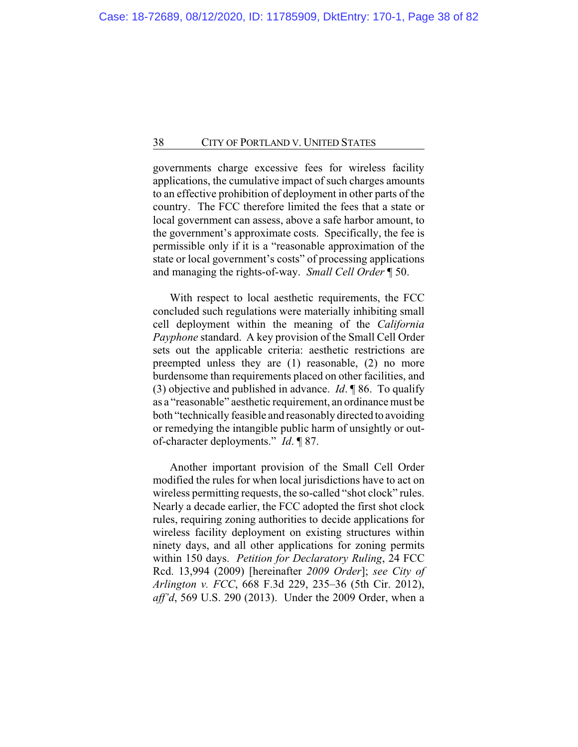governments charge excessive fees for wireless facility applications, the cumulative impact of such charges amounts to an effective prohibition of deployment in other parts of the country. The FCC therefore limited the fees that a state or local government can assess, above a safe harbor amount, to the government's approximate costs. Specifically, the fee is permissible only if it is a "reasonable approximation of the state or local government's costs" of processing applications and managing the rights-of-way. *Small Cell Order* ¶ 50.

With respect to local aesthetic requirements, the FCC concluded such regulations were materially inhibiting small cell deployment within the meaning of the *California Payphone* standard. A key provision of the Small Cell Order sets out the applicable criteria: aesthetic restrictions are preempted unless they are (1) reasonable, (2) no more burdensome than requirements placed on other facilities, and (3) objective and published in advance. *Id*. ¶ 86. To qualify as a "reasonable" aesthetic requirement, an ordinance must be both "technically feasible and reasonably directed to avoiding or remedying the intangible public harm of unsightly or outof-character deployments." *Id*. ¶ 87.

Another important provision of the Small Cell Order modified the rules for when local jurisdictions have to act on wireless permitting requests, the so-called "shot clock" rules. Nearly a decade earlier, the FCC adopted the first shot clock rules, requiring zoning authorities to decide applications for wireless facility deployment on existing structures within ninety days, and all other applications for zoning permits within 150 days. *Petition for Declaratory Ruling*, 24 FCC Rcd. 13,994 (2009) [hereinafter *2009 Order*]; *see City of Arlington v. FCC*, 668 F.3d 229, 235–36 (5th Cir. 2012), *aff'd*, 569 U.S. 290 (2013). Under the 2009 Order, when a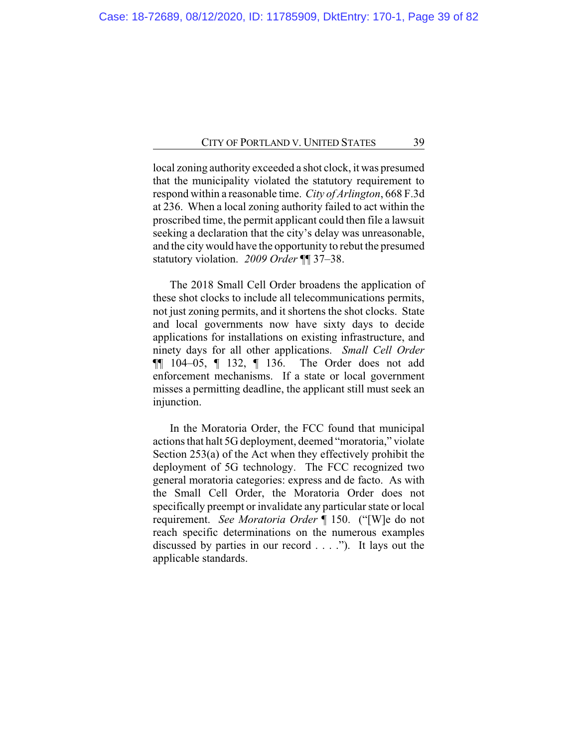local zoning authority exceeded a shot clock, it was presumed that the municipality violated the statutory requirement to respond within a reasonable time. *City of Arlington*, 668 F.3d at 236. When a local zoning authority failed to act within the proscribed time, the permit applicant could then file a lawsuit seeking a declaration that the city's delay was unreasonable, and the city would have the opportunity to rebut the presumed statutory violation. *2009 Order* ¶¶ 37–38.

The 2018 Small Cell Order broadens the application of these shot clocks to include all telecommunications permits, not just zoning permits, and it shortens the shot clocks. State and local governments now have sixty days to decide applications for installations on existing infrastructure, and ninety days for all other applications. *Small Cell Order* ¶¶ 104–05, ¶ 132, ¶ 136. The Order does not add enforcement mechanisms. If a state or local government misses a permitting deadline, the applicant still must seek an injunction.

In the Moratoria Order, the FCC found that municipal actions that halt 5G deployment, deemed "moratoria," violate Section 253(a) of the Act when they effectively prohibit the deployment of 5G technology. The FCC recognized two general moratoria categories: express and de facto. As with the Small Cell Order, the Moratoria Order does not specifically preempt or invalidate any particular state or local requirement. *See Moratoria Order* ¶ 150. ("[W]e do not reach specific determinations on the numerous examples discussed by parties in our record . . . ."). It lays out the applicable standards.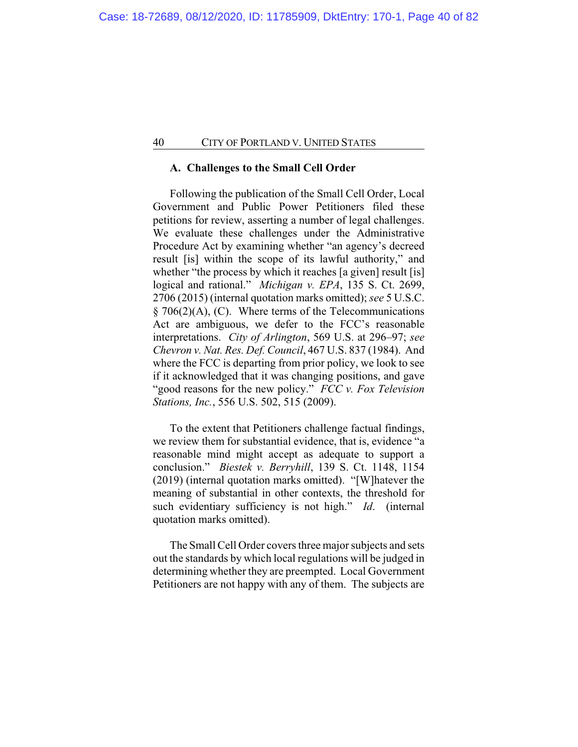## **A. Challenges to the Small Cell Order**

Following the publication of the Small Cell Order, Local Government and Public Power Petitioners filed these petitions for review, asserting a number of legal challenges. We evaluate these challenges under the Administrative Procedure Act by examining whether "an agency's decreed result [is] within the scope of its lawful authority," and whether "the process by which it reaches [a given] result [is] logical and rational." *Michigan v. EPA*, 135 S. Ct. 2699, 2706 (2015) (internal quotation marks omitted); *see* 5 U.S.C.  $§ 706(2)(A), (C).$  Where terms of the Telecommunications Act are ambiguous, we defer to the FCC's reasonable interpretations. *City of Arlington*, 569 U.S. at 296–97; *see Chevron v. Nat. Res. Def. Council*, 467 U.S. 837 (1984). And where the FCC is departing from prior policy, we look to see if it acknowledged that it was changing positions, and gave "good reasons for the new policy." *FCC v. Fox Television Stations, Inc.*, 556 U.S. 502, 515 (2009).

To the extent that Petitioners challenge factual findings, we review them for substantial evidence, that is, evidence "a reasonable mind might accept as adequate to support a conclusion." *Biestek v. Berryhill*, 139 S. Ct. 1148, 1154 (2019) (internal quotation marks omitted). "[W]hatever the meaning of substantial in other contexts, the threshold for such evidentiary sufficiency is not high." *Id*. (internal quotation marks omitted).

The Small Cell Order covers three major subjects and sets out the standards by which local regulations will be judged in determining whether they are preempted. Local Government Petitioners are not happy with any of them. The subjects are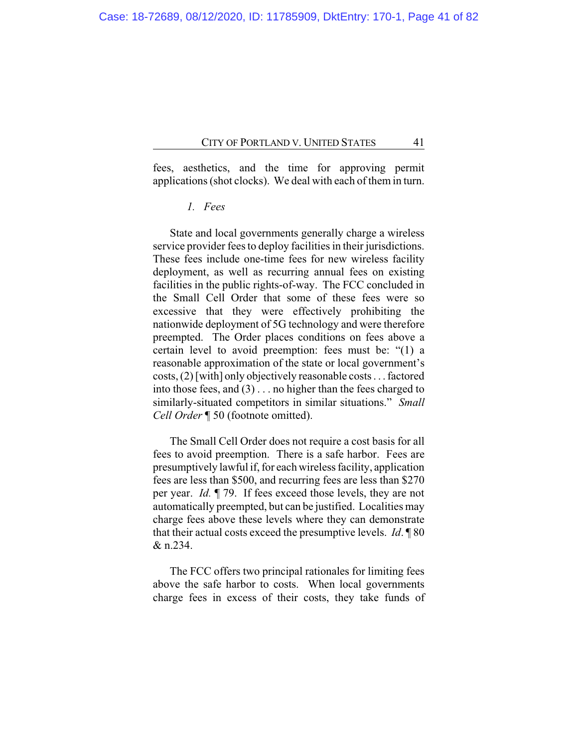fees, aesthetics, and the time for approving permit applications (shot clocks). We deal with each of them in turn.

# *1. Fees*

State and local governments generally charge a wireless service provider fees to deploy facilities in their jurisdictions. These fees include one-time fees for new wireless facility deployment, as well as recurring annual fees on existing facilities in the public rights-of-way. The FCC concluded in the Small Cell Order that some of these fees were so excessive that they were effectively prohibiting the nationwide deployment of 5G technology and were therefore preempted. The Order places conditions on fees above a certain level to avoid preemption: fees must be: "(1) a reasonable approximation of the state or local government's costs, (2) [with] only objectively reasonable costs . . . factored into those fees, and (3) . . . no higher than the fees charged to similarly-situated competitors in similar situations." *Small Cell Order* ¶ 50 (footnote omitted).

The Small Cell Order does not require a cost basis for all fees to avoid preemption. There is a safe harbor. Fees are presumptively lawful if, for each wireless facility, application fees are less than \$500, and recurring fees are less than \$270 per year. *Id.* ¶ 79. If fees exceed those levels, they are not automatically preempted, but can be justified. Localities may charge fees above these levels where they can demonstrate that their actual costs exceed the presumptive levels. *Id*. ¶ 80 & n.234.

The FCC offers two principal rationales for limiting fees above the safe harbor to costs. When local governments charge fees in excess of their costs, they take funds of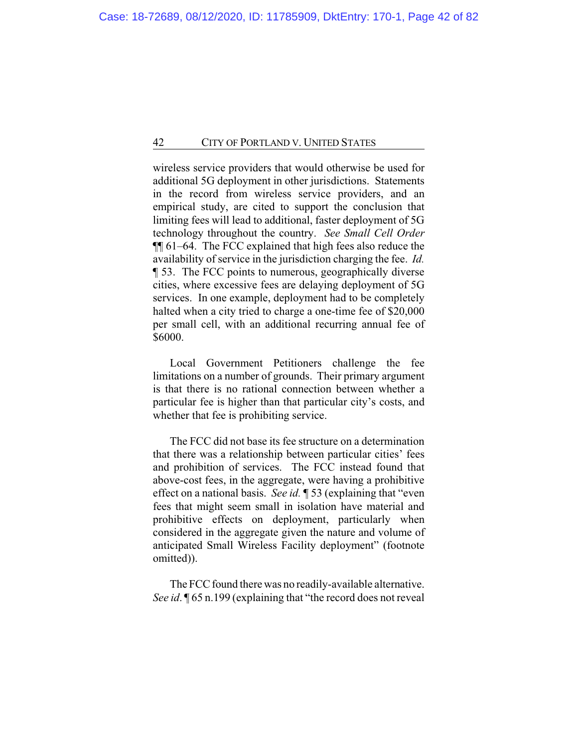wireless service providers that would otherwise be used for additional 5G deployment in other jurisdictions. Statements in the record from wireless service providers, and an empirical study, are cited to support the conclusion that limiting fees will lead to additional, faster deployment of 5G technology throughout the country. *See Small Cell Order* ¶¶ 61–64. The FCC explained that high fees also reduce the availability of service in the jurisdiction charging the fee. *Id.* ¶ 53. The FCC points to numerous, geographically diverse cities, where excessive fees are delaying deployment of 5G services. In one example, deployment had to be completely halted when a city tried to charge a one-time fee of \$20,000 per small cell, with an additional recurring annual fee of \$6000.

Local Government Petitioners challenge the fee limitations on a number of grounds. Their primary argument is that there is no rational connection between whether a particular fee is higher than that particular city's costs, and whether that fee is prohibiting service.

The FCC did not base its fee structure on a determination that there was a relationship between particular cities' fees and prohibition of services. The FCC instead found that above-cost fees, in the aggregate, were having a prohibitive effect on a national basis. *See id.* ¶ 53 (explaining that "even fees that might seem small in isolation have material and prohibitive effects on deployment, particularly when considered in the aggregate given the nature and volume of anticipated Small Wireless Facility deployment" (footnote omitted)).

The FCC found there was no readily-available alternative. *See id*. ¶ 65 n.199 (explaining that "the record does not reveal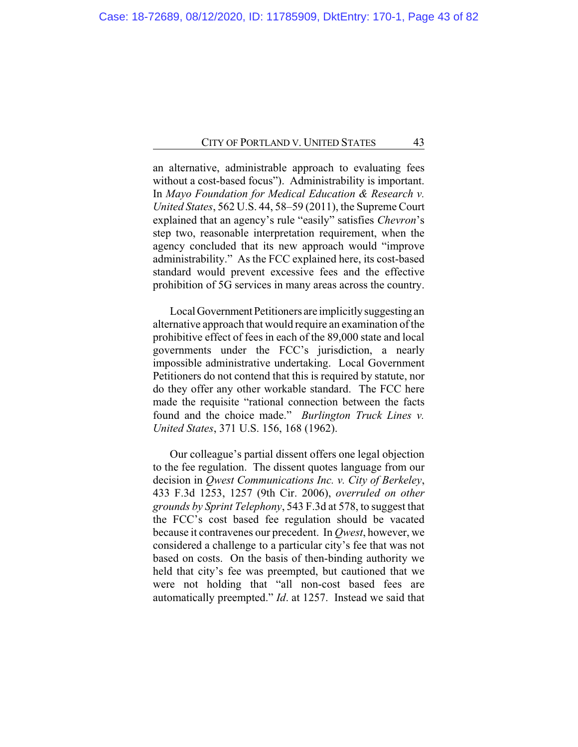an alternative, administrable approach to evaluating fees without a cost-based focus"). Administrability is important. In *Mayo Foundation for Medical Education & Research v. United States*, 562 U.S. 44, 58–59 (2011), the Supreme Court explained that an agency's rule "easily" satisfies *Chevron*'s step two, reasonable interpretation requirement, when the agency concluded that its new approach would "improve administrability." As the FCC explained here, its cost-based standard would prevent excessive fees and the effective prohibition of 5G services in many areas across the country.

Local Government Petitioners are implicitly suggesting an alternative approach that would require an examination of the prohibitive effect of fees in each of the 89,000 state and local governments under the FCC's jurisdiction, a nearly impossible administrative undertaking. Local Government Petitioners do not contend that this is required by statute, nor do they offer any other workable standard. The FCC here made the requisite "rational connection between the facts found and the choice made." *Burlington Truck Lines v. United States*, 371 U.S. 156, 168 (1962).

Our colleague's partial dissent offers one legal objection to the fee regulation. The dissent quotes language from our decision in *Qwest Communications Inc. v. City of Berkeley*, 433 F.3d 1253, 1257 (9th Cir. 2006), *overruled on other grounds by Sprint Telephony*, 543 F.3d at 578, to suggest that the FCC's cost based fee regulation should be vacated because it contravenes our precedent. In *Qwest*, however, we considered a challenge to a particular city's fee that was not based on costs. On the basis of then-binding authority we held that city's fee was preempted, but cautioned that we were not holding that "all non-cost based fees are automatically preempted." *Id*. at 1257. Instead we said that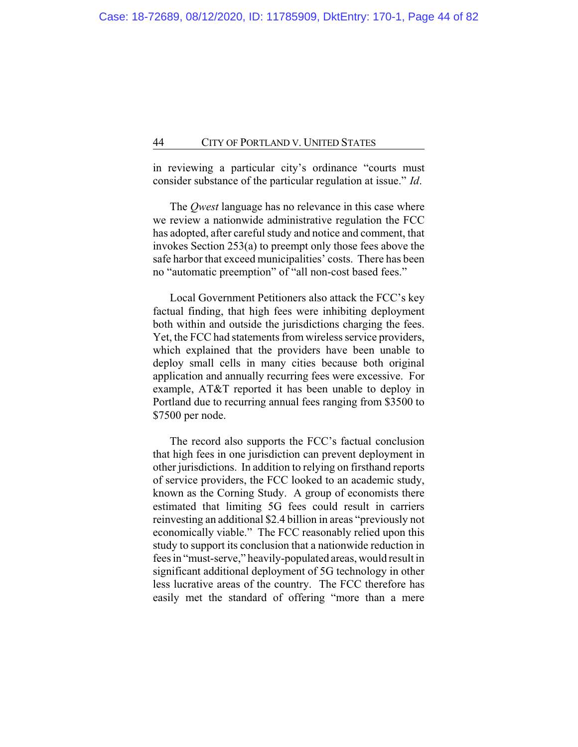in reviewing a particular city's ordinance "courts must consider substance of the particular regulation at issue." *Id*.

The *Qwest* language has no relevance in this case where we review a nationwide administrative regulation the FCC has adopted, after careful study and notice and comment, that invokes Section 253(a) to preempt only those fees above the safe harbor that exceed municipalities' costs. There has been no "automatic preemption" of "all non-cost based fees."

Local Government Petitioners also attack the FCC's key factual finding, that high fees were inhibiting deployment both within and outside the jurisdictions charging the fees. Yet, the FCC had statements from wireless service providers, which explained that the providers have been unable to deploy small cells in many cities because both original application and annually recurring fees were excessive. For example, AT&T reported it has been unable to deploy in Portland due to recurring annual fees ranging from \$3500 to \$7500 per node.

The record also supports the FCC's factual conclusion that high fees in one jurisdiction can prevent deployment in other jurisdictions. In addition to relying on firsthand reports of service providers, the FCC looked to an academic study, known as the Corning Study. A group of economists there estimated that limiting 5G fees could result in carriers reinvesting an additional \$2.4 billion in areas "previously not economically viable." The FCC reasonably relied upon this study to support its conclusion that a nationwide reduction in fees in "must-serve," heavily-populated areas, would result in significant additional deployment of 5G technology in other less lucrative areas of the country. The FCC therefore has easily met the standard of offering "more than a mere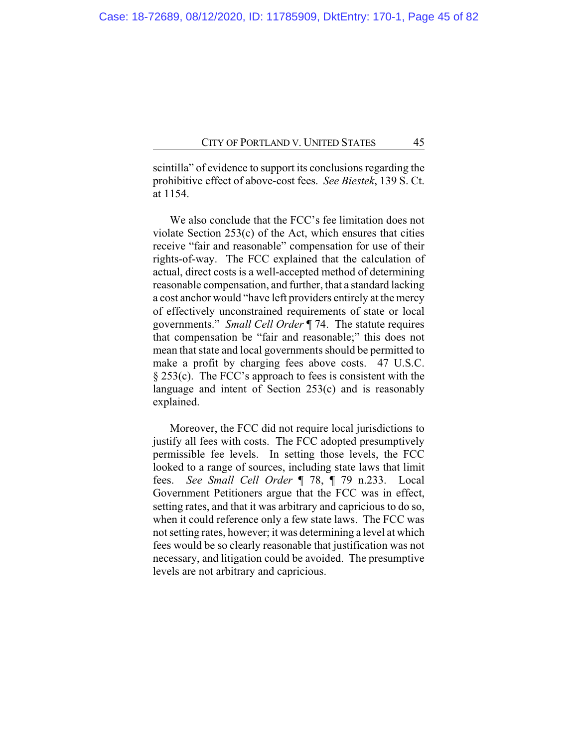scintilla" of evidence to support its conclusions regarding the prohibitive effect of above-cost fees. *See Biestek*, 139 S. Ct. at 1154.

We also conclude that the FCC's fee limitation does not violate Section 253(c) of the Act, which ensures that cities receive "fair and reasonable" compensation for use of their rights-of-way. The FCC explained that the calculation of actual, direct costs is a well-accepted method of determining reasonable compensation, and further, that a standard lacking a cost anchor would "have left providers entirely at the mercy of effectively unconstrained requirements of state or local governments." *Small Cell Order* ¶ 74. The statute requires that compensation be "fair and reasonable;" this does not mean that state and local governments should be permitted to make a profit by charging fees above costs. 47 U.S.C. § 253(c). The FCC's approach to fees is consistent with the language and intent of Section 253(c) and is reasonably explained.

Moreover, the FCC did not require local jurisdictions to justify all fees with costs. The FCC adopted presumptively permissible fee levels. In setting those levels, the FCC looked to a range of sources, including state laws that limit fees. *See Small Cell Order* ¶ 78, ¶ 79 n.233. Local Government Petitioners argue that the FCC was in effect, setting rates, and that it was arbitrary and capricious to do so, when it could reference only a few state laws. The FCC was not setting rates, however; it was determining a level at which fees would be so clearly reasonable that justification was not necessary, and litigation could be avoided. The presumptive levels are not arbitrary and capricious.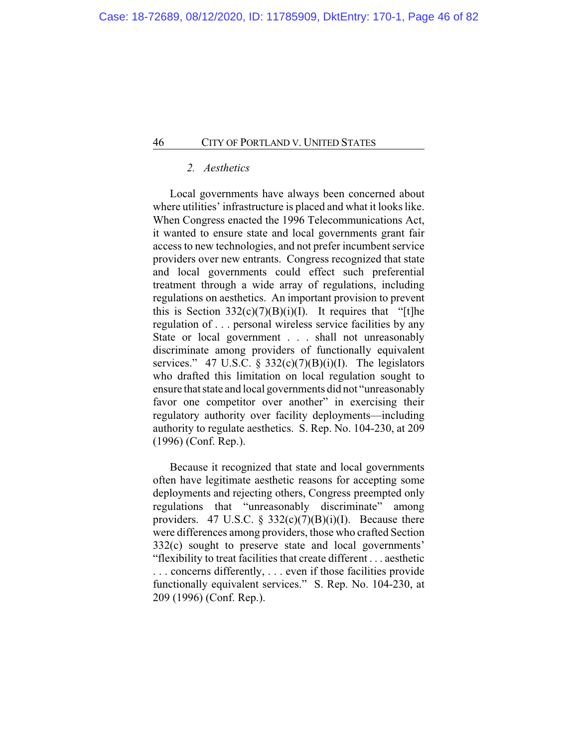# *2. Aesthetics*

Local governments have always been concerned about where utilities' infrastructure is placed and what it looks like. When Congress enacted the 1996 Telecommunications Act, it wanted to ensure state and local governments grant fair access to new technologies, and not prefer incumbent service providers over new entrants. Congress recognized that state and local governments could effect such preferential treatment through a wide array of regulations, including regulations on aesthetics. An important provision to prevent this is Section  $332(c)(7)(B)(i)(I)$ . It requires that "[t]he regulation of . . . personal wireless service facilities by any State or local government . . . shall not unreasonably discriminate among providers of functionally equivalent services." 47 U.S.C. §  $332(c)(7)(B)(i)(I)$ . The legislators who drafted this limitation on local regulation sought to ensure that state and local governments did not "unreasonably favor one competitor over another" in exercising their regulatory authority over facility deployments—including authority to regulate aesthetics. S. Rep. No. 104-230, at 209 (1996) (Conf. Rep.).

Because it recognized that state and local governments often have legitimate aesthetic reasons for accepting some deployments and rejecting others, Congress preempted only regulations that "unreasonably discriminate" among providers. 47 U.S.C.  $\frac{2}{3}$  332(c)(7)(B)(i)(I). Because there were differences among providers, those who crafted Section 332(c) sought to preserve state and local governments' "flexibility to treat facilities that create different . . . aesthetic . . . concerns differently, . . . even if those facilities provide functionally equivalent services." S. Rep. No. 104-230, at 209 (1996) (Conf. Rep.).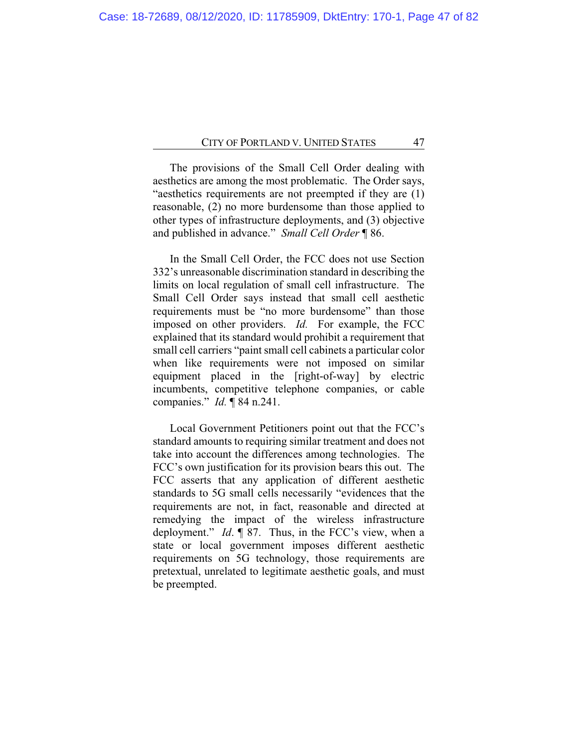The provisions of the Small Cell Order dealing with aesthetics are among the most problematic. The Order says, "aesthetics requirements are not preempted if they are (1) reasonable, (2) no more burdensome than those applied to other types of infrastructure deployments, and (3) objective and published in advance." *Small Cell Order* ¶ 86.

In the Small Cell Order, the FCC does not use Section 332's unreasonable discrimination standard in describing the limits on local regulation of small cell infrastructure. The Small Cell Order says instead that small cell aesthetic requirements must be "no more burdensome" than those imposed on other providers. *Id.* For example, the FCC explained that its standard would prohibit a requirement that small cell carriers "paint small cell cabinets a particular color when like requirements were not imposed on similar equipment placed in the [right-of-way] by electric incumbents, competitive telephone companies, or cable companies." *Id.* ¶ 84 n.241.

Local Government Petitioners point out that the FCC's standard amounts to requiring similar treatment and does not take into account the differences among technologies. The FCC's own justification for its provision bears this out. The FCC asserts that any application of different aesthetic standards to 5G small cells necessarily "evidences that the requirements are not, in fact, reasonable and directed at remedying the impact of the wireless infrastructure deployment." *Id*. ¶ 87. Thus, in the FCC's view, when a state or local government imposes different aesthetic requirements on 5G technology, those requirements are pretextual, unrelated to legitimate aesthetic goals, and must be preempted.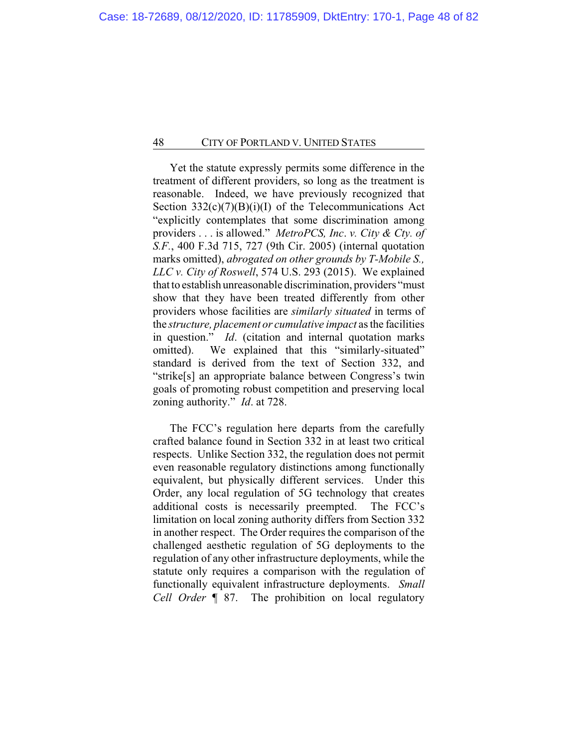Yet the statute expressly permits some difference in the treatment of different providers, so long as the treatment is reasonable. Indeed, we have previously recognized that Section  $332(c)(7)(B)(i)(I)$  of the Telecommunications Act "explicitly contemplates that some discrimination among providers . . . is allowed." *MetroPCS, Inc*. *v. City & Cty. of S.F.*, 400 F.3d 715, 727 (9th Cir. 2005) (internal quotation marks omitted), *abrogated on other grounds by T-Mobile S., LLC v. City of Roswell*, 574 U.S. 293 (2015). We explained that to establish unreasonable discrimination, providers "must show that they have been treated differently from other providers whose facilities are *similarly situated* in terms of the *structure, placement or cumulative impact* as the facilities in question." *Id*. (citation and internal quotation marks omitted). We explained that this "similarly-situated" standard is derived from the text of Section 332, and "strike[s] an appropriate balance between Congress's twin goals of promoting robust competition and preserving local zoning authority." *Id*. at 728.

The FCC's regulation here departs from the carefully crafted balance found in Section 332 in at least two critical respects. Unlike Section 332, the regulation does not permit even reasonable regulatory distinctions among functionally equivalent, but physically different services. Under this Order, any local regulation of 5G technology that creates additional costs is necessarily preempted. The FCC's limitation on local zoning authority differs from Section 332 in another respect. The Order requires the comparison of the challenged aesthetic regulation of 5G deployments to the regulation of any other infrastructure deployments, while the statute only requires a comparison with the regulation of functionally equivalent infrastructure deployments. *Small Cell Order* ¶ 87. The prohibition on local regulatory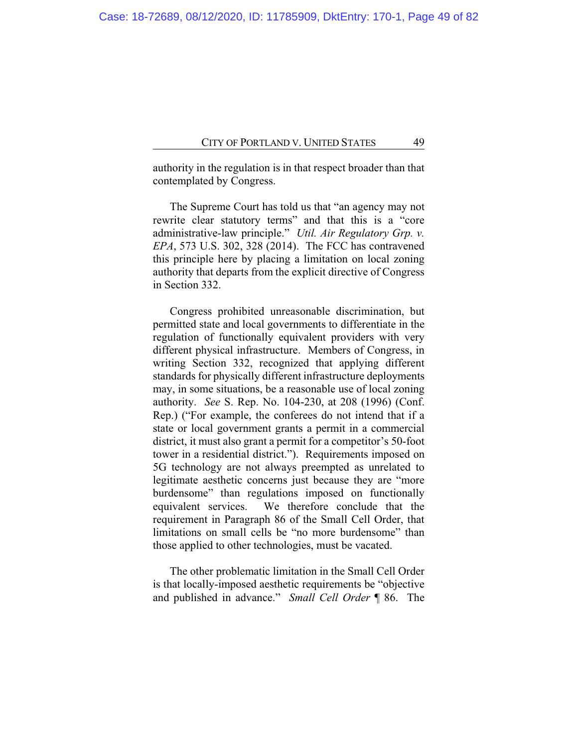authority in the regulation is in that respect broader than that contemplated by Congress.

The Supreme Court has told us that "an agency may not rewrite clear statutory terms" and that this is a "core administrative-law principle." *Util. Air Regulatory Grp. v. EPA*, 573 U.S. 302, 328 (2014). The FCC has contravened this principle here by placing a limitation on local zoning authority that departs from the explicit directive of Congress in Section 332.

Congress prohibited unreasonable discrimination, but permitted state and local governments to differentiate in the regulation of functionally equivalent providers with very different physical infrastructure. Members of Congress, in writing Section 332, recognized that applying different standards for physically different infrastructure deployments may, in some situations, be a reasonable use of local zoning authority. *See* S. Rep. No. 104-230, at 208 (1996) (Conf. Rep.) ("For example, the conferees do not intend that if a state or local government grants a permit in a commercial district, it must also grant a permit for a competitor's 50-foot tower in a residential district."). Requirements imposed on 5G technology are not always preempted as unrelated to legitimate aesthetic concerns just because they are "more burdensome" than regulations imposed on functionally equivalent services. We therefore conclude that the requirement in Paragraph 86 of the Small Cell Order, that limitations on small cells be "no more burdensome" than those applied to other technologies, must be vacated.

The other problematic limitation in the Small Cell Order is that locally-imposed aesthetic requirements be "objective and published in advance." *Small Cell Order* ¶ 86. The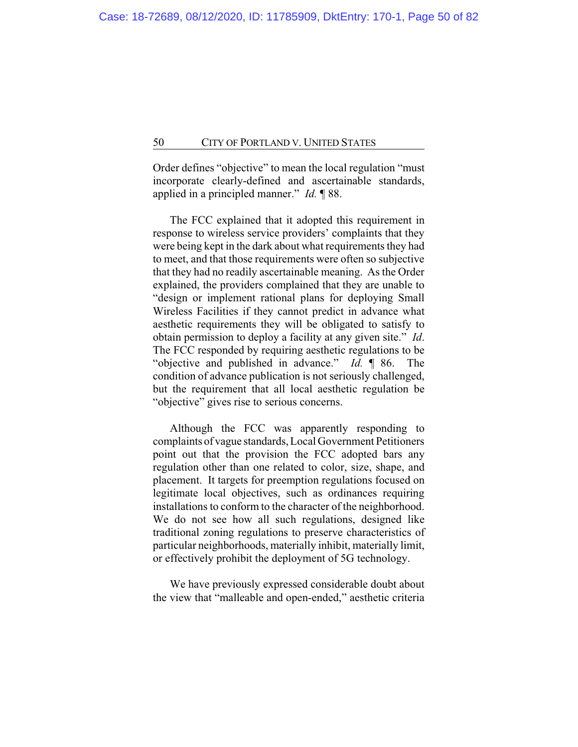Order defines "objective" to mean the local regulation "must incorporate clearly-defined and ascertainable standards, applied in a principled manner." *Id.* ¶ 88.

The FCC explained that it adopted this requirement in response to wireless service providers' complaints that they were being kept in the dark about what requirements they had to meet, and that those requirements were often so subjective that they had no readily ascertainable meaning. As the Order explained, the providers complained that they are unable to "design or implement rational plans for deploying Small Wireless Facilities if they cannot predict in advance what aesthetic requirements they will be obligated to satisfy to obtain permission to deploy a facility at any given site." *Id*. The FCC responded by requiring aesthetic regulations to be "objective and published in advance." *Id.* ¶ 86. The condition of advance publication is not seriously challenged, but the requirement that all local aesthetic regulation be "objective" gives rise to serious concerns.

Although the FCC was apparently responding to complaints of vague standards, Local Government Petitioners point out that the provision the FCC adopted bars any regulation other than one related to color, size, shape, and placement. It targets for preemption regulations focused on legitimate local objectives, such as ordinances requiring installations to conform to the character of the neighborhood. We do not see how all such regulations, designed like traditional zoning regulations to preserve characteristics of particular neighborhoods, materially inhibit, materially limit, or effectively prohibit the deployment of 5G technology.

We have previously expressed considerable doubt about the view that "malleable and open-ended," aesthetic criteria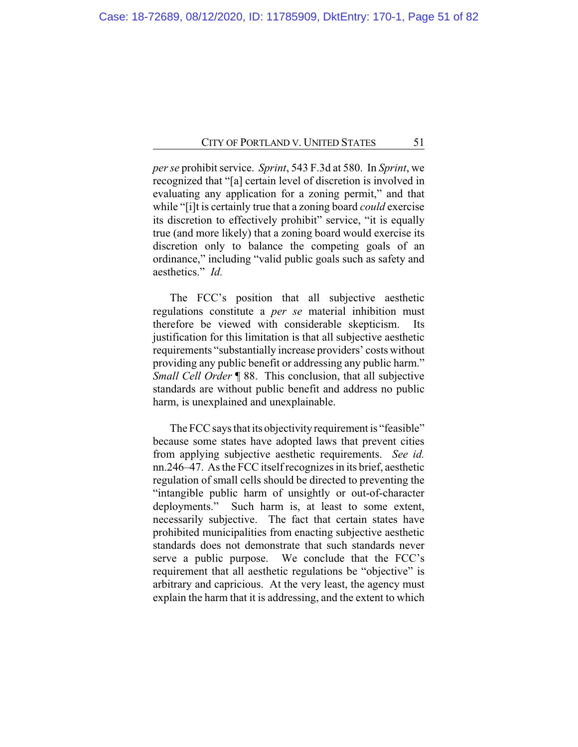*per se* prohibit service. *Sprint*, 543 F.3d at 580. In *Sprint*, we recognized that "[a] certain level of discretion is involved in evaluating any application for a zoning permit," and that while "[i]t is certainly true that a zoning board *could* exercise its discretion to effectively prohibit" service, "it is equally true (and more likely) that a zoning board would exercise its discretion only to balance the competing goals of an ordinance," including "valid public goals such as safety and aesthetics." *Id.*

The FCC's position that all subjective aesthetic regulations constitute a *per se* material inhibition must therefore be viewed with considerable skepticism. Its justification for this limitation is that all subjective aesthetic requirements "substantially increase providers' costs without providing any public benefit or addressing any public harm." *Small Cell Order* ¶ 88. This conclusion, that all subjective standards are without public benefit and address no public harm, is unexplained and unexplainable.

The FCC says that its objectivity requirement is "feasible" because some states have adopted laws that prevent cities from applying subjective aesthetic requirements. *See id.* nn.246–47. As the FCC itself recognizes in its brief, aesthetic regulation of small cells should be directed to preventing the "intangible public harm of unsightly or out-of-character deployments." Such harm is, at least to some extent, necessarily subjective. The fact that certain states have prohibited municipalities from enacting subjective aesthetic standards does not demonstrate that such standards never serve a public purpose. We conclude that the FCC's requirement that all aesthetic regulations be "objective" is arbitrary and capricious. At the very least, the agency must explain the harm that it is addressing, and the extent to which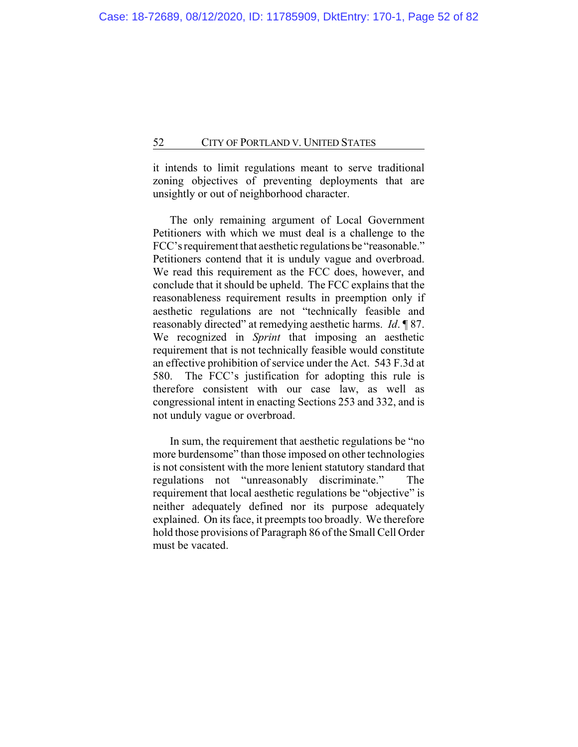it intends to limit regulations meant to serve traditional zoning objectives of preventing deployments that are unsightly or out of neighborhood character.

The only remaining argument of Local Government Petitioners with which we must deal is a challenge to the FCC's requirement that aesthetic regulations be "reasonable." Petitioners contend that it is unduly vague and overbroad. We read this requirement as the FCC does, however, and conclude that it should be upheld. The FCC explains that the reasonableness requirement results in preemption only if aesthetic regulations are not "technically feasible and reasonably directed" at remedying aesthetic harms. *Id*. ¶ 87. We recognized in *Sprint* that imposing an aesthetic requirement that is not technically feasible would constitute an effective prohibition of service under the Act. 543 F.3d at 580. The FCC's justification for adopting this rule is therefore consistent with our case law, as well as congressional intent in enacting Sections 253 and 332, and is not unduly vague or overbroad.

In sum, the requirement that aesthetic regulations be "no more burdensome" than those imposed on other technologies is not consistent with the more lenient statutory standard that regulations not "unreasonably discriminate." The requirement that local aesthetic regulations be "objective" is neither adequately defined nor its purpose adequately explained. On its face, it preempts too broadly. We therefore hold those provisions of Paragraph 86 of the Small Cell Order must be vacated.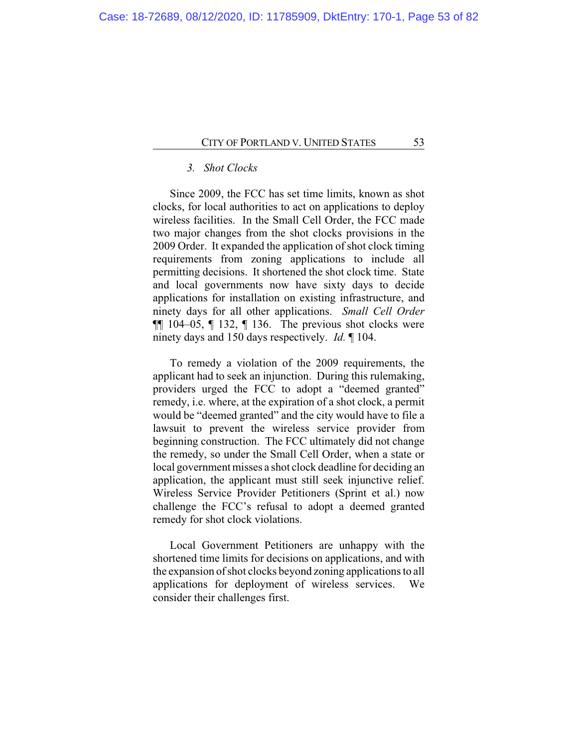# *3. Shot Clocks*

Since 2009, the FCC has set time limits, known as shot clocks, for local authorities to act on applications to deploy wireless facilities. In the Small Cell Order, the FCC made two major changes from the shot clocks provisions in the 2009 Order. It expanded the application of shot clock timing requirements from zoning applications to include all permitting decisions. It shortened the shot clock time. State and local governments now have sixty days to decide applications for installation on existing infrastructure, and ninety days for all other applications. *Small Cell Order*  $\P$ [ 104–05,  $\P$  132,  $\P$  136. The previous shot clocks were ninety days and 150 days respectively. *Id.* ¶ 104.

To remedy a violation of the 2009 requirements, the applicant had to seek an injunction. During this rulemaking, providers urged the FCC to adopt a "deemed granted" remedy, i.e. where, at the expiration of a shot clock, a permit would be "deemed granted" and the city would have to file a lawsuit to prevent the wireless service provider from beginning construction. The FCC ultimately did not change the remedy, so under the Small Cell Order, when a state or local government misses a shot clock deadline for deciding an application, the applicant must still seek injunctive relief. Wireless Service Provider Petitioners (Sprint et al.) now challenge the FCC's refusal to adopt a deemed granted remedy for shot clock violations.

Local Government Petitioners are unhappy with the shortened time limits for decisions on applications, and with the expansion of shot clocks beyond zoning applications to all applications for deployment of wireless services. We consider their challenges first.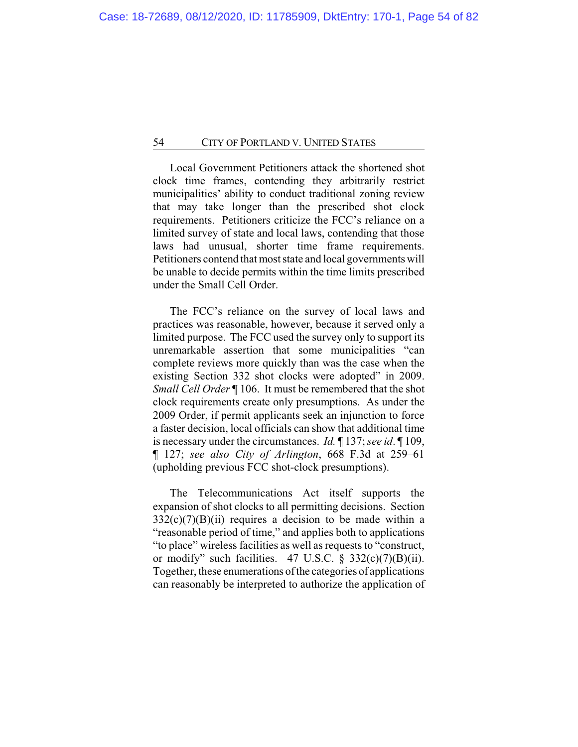Local Government Petitioners attack the shortened shot clock time frames, contending they arbitrarily restrict municipalities' ability to conduct traditional zoning review that may take longer than the prescribed shot clock requirements. Petitioners criticize the FCC's reliance on a limited survey of state and local laws, contending that those laws had unusual, shorter time frame requirements. Petitioners contend that most state and local governments will be unable to decide permits within the time limits prescribed under the Small Cell Order.

The FCC's reliance on the survey of local laws and practices was reasonable, however, because it served only a limited purpose. The FCC used the survey only to support its unremarkable assertion that some municipalities "can complete reviews more quickly than was the case when the existing Section 332 shot clocks were adopted" in 2009. *Small Cell Order* ¶ 106. It must be remembered that the shot clock requirements create only presumptions. As under the 2009 Order, if permit applicants seek an injunction to force a faster decision, local officials can show that additional time is necessary under the circumstances. *Id.* ¶ 137; *see id*. ¶ 109, ¶ 127; *see also City of Arlington*, 668 F.3d at 259–61 (upholding previous FCC shot-clock presumptions).

The Telecommunications Act itself supports the expansion of shot clocks to all permitting decisions. Section  $332(c)(7)(B)(ii)$  requires a decision to be made within a "reasonable period of time," and applies both to applications "to place" wireless facilities as well as requests to "construct, or modify" such facilities. 47 U.S.C.  $\S$  332(c)(7)(B)(ii). Together, these enumerations of the categories of applications can reasonably be interpreted to authorize the application of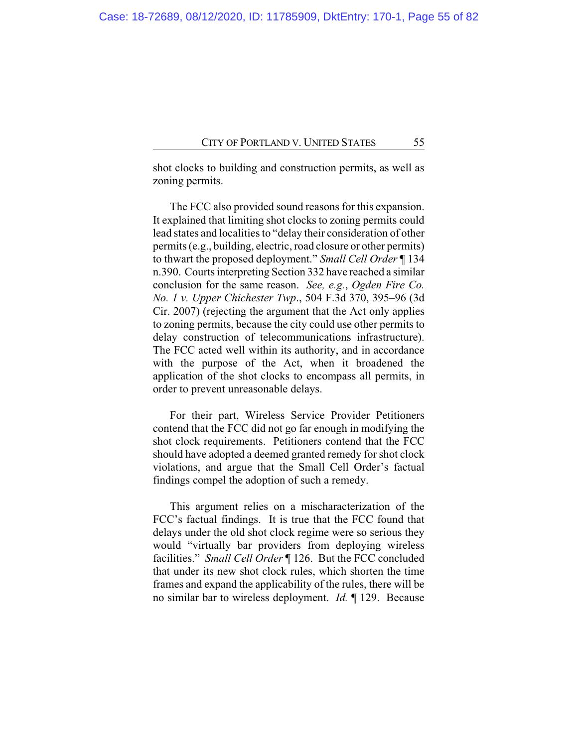shot clocks to building and construction permits, as well as zoning permits.

The FCC also provided sound reasons for this expansion. It explained that limiting shot clocks to zoning permits could lead states and localities to "delay their consideration of other permits (e.g., building, electric, road closure or other permits) to thwart the proposed deployment." *Small Cell Order* ¶ 134 n.390. Courts interpreting Section 332 have reached a similar conclusion for the same reason. *See, e.g.*, *Ogden Fire Co. No. 1 v. Upper Chichester Twp*., 504 F.3d 370, 395–96 (3d Cir. 2007) (rejecting the argument that the Act only applies to zoning permits, because the city could use other permits to delay construction of telecommunications infrastructure). The FCC acted well within its authority, and in accordance with the purpose of the Act, when it broadened the application of the shot clocks to encompass all permits, in order to prevent unreasonable delays.

For their part, Wireless Service Provider Petitioners contend that the FCC did not go far enough in modifying the shot clock requirements. Petitioners contend that the FCC should have adopted a deemed granted remedy for shot clock violations, and argue that the Small Cell Order's factual findings compel the adoption of such a remedy.

This argument relies on a mischaracterization of the FCC's factual findings. It is true that the FCC found that delays under the old shot clock regime were so serious they would "virtually bar providers from deploying wireless facilities." *Small Cell Order* ¶ 126. But the FCC concluded that under its new shot clock rules, which shorten the time frames and expand the applicability of the rules, there will be no similar bar to wireless deployment. *Id.* ¶ 129. Because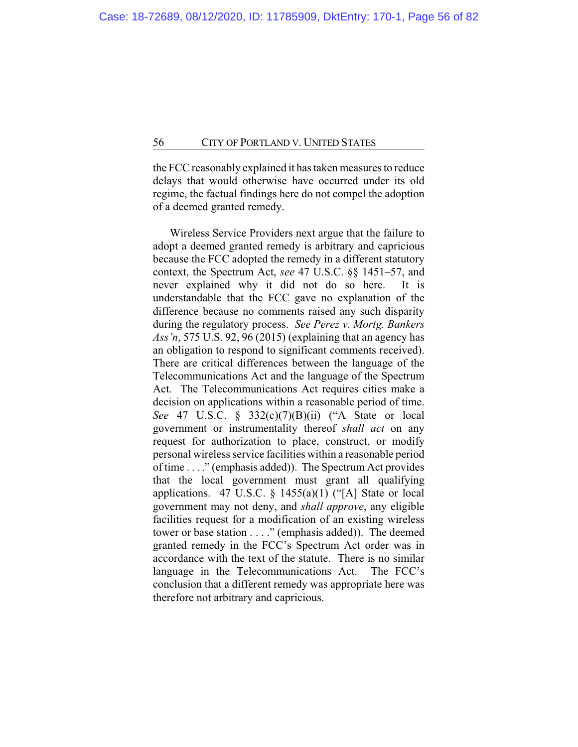the FCC reasonably explained it has taken measures to reduce delays that would otherwise have occurred under its old regime, the factual findings here do not compel the adoption of a deemed granted remedy.

Wireless Service Providers next argue that the failure to adopt a deemed granted remedy is arbitrary and capricious because the FCC adopted the remedy in a different statutory context, the Spectrum Act, *see* 47 U.S.C. §§ 1451–57, and never explained why it did not do so here. It is understandable that the FCC gave no explanation of the difference because no comments raised any such disparity during the regulatory process. *See Perez v. Mortg. Bankers Ass'n*, 575 U.S. 92, 96 (2015) (explaining that an agency has an obligation to respond to significant comments received). There are critical differences between the language of the Telecommunications Act and the language of the Spectrum Act. The Telecommunications Act requires cities make a decision on applications within a reasonable period of time. *See* 47 U.S.C. § 332(c)(7)(B)(ii) ("A State or local government or instrumentality thereof *shall act* on any request for authorization to place, construct, or modify personal wireless service facilities within a reasonable period of time . . . ." (emphasis added)). The Spectrum Act provides that the local government must grant all qualifying applications. 47 U.S.C.  $\S$  1455(a)(1) ("[A] State or local government may not deny, and *shall approve*, any eligible facilities request for a modification of an existing wireless tower or base station . . . ." (emphasis added)). The deemed granted remedy in the FCC's Spectrum Act order was in accordance with the text of the statute. There is no similar language in the Telecommunications Act. The FCC's conclusion that a different remedy was appropriate here was therefore not arbitrary and capricious.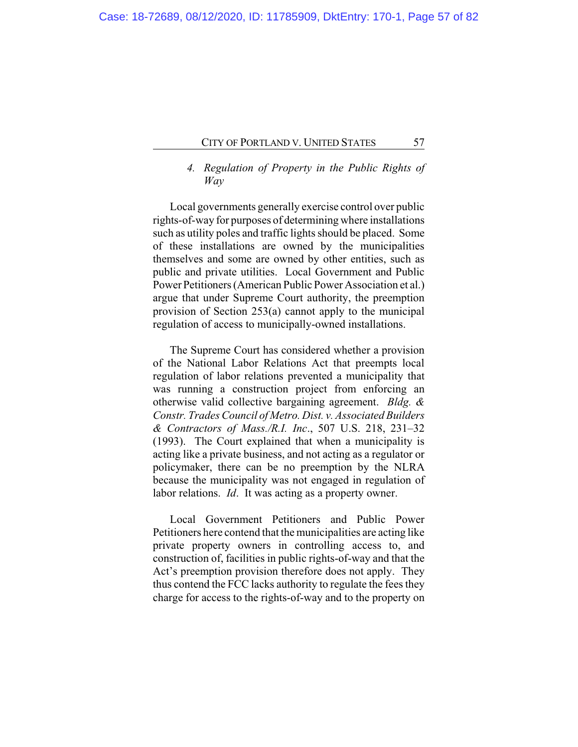# *4. Regulation of Property in the Public Rights of Way*

Local governments generally exercise control over public rights-of-way for purposes of determining where installations such as utility poles and traffic lights should be placed. Some of these installations are owned by the municipalities themselves and some are owned by other entities, such as public and private utilities. Local Government and Public Power Petitioners (American Public Power Association et al.) argue that under Supreme Court authority, the preemption provision of Section 253(a) cannot apply to the municipal regulation of access to municipally-owned installations.

The Supreme Court has considered whether a provision of the National Labor Relations Act that preempts local regulation of labor relations prevented a municipality that was running a construction project from enforcing an otherwise valid collective bargaining agreement. *Bldg. & Constr. Trades Council of Metro. Dist. v. Associated Builders & Contractors of Mass./R.I. Inc*., 507 U.S. 218, 231–32 (1993). The Court explained that when a municipality is acting like a private business, and not acting as a regulator or policymaker, there can be no preemption by the NLRA because the municipality was not engaged in regulation of labor relations. *Id*. It was acting as a property owner.

Local Government Petitioners and Public Power Petitioners here contend that the municipalities are acting like private property owners in controlling access to, and construction of, facilities in public rights-of-way and that the Act's preemption provision therefore does not apply. They thus contend the FCC lacks authority to regulate the fees they charge for access to the rights-of-way and to the property on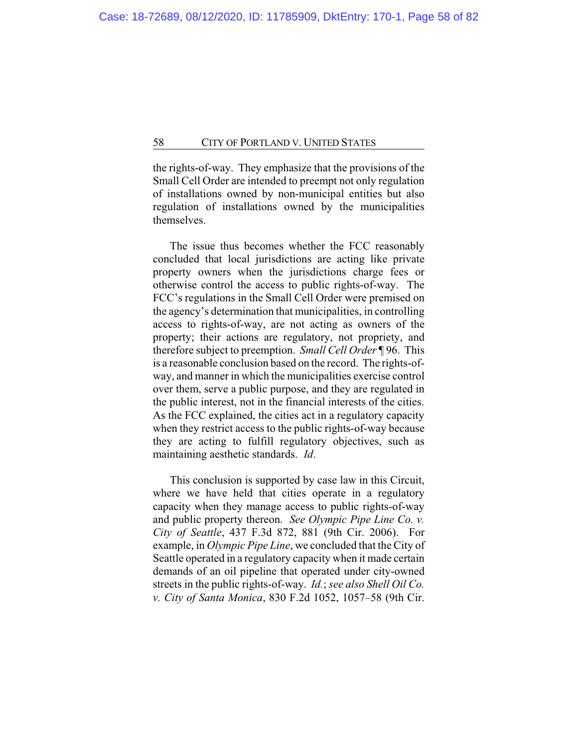the rights-of-way. They emphasize that the provisions of the Small Cell Order are intended to preempt not only regulation of installations owned by non-municipal entities but also regulation of installations owned by the municipalities themselves.

The issue thus becomes whether the FCC reasonably concluded that local jurisdictions are acting like private property owners when the jurisdictions charge fees or otherwise control the access to public rights-of-way. The FCC's regulations in the Small Cell Order were premised on the agency's determination that municipalities, in controlling access to rights-of-way, are not acting as owners of the property; their actions are regulatory, not propriety, and therefore subject to preemption. *Small Cell Order* ¶ 96. This is a reasonable conclusion based on the record. The rights-ofway, and manner in which the municipalities exercise control over them, serve a public purpose, and they are regulated in the public interest, not in the financial interests of the cities. As the FCC explained, the cities act in a regulatory capacity when they restrict access to the public rights-of-way because they are acting to fulfill regulatory objectives, such as maintaining aesthetic standards. *Id*.

This conclusion is supported by case law in this Circuit, where we have held that cities operate in a regulatory capacity when they manage access to public rights-of-way and public property thereon. *See Olympic Pipe Line Co. v. City of Seattle*, 437 F.3d 872, 881 (9th Cir. 2006). For example, in *Olympic Pipe Line*, we concluded that the City of Seattle operated in a regulatory capacity when it made certain demands of an oil pipeline that operated under city-owned streets in the public rights-of-way. *Id.*; *see also Shell Oil Co. v. City of Santa Monica*, 830 F.2d 1052, 1057–58 (9th Cir.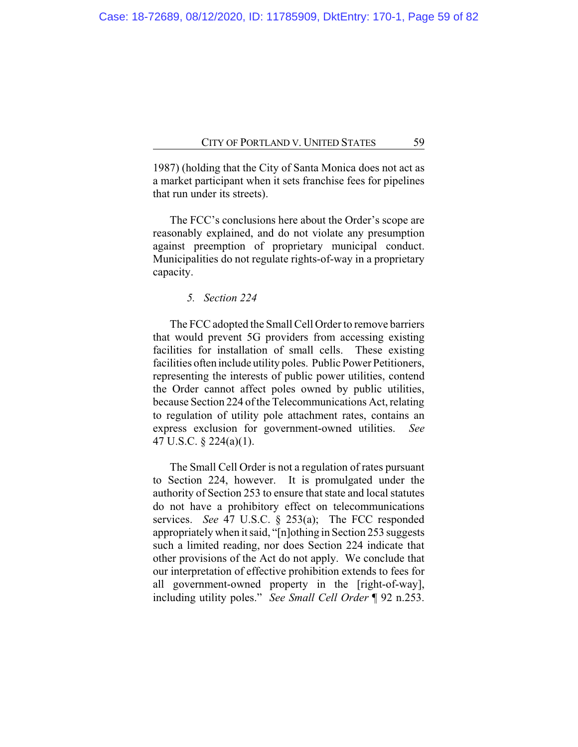1987) (holding that the City of Santa Monica does not act as a market participant when it sets franchise fees for pipelines that run under its streets).

The FCC's conclusions here about the Order's scope are reasonably explained, and do not violate any presumption against preemption of proprietary municipal conduct. Municipalities do not regulate rights-of-way in a proprietary capacity.

*5. Section 224*

The FCC adopted the Small Cell Order to remove barriers that would prevent 5G providers from accessing existing facilities for installation of small cells. These existing facilities often include utility poles. Public Power Petitioners, representing the interests of public power utilities, contend the Order cannot affect poles owned by public utilities, because Section 224 of the Telecommunications Act, relating to regulation of utility pole attachment rates, contains an express exclusion for government-owned utilities. *See* 47 U.S.C. § 224(a)(1).

The Small Cell Order is not a regulation of rates pursuant to Section 224, however. It is promulgated under the authority of Section 253 to ensure that state and local statutes do not have a prohibitory effect on telecommunications services. *See* 47 U.S.C. § 253(a); The FCC responded appropriately when it said, "[n]othing in Section 253 suggests such a limited reading, nor does Section 224 indicate that other provisions of the Act do not apply. We conclude that our interpretation of effective prohibition extends to fees for all government-owned property in the [right-of-way], including utility poles." *See Small Cell Order* ¶ 92 n.253.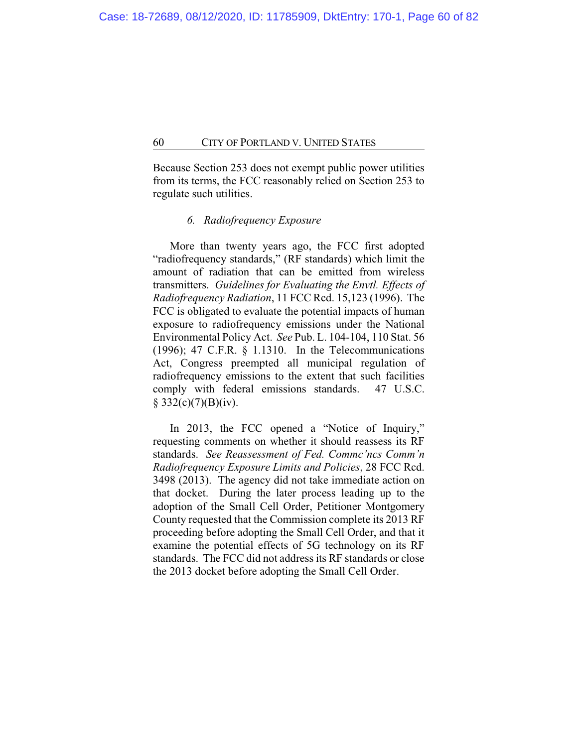Because Section 253 does not exempt public power utilities from its terms, the FCC reasonably relied on Section 253 to regulate such utilities.

# *6. Radiofrequency Exposure*

More than twenty years ago, the FCC first adopted "radiofrequency standards," (RF standards) which limit the amount of radiation that can be emitted from wireless transmitters. *Guidelines for Evaluating the Envtl. Effects of Radiofrequency Radiation*, 11 FCC Rcd. 15,123 (1996). The FCC is obligated to evaluate the potential impacts of human exposure to radiofrequency emissions under the National Environmental Policy Act. *See* Pub. L. 104-104, 110 Stat. 56 (1996); 47 C.F.R. § 1.1310. In the Telecommunications Act, Congress preempted all municipal regulation of radiofrequency emissions to the extent that such facilities comply with federal emissions standards. 47 U.S.C.  $§$  332(c)(7)(B)(iv).

In 2013, the FCC opened a "Notice of Inquiry," requesting comments on whether it should reassess its RF standards. *See Reassessment of Fed. Commc'ncs Comm'n Radiofrequency Exposure Limits and Policies*, 28 FCC Rcd. 3498 (2013). The agency did not take immediate action on that docket. During the later process leading up to the adoption of the Small Cell Order, Petitioner Montgomery County requested that the Commission complete its 2013 RF proceeding before adopting the Small Cell Order, and that it examine the potential effects of 5G technology on its RF standards. The FCC did not address its RF standards or close the 2013 docket before adopting the Small Cell Order.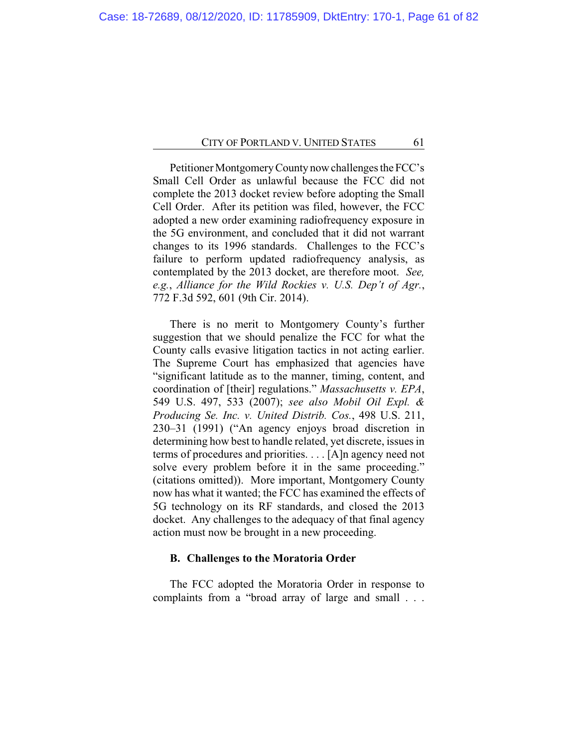Petitioner Montgomery County now challenges the FCC's Small Cell Order as unlawful because the FCC did not complete the 2013 docket review before adopting the Small Cell Order. After its petition was filed, however, the FCC adopted a new order examining radiofrequency exposure in the 5G environment, and concluded that it did not warrant changes to its 1996 standards. Challenges to the FCC's failure to perform updated radiofrequency analysis, as contemplated by the 2013 docket, are therefore moot. *See, e.g.*, *Alliance for the Wild Rockies v. U.S. Dep't of Agr.*, 772 F.3d 592, 601 (9th Cir. 2014).

There is no merit to Montgomery County's further suggestion that we should penalize the FCC for what the County calls evasive litigation tactics in not acting earlier. The Supreme Court has emphasized that agencies have "significant latitude as to the manner, timing, content, and coordination of [their] regulations." *Massachusetts v. EPA*, 549 U.S. 497, 533 (2007); *see also Mobil Oil Expl. & Producing Se. Inc. v. United Distrib. Cos.*, 498 U.S. 211, 230–31 (1991) ("An agency enjoys broad discretion in determining how best to handle related, yet discrete, issues in terms of procedures and priorities. . . . [A]n agency need not solve every problem before it in the same proceeding." (citations omitted)). More important, Montgomery County now has what it wanted; the FCC has examined the effects of 5G technology on its RF standards, and closed the 2013 docket. Any challenges to the adequacy of that final agency action must now be brought in a new proceeding.

### **B. Challenges to the Moratoria Order**

The FCC adopted the Moratoria Order in response to complaints from a "broad array of large and small . . .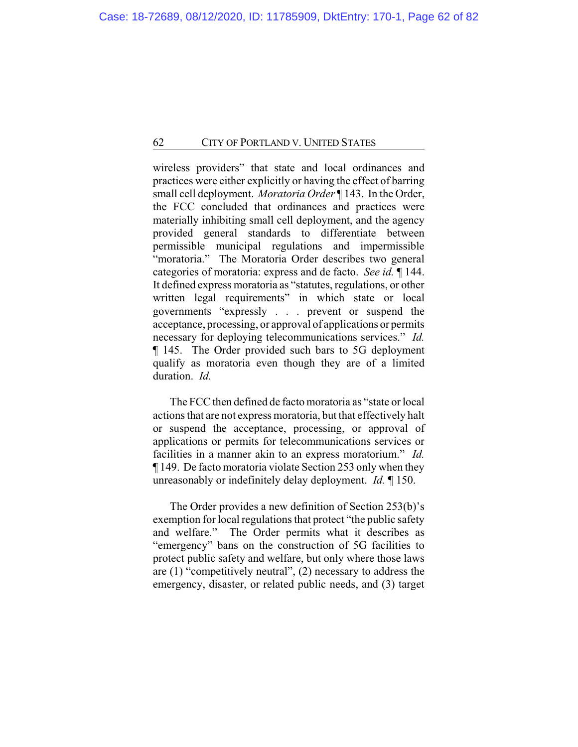wireless providers" that state and local ordinances and practices were either explicitly or having the effect of barring small cell deployment. *Moratoria Order* ¶ 143. In the Order, the FCC concluded that ordinances and practices were materially inhibiting small cell deployment, and the agency provided general standards to differentiate between permissible municipal regulations and impermissible "moratoria." The Moratoria Order describes two general categories of moratoria: express and de facto. *See id.* ¶ 144. It defined express moratoria as "statutes, regulations, or other written legal requirements" in which state or local governments "expressly . . . prevent or suspend the acceptance, processing, or approval of applications or permits necessary for deploying telecommunications services." *Id.* ¶ 145. The Order provided such bars to 5G deployment qualify as moratoria even though they are of a limited duration. *Id.*

The FCC then defined de facto moratoria as "state or local actions that are not express moratoria, but that effectively halt or suspend the acceptance, processing, or approval of applications or permits for telecommunications services or facilities in a manner akin to an express moratorium." *Id.* ¶ 149. De facto moratoria violate Section 253 only when they unreasonably or indefinitely delay deployment. *Id.* ¶ 150.

The Order provides a new definition of Section 253(b)'s exemption for local regulations that protect "the public safety and welfare." The Order permits what it describes as "emergency" bans on the construction of 5G facilities to protect public safety and welfare, but only where those laws are (1) "competitively neutral", (2) necessary to address the emergency, disaster, or related public needs, and (3) target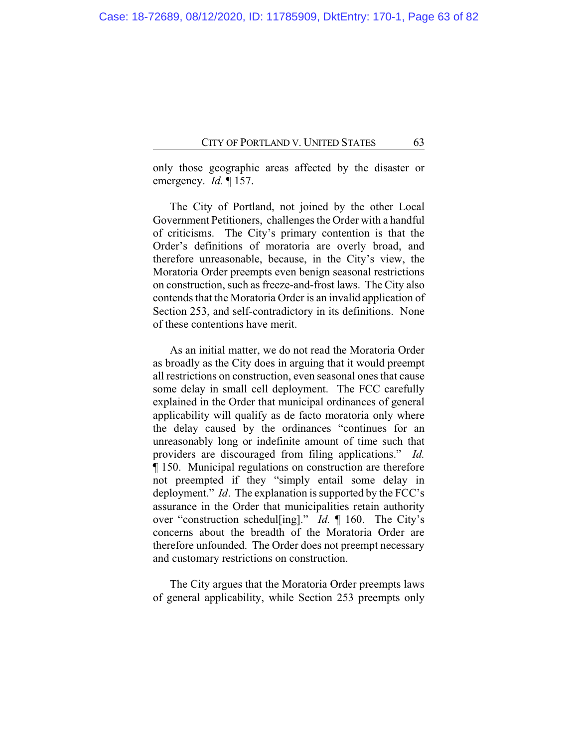only those geographic areas affected by the disaster or emergency. *Id.* ¶ 157.

The City of Portland, not joined by the other Local Government Petitioners, challenges the Order with a handful of criticisms. The City's primary contention is that the Order's definitions of moratoria are overly broad, and therefore unreasonable, because, in the City's view, the Moratoria Order preempts even benign seasonal restrictions on construction, such as freeze-and-frost laws. The City also contends that the Moratoria Order is an invalid application of Section 253, and self-contradictory in its definitions. None of these contentions have merit.

As an initial matter, we do not read the Moratoria Order as broadly as the City does in arguing that it would preempt all restrictions on construction, even seasonal ones that cause some delay in small cell deployment. The FCC carefully explained in the Order that municipal ordinances of general applicability will qualify as de facto moratoria only where the delay caused by the ordinances "continues for an unreasonably long or indefinite amount of time such that providers are discouraged from filing applications." *Id.* ¶ 150. Municipal regulations on construction are therefore not preempted if they "simply entail some delay in deployment." *Id*. The explanation is supported by the FCC's assurance in the Order that municipalities retain authority over "construction schedul[ing]." *Id.* ¶ 160. The City's concerns about the breadth of the Moratoria Order are therefore unfounded. The Order does not preempt necessary and customary restrictions on construction.

The City argues that the Moratoria Order preempts laws of general applicability, while Section 253 preempts only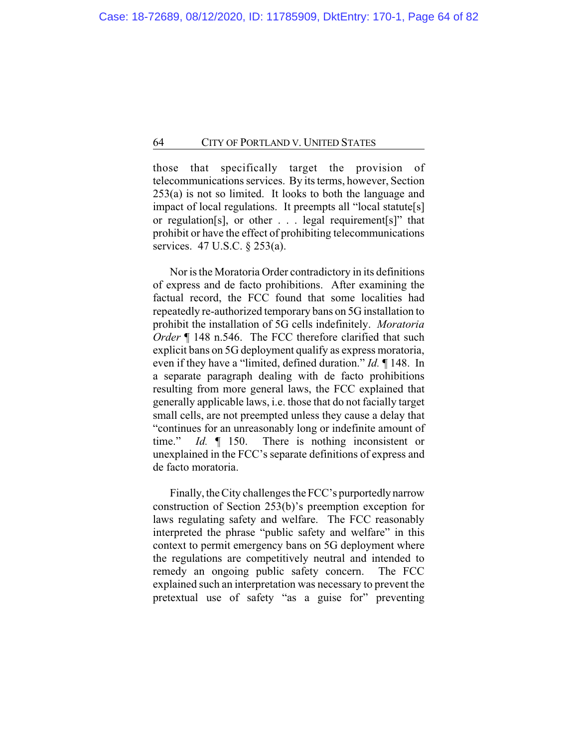those that specifically target the provision of telecommunications services. By its terms, however, Section 253(a) is not so limited. It looks to both the language and impact of local regulations. It preempts all "local statute[s] or regulation[s], or other . . . legal requirement[s]" that prohibit or have the effect of prohibiting telecommunications services. 47 U.S.C. § 253(a).

Nor is the Moratoria Order contradictory in its definitions of express and de facto prohibitions. After examining the factual record, the FCC found that some localities had repeatedly re-authorized temporary bans on 5G installation to prohibit the installation of 5G cells indefinitely. *Moratoria Order* ¶ 148 n.546. The FCC therefore clarified that such explicit bans on 5G deployment qualify as express moratoria, even if they have a "limited, defined duration." *Id.* ¶ 148. In a separate paragraph dealing with de facto prohibitions resulting from more general laws, the FCC explained that generally applicable laws, i.e. those that do not facially target small cells, are not preempted unless they cause a delay that "continues for an unreasonably long or indefinite amount of time." *Id.* ¶ 150. There is nothing inconsistent or unexplained in the FCC's separate definitions of express and de facto moratoria.

Finally, the City challenges the FCC's purportedly narrow construction of Section 253(b)'s preemption exception for laws regulating safety and welfare. The FCC reasonably interpreted the phrase "public safety and welfare" in this context to permit emergency bans on 5G deployment where the regulations are competitively neutral and intended to remedy an ongoing public safety concern. The FCC explained such an interpretation was necessary to prevent the pretextual use of safety "as a guise for" preventing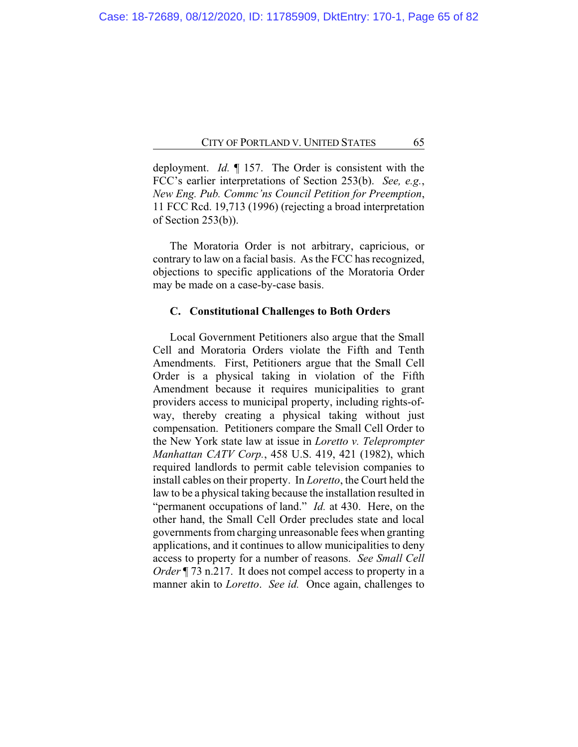deployment. *Id.* ¶ 157. The Order is consistent with the FCC's earlier interpretations of Section 253(b). *See, e.g.*, *New Eng. Pub. Commc'ns Council Petition for Preemption*, 11 FCC Rcd. 19,713 (1996) (rejecting a broad interpretation of Section 253(b)).

The Moratoria Order is not arbitrary, capricious, or contrary to law on a facial basis. As the FCC has recognized, objections to specific applications of the Moratoria Order may be made on a case-by-case basis.

## **C. Constitutional Challenges to Both Orders**

Local Government Petitioners also argue that the Small Cell and Moratoria Orders violate the Fifth and Tenth Amendments. First, Petitioners argue that the Small Cell Order is a physical taking in violation of the Fifth Amendment because it requires municipalities to grant providers access to municipal property, including rights-ofway, thereby creating a physical taking without just compensation. Petitioners compare the Small Cell Order to the New York state law at issue in *Loretto v. Teleprompter Manhattan CATV Corp.*, 458 U.S. 419, 421 (1982), which required landlords to permit cable television companies to install cables on their property. In *Loretto*, the Court held the law to be a physical taking because the installation resulted in "permanent occupations of land." *Id.* at 430. Here, on the other hand, the Small Cell Order precludes state and local governments from charging unreasonable fees when granting applications, and it continues to allow municipalities to deny access to property for a number of reasons. *See Small Cell Order* ¶ 73 n.217. It does not compel access to property in a manner akin to *Loretto*. *See id.* Once again, challenges to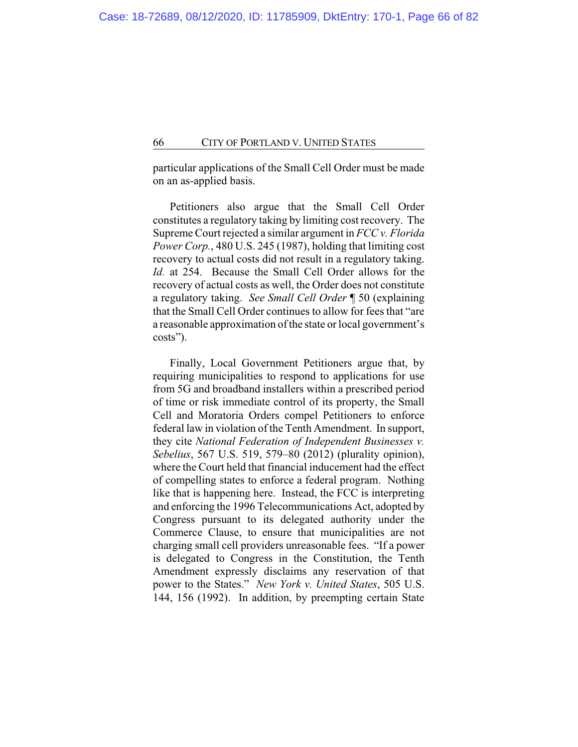particular applications of the Small Cell Order must be made on an as-applied basis.

Petitioners also argue that the Small Cell Order constitutes a regulatory taking by limiting cost recovery. The Supreme Court rejected a similar argument in *FCC v. Florida Power Corp.*, 480 U.S. 245 (1987), holding that limiting cost recovery to actual costs did not result in a regulatory taking. *Id.* at 254. Because the Small Cell Order allows for the recovery of actual costs as well, the Order does not constitute a regulatory taking. *See Small Cell Order* ¶ 50 (explaining that the Small Cell Order continues to allow for fees that "are a reasonable approximation of the state or local government's costs").

Finally, Local Government Petitioners argue that, by requiring municipalities to respond to applications for use from 5G and broadband installers within a prescribed period of time or risk immediate control of its property, the Small Cell and Moratoria Orders compel Petitioners to enforce federal law in violation of the Tenth Amendment. In support, they cite *National Federation of Independent Businesses v. Sebelius*, 567 U.S. 519, 579–80 (2012) (plurality opinion), where the Court held that financial inducement had the effect of compelling states to enforce a federal program. Nothing like that is happening here. Instead, the FCC is interpreting and enforcing the 1996 Telecommunications Act, adopted by Congress pursuant to its delegated authority under the Commerce Clause, to ensure that municipalities are not charging small cell providers unreasonable fees. "If a power is delegated to Congress in the Constitution, the Tenth Amendment expressly disclaims any reservation of that power to the States." *New York v. United States*, 505 U.S. 144, 156 (1992). In addition, by preempting certain State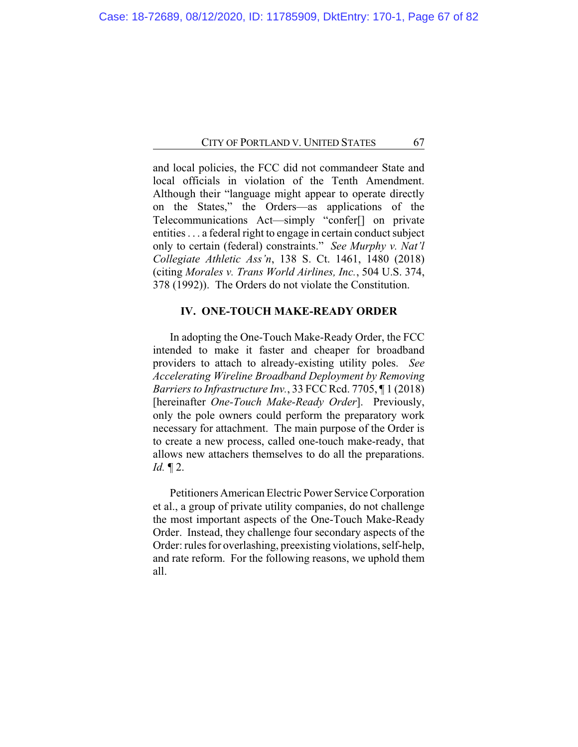and local policies, the FCC did not commandeer State and local officials in violation of the Tenth Amendment. Although their "language might appear to operate directly on the States," the Orders—as applications of the Telecommunications Act—simply "confer[] on private entities . . . a federal right to engage in certain conduct subject only to certain (federal) constraints." *See Murphy v. Nat'l Collegiate Athletic Ass'n*, 138 S. Ct. 1461, 1480 (2018) (citing *Morales v. Trans World Airlines, Inc.*, 504 U.S. 374, 378 (1992)). The Orders do not violate the Constitution.

# **IV. ONE-TOUCH MAKE-READY ORDER**

In adopting the One-Touch Make-Ready Order, the FCC intended to make it faster and cheaper for broadband providers to attach to already-existing utility poles. *See Accelerating Wireline Broadband Deployment by Removing Barriers to Infrastructure Inv.*, 33 FCC Rcd. 7705, ¶ 1 (2018) [hereinafter *One-Touch Make-Ready Order*]. Previously, only the pole owners could perform the preparatory work necessary for attachment. The main purpose of the Order is to create a new process, called one-touch make-ready, that allows new attachers themselves to do all the preparations. *Id.* ¶ 2.

Petitioners American Electric Power Service Corporation et al., a group of private utility companies, do not challenge the most important aspects of the One-Touch Make-Ready Order. Instead, they challenge four secondary aspects of the Order: rules for overlashing, preexisting violations, self-help, and rate reform. For the following reasons, we uphold them all.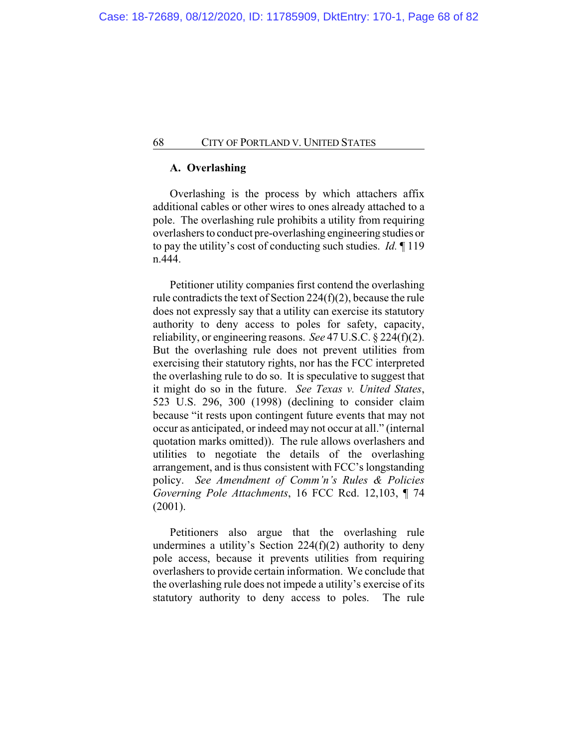## **A. Overlashing**

Overlashing is the process by which attachers affix additional cables or other wires to ones already attached to a pole. The overlashing rule prohibits a utility from requiring overlashers to conduct pre-overlashing engineering studies or to pay the utility's cost of conducting such studies. *Id.* ¶ 119 n.444.

Petitioner utility companies first contend the overlashing rule contradicts the text of Section 224(f)(2), because the rule does not expressly say that a utility can exercise its statutory authority to deny access to poles for safety, capacity, reliability, or engineering reasons. *See* 47 U.S.C. § 224(f)(2). But the overlashing rule does not prevent utilities from exercising their statutory rights, nor has the FCC interpreted the overlashing rule to do so. It is speculative to suggest that it might do so in the future. *See Texas v. United States*, 523 U.S. 296, 300 (1998) (declining to consider claim because "it rests upon contingent future events that may not occur as anticipated, or indeed may not occur at all." (internal quotation marks omitted)). The rule allows overlashers and utilities to negotiate the details of the overlashing arrangement, and is thus consistent with FCC's longstanding policy. *See Amendment of Comm'n's Rules & Policies Governing Pole Attachments*, 16 FCC Rcd. 12,103, ¶ 74 (2001).

Petitioners also argue that the overlashing rule undermines a utility's Section  $224(f)(2)$  authority to deny pole access, because it prevents utilities from requiring overlashers to provide certain information. We conclude that the overlashing rule does not impede a utility's exercise of its statutory authority to deny access to poles. The rule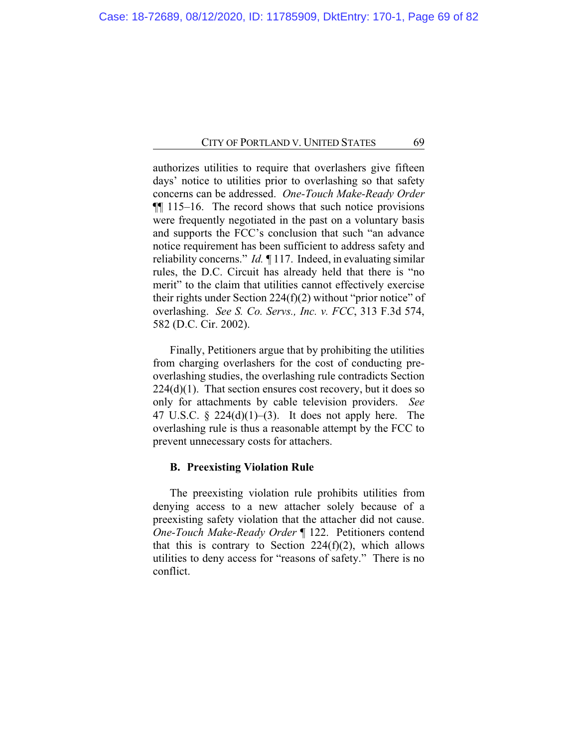authorizes utilities to require that overlashers give fifteen days' notice to utilities prior to overlashing so that safety concerns can be addressed. *One-Touch Make-Ready Order* ¶¶ 115–16. The record shows that such notice provisions were frequently negotiated in the past on a voluntary basis and supports the FCC's conclusion that such "an advance notice requirement has been sufficient to address safety and reliability concerns." *Id. ¶* 117. Indeed, in evaluating similar rules, the D.C. Circuit has already held that there is "no merit" to the claim that utilities cannot effectively exercise their rights under Section 224(f)(2) without "prior notice" of overlashing. *See S. Co. Servs., Inc. v. FCC*, 313 F.3d 574, 582 (D.C. Cir. 2002).

Finally, Petitioners argue that by prohibiting the utilities from charging overlashers for the cost of conducting preoverlashing studies, the overlashing rule contradicts Section  $224(d)(1)$ . That section ensures cost recovery, but it does so only for attachments by cable television providers. *See* 47 U.S.C.  $\S$  224(d)(1)–(3). It does not apply here. The overlashing rule is thus a reasonable attempt by the FCC to prevent unnecessary costs for attachers.

### **B. Preexisting Violation Rule**

The preexisting violation rule prohibits utilities from denying access to a new attacher solely because of a preexisting safety violation that the attacher did not cause. *One-Touch Make-Ready Order* ¶ 122. Petitioners contend that this is contrary to Section  $224(f)(2)$ , which allows utilities to deny access for "reasons of safety." There is no conflict.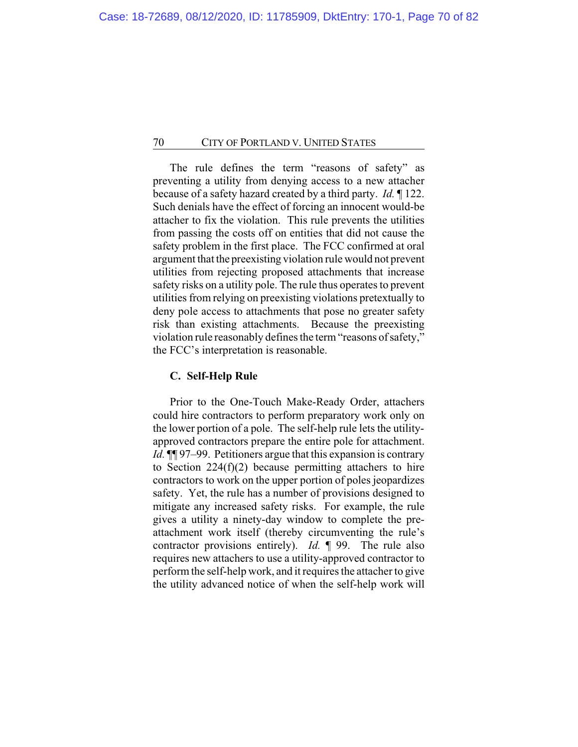The rule defines the term "reasons of safety" as preventing a utility from denying access to a new attacher because of a safety hazard created by a third party. *Id.* ¶ 122. Such denials have the effect of forcing an innocent would-be attacher to fix the violation. This rule prevents the utilities from passing the costs off on entities that did not cause the safety problem in the first place. The FCC confirmed at oral argument that the preexisting violation rule would not prevent utilities from rejecting proposed attachments that increase safety risks on a utility pole. The rule thus operates to prevent utilities from relying on preexisting violations pretextually to deny pole access to attachments that pose no greater safety risk than existing attachments. Because the preexisting violation rule reasonably defines the term "reasons of safety," the FCC's interpretation is reasonable.

## **C. Self-Help Rule**

Prior to the One-Touch Make-Ready Order, attachers could hire contractors to perform preparatory work only on the lower portion of a pole. The self-help rule lets the utilityapproved contractors prepare the entire pole for attachment. *Id.* ¶¶ 97–99. Petitioners argue that this expansion is contrary to Section  $224(f)(2)$  because permitting attachers to hire contractors to work on the upper portion of poles jeopardizes safety. Yet, the rule has a number of provisions designed to mitigate any increased safety risks. For example, the rule gives a utility a ninety-day window to complete the preattachment work itself (thereby circumventing the rule's contractor provisions entirely). *Id.* ¶ 99. The rule also requires new attachers to use a utility-approved contractor to perform the self-help work, and it requires the attacher to give the utility advanced notice of when the self-help work will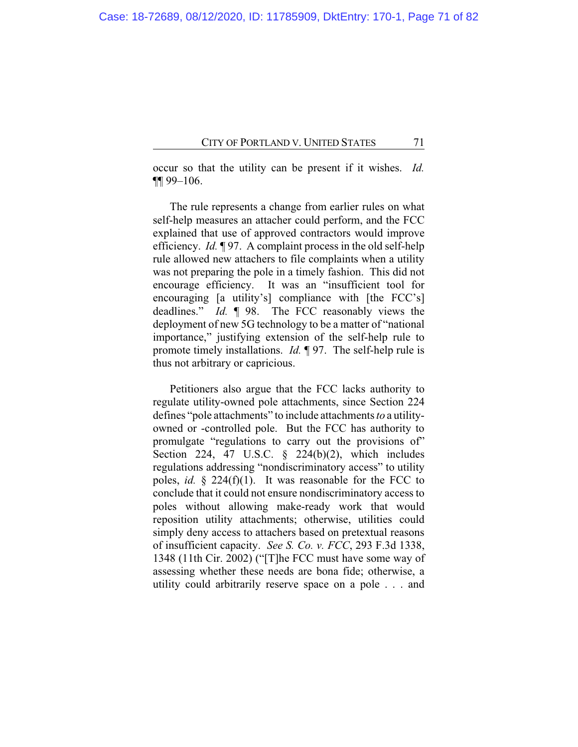occur so that the utility can be present if it wishes. *Id.* ¶¶ 99–106.

The rule represents a change from earlier rules on what self-help measures an attacher could perform, and the FCC explained that use of approved contractors would improve efficiency. *Id.* ¶ 97. A complaint process in the old self-help rule allowed new attachers to file complaints when a utility was not preparing the pole in a timely fashion. This did not encourage efficiency. It was an "insufficient tool for encouraging [a utility's] compliance with [the FCC's] deadlines." *Id.* ¶ 98. The FCC reasonably views the deployment of new 5G technology to be a matter of "national importance," justifying extension of the self-help rule to promote timely installations. *Id.* ¶ 97. The self-help rule is thus not arbitrary or capricious.

Petitioners also argue that the FCC lacks authority to regulate utility-owned pole attachments, since Section 224 defines "pole attachments" to include attachments *to* a utilityowned or -controlled pole. But the FCC has authority to promulgate "regulations to carry out the provisions of" Section 224, 47 U.S.C. § 224(b)(2), which includes regulations addressing "nondiscriminatory access" to utility poles, *id.* § 224(f)(1). It was reasonable for the FCC to conclude that it could not ensure nondiscriminatory access to poles without allowing make-ready work that would reposition utility attachments; otherwise, utilities could simply deny access to attachers based on pretextual reasons of insufficient capacity. *See S. Co. v. FCC*, 293 F.3d 1338, 1348 (11th Cir. 2002) ("[T]he FCC must have some way of assessing whether these needs are bona fide; otherwise, a utility could arbitrarily reserve space on a pole . . . and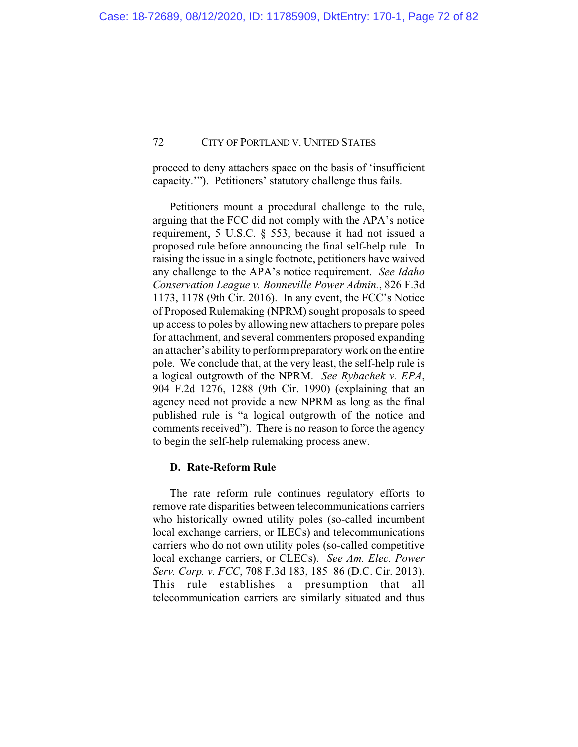proceed to deny attachers space on the basis of 'insufficient capacity.'"). Petitioners' statutory challenge thus fails.

Petitioners mount a procedural challenge to the rule, arguing that the FCC did not comply with the APA's notice requirement, 5 U.S.C. § 553, because it had not issued a proposed rule before announcing the final self-help rule. In raising the issue in a single footnote, petitioners have waived any challenge to the APA's notice requirement. *See Idaho Conservation League v. Bonneville Power Admin.*, 826 F.3d 1173, 1178 (9th Cir. 2016). In any event, the FCC's Notice of Proposed Rulemaking (NPRM) sought proposals to speed up access to poles by allowing new attachers to prepare poles for attachment, and several commenters proposed expanding an attacher's ability to perform preparatory work on the entire pole. We conclude that, at the very least, the self-help rule is a logical outgrowth of the NPRM. *See Rybachek v. EPA*, 904 F.2d 1276, 1288 (9th Cir. 1990) (explaining that an agency need not provide a new NPRM as long as the final published rule is "a logical outgrowth of the notice and comments received"). There is no reason to force the agency to begin the self-help rulemaking process anew.

## **D. Rate-Reform Rule**

The rate reform rule continues regulatory efforts to remove rate disparities between telecommunications carriers who historically owned utility poles (so-called incumbent) local exchange carriers, or ILECs) and telecommunications carriers who do not own utility poles (so-called competitive local exchange carriers, or CLECs). *See Am. Elec. Power Serv. Corp. v. FCC*, 708 F.3d 183, 185–86 (D.C. Cir. 2013). This rule establishes a presumption that all telecommunication carriers are similarly situated and thus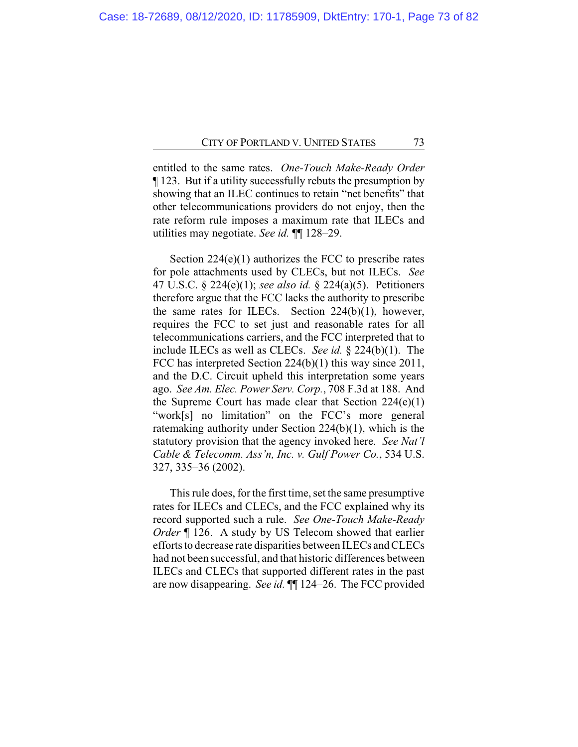entitled to the same rates. *One-Touch Make-Ready Order* ¶ 123. But if a utility successfully rebuts the presumption by showing that an ILEC continues to retain "net benefits" that other telecommunications providers do not enjoy, then the rate reform rule imposes a maximum rate that ILECs and utilities may negotiate. *See id.* ¶¶ 128–29.

Section  $224(e)(1)$  authorizes the FCC to prescribe rates for pole attachments used by CLECs, but not ILECs. *See* 47 U.S.C. § 224(e)(1); *see also id.* § 224(a)(5). Petitioners therefore argue that the FCC lacks the authority to prescribe the same rates for ILECs. Section 224(b)(1), however, requires the FCC to set just and reasonable rates for all telecommunications carriers, and the FCC interpreted that to include ILECs as well as CLECs. *See id.* § 224(b)(1). The FCC has interpreted Section 224(b)(1) this way since 2011, and the D.C. Circuit upheld this interpretation some years ago. *See Am. Elec. Power Serv. Corp.*, 708 F.3d at 188. And the Supreme Court has made clear that Section  $224(e)(1)$ "work[s] no limitation" on the FCC's more general ratemaking authority under Section 224(b)(1), which is the statutory provision that the agency invoked here. *See Nat'l Cable & Telecomm. Ass'n, Inc. v. Gulf Power Co.*, 534 U.S. 327, 335–36 (2002).

This rule does, for the first time, set the same presumptive rates for ILECs and CLECs, and the FCC explained why its record supported such a rule. *See One-Touch Make-Ready Order* ¶ 126. A study by US Telecom showed that earlier efforts to decrease rate disparities between ILECs and CLECs had not been successful, and that historic differences between ILECs and CLECs that supported different rates in the past are now disappearing. *See id.* ¶¶ 124–26. The FCC provided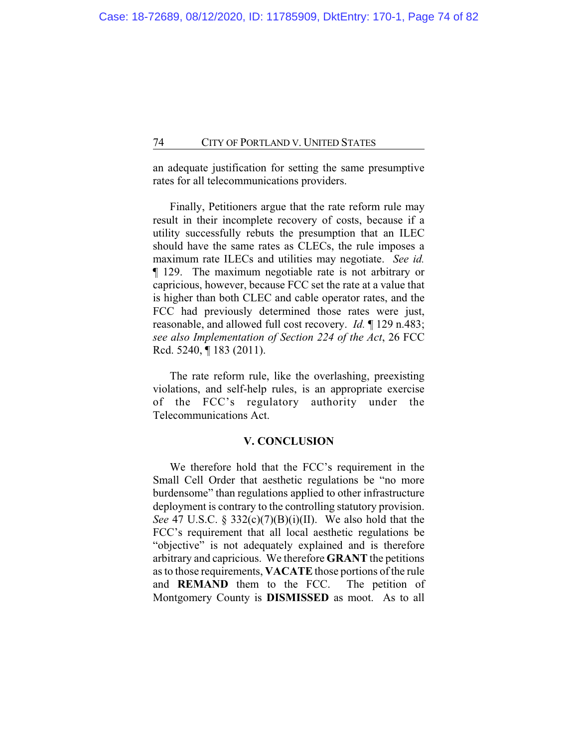an adequate justification for setting the same presumptive rates for all telecommunications providers.

Finally, Petitioners argue that the rate reform rule may result in their incomplete recovery of costs, because if a utility successfully rebuts the presumption that an ILEC should have the same rates as CLECs, the rule imposes a maximum rate ILECs and utilities may negotiate. *See id.* ¶ 129. The maximum negotiable rate is not arbitrary or capricious, however, because FCC set the rate at a value that is higher than both CLEC and cable operator rates, and the FCC had previously determined those rates were just, reasonable, and allowed full cost recovery. *Id.* ¶ 129 n.483; *see also Implementation of Section 224 of the Act*, 26 FCC Rcd. 5240, ¶ 183 (2011).

The rate reform rule, like the overlashing, preexisting violations, and self-help rules, is an appropriate exercise of the FCC's regulatory authority under the Telecommunications Act.

#### **V. CONCLUSION**

We therefore hold that the FCC's requirement in the Small Cell Order that aesthetic regulations be "no more burdensome" than regulations applied to other infrastructure deployment is contrary to the controlling statutory provision. *See* 47 U.S.C. § 332(c)(7)(B)(i)(II). We also hold that the FCC's requirement that all local aesthetic regulations be "objective" is not adequately explained and is therefore arbitrary and capricious. We therefore **GRANT** the petitions as to those requirements, **VACATE** those portions of the rule and **REMAND** them to the FCC. The petition of Montgomery County is **DISMISSED** as moot. As to all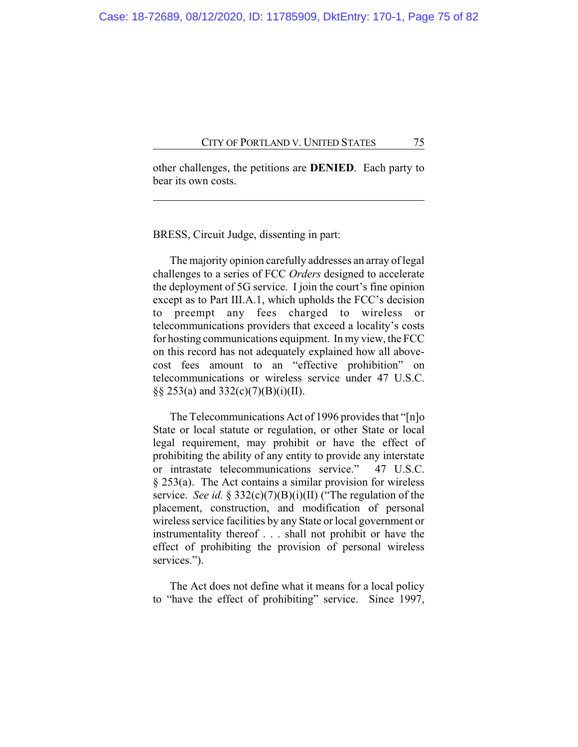other challenges, the petitions are **DENIED**. Each party to bear its own costs.

BRESS, Circuit Judge, dissenting in part:

The majority opinion carefully addresses an array of legal challenges to a series of FCC *Orders* designed to accelerate the deployment of 5G service. I join the court's fine opinion except as to Part III.A.1, which upholds the FCC's decision to preempt any fees charged to wireless or telecommunications providers that exceed a locality's costs for hosting communications equipment. In my view, the FCC on this record has not adequately explained how all abovecost fees amount to an "effective prohibition" on telecommunications or wireless service under 47 U.S.C. §§ 253(a) and 332(c)(7)(B)(i)(II).

The Telecommunications Act of 1996 provides that "[n]o State or local statute or regulation, or other State or local legal requirement, may prohibit or have the effect of prohibiting the ability of any entity to provide any interstate or intrastate telecommunications service." 47 U.S.C. § 253(a). The Act contains a similar provision for wireless service. *See id.* § 332(c)(7)(B)(i)(II) ("The regulation of the placement, construction, and modification of personal wireless service facilities by any State or local government or instrumentality thereof . . . shall not prohibit or have the effect of prohibiting the provision of personal wireless services.").

The Act does not define what it means for a local policy to "have the effect of prohibiting" service. Since 1997,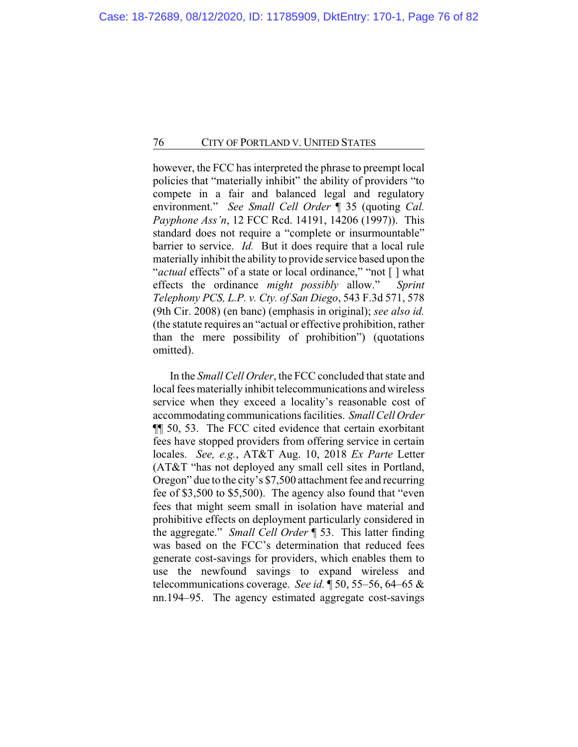however, the FCC has interpreted the phrase to preempt local policies that "materially inhibit" the ability of providers "to compete in a fair and balanced legal and regulatory environment." *See Small Cell Order* ¶ 35 (quoting *Cal. Payphone Ass'n*, 12 FCC Rcd. 14191, 14206 (1997)). This standard does not require a "complete or insurmountable" barrier to service. *Id.* But it does require that a local rule materially inhibit the ability to provide service based upon the "*actual* effects" of a state or local ordinance," "not [] what effects the ordinance *might possibly* allow." *Sprint Telephony PCS, L.P. v. Cty. of San Diego*, 543 F.3d 571, 578 (9th Cir. 2008) (en banc) (emphasis in original); *see also id.* (the statute requires an "actual or effective prohibition, rather than the mere possibility of prohibition") (quotations omitted).

In the *Small Cell Order*, the FCC concluded that state and local fees materially inhibit telecommunications and wireless service when they exceed a locality's reasonable cost of accommodating communications facilities. *Small Cell Order* ¶¶ 50, 53. The FCC cited evidence that certain exorbitant fees have stopped providers from offering service in certain locales. *See, e.g.*, AT&T Aug. 10, 2018 *Ex Parte* Letter (AT&T "has not deployed any small cell sites in Portland, Oregon" due to the city's \$7,500 attachment fee and recurring fee of \$3,500 to \$5,500). The agency also found that "even fees that might seem small in isolation have material and prohibitive effects on deployment particularly considered in the aggregate." *Small Cell Order* ¶ 53. This latter finding was based on the FCC's determination that reduced fees generate cost-savings for providers, which enables them to use the newfound savings to expand wireless and telecommunications coverage. *See id.* ¶ 50, 55–56, 64–65 & nn.194–95. The agency estimated aggregate cost-savings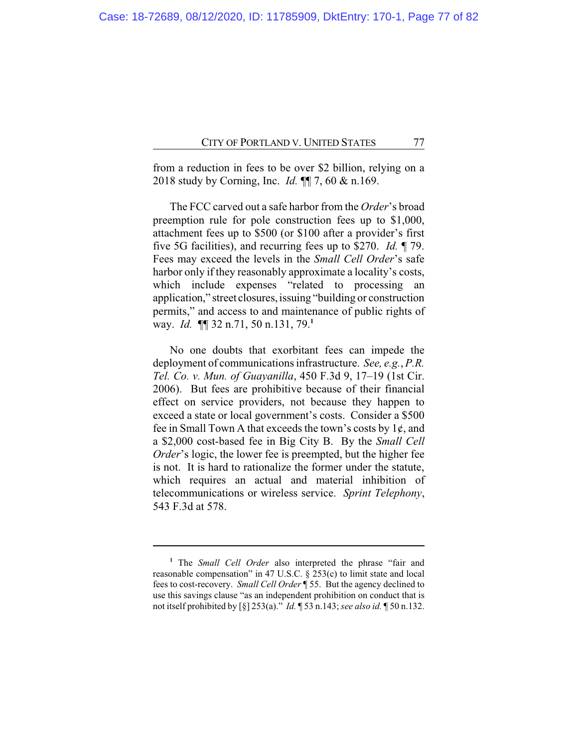from a reduction in fees to be over \$2 billion, relying on a 2018 study by Corning, Inc. *Id.* ¶¶ 7, 60 & n.169.

The FCC carved out a safe harbor from the *Order*'s broad preemption rule for pole construction fees up to \$1,000, attachment fees up to \$500 (or \$100 after a provider's first five 5G facilities), and recurring fees up to \$270. *Id.* ¶ 79. Fees may exceed the levels in the *Small Cell Order*'s safe harbor only if they reasonably approximate a locality's costs, which include expenses "related to processing an application," street closures, issuing "building or construction permits," and access to and maintenance of public rights of way. *Id.* ¶¶ 32 n.71, 50 n.131, 79.**<sup>1</sup>**

No one doubts that exorbitant fees can impede the deployment of communications infrastructure. *See, e.g.*, *P.R. Tel. Co. v. Mun. of Guayanilla*, 450 F.3d 9, 17–19 (1st Cir. 2006). But fees are prohibitive because of their financial effect on service providers, not because they happen to exceed a state or local government's costs. Consider a \$500 fee in Small Town A that exceeds the town's costs by  $1¢$ , and a \$2,000 cost-based fee in Big City B. By the *Small Cell Order*'s logic, the lower fee is preempted, but the higher fee is not. It is hard to rationalize the former under the statute, which requires an actual and material inhibition of telecommunications or wireless service. *Sprint Telephony*, 543 F.3d at 578.

**<sup>1</sup>** The *Small Cell Order* also interpreted the phrase "fair and reasonable compensation" in 47 U.S.C. § 253(c) to limit state and local fees to cost-recovery. *Small Cell Order* ¶ 55. But the agency declined to use this savings clause "as an independent prohibition on conduct that is not itself prohibited by [§] 253(a)." *Id.* ¶ 53 n.143; *see also id.* ¶ 50 n.132.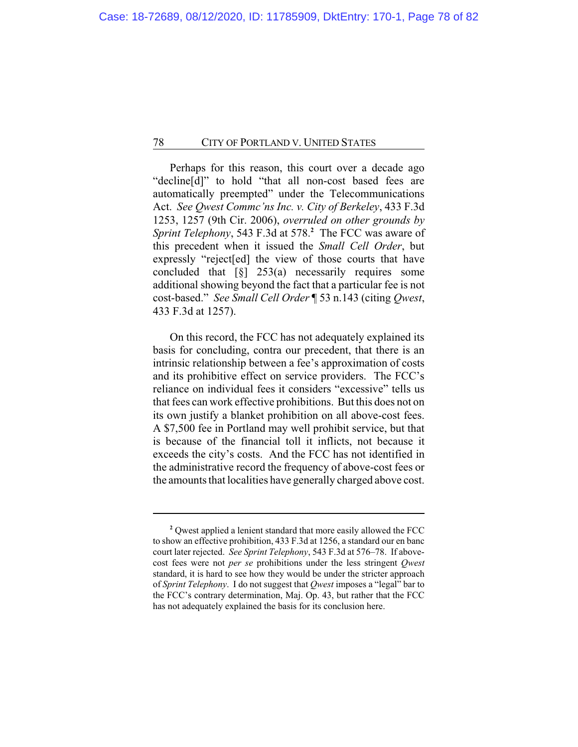Perhaps for this reason, this court over a decade ago "decline[d]" to hold "that all non-cost based fees are automatically preempted" under the Telecommunications Act. *See Qwest Commc'ns Inc. v. City of Berkeley*, 433 F.3d 1253, 1257 (9th Cir. 2006), *overruled on other grounds by Sprint Telephony*, 543 F.3d at 578.**<sup>2</sup>** The FCC was aware of this precedent when it issued the *Small Cell Order*, but expressly "reject[ed] the view of those courts that have concluded that  $\lceil \xi \rceil$  253(a) necessarily requires some additional showing beyond the fact that a particular fee is not cost-based." *See Small Cell Order* ¶ 53 n.143 (citing *Qwest*, 433 F.3d at 1257).

On this record, the FCC has not adequately explained its basis for concluding, contra our precedent, that there is an intrinsic relationship between a fee's approximation of costs and its prohibitive effect on service providers. The FCC's reliance on individual fees it considers "excessive" tells us that fees can work effective prohibitions. But this does not on its own justify a blanket prohibition on all above-cost fees. A \$7,500 fee in Portland may well prohibit service, but that is because of the financial toll it inflicts, not because it exceeds the city's costs. And the FCC has not identified in the administrative record the frequency of above-cost fees or the amounts that localities have generally charged above cost.

**<sup>2</sup>** Qwest applied a lenient standard that more easily allowed the FCC to show an effective prohibition, 433 F.3d at 1256, a standard our en banc court later rejected. *See Sprint Telephony*, 543 F.3d at 576–78. If abovecost fees were not *per se* prohibitions under the less stringent *Qwest* standard, it is hard to see how they would be under the stricter approach of *Sprint Telephony*. I do not suggest that *Qwest* imposes a "legal" bar to the FCC's contrary determination, Maj. Op. 43, but rather that the FCC has not adequately explained the basis for its conclusion here.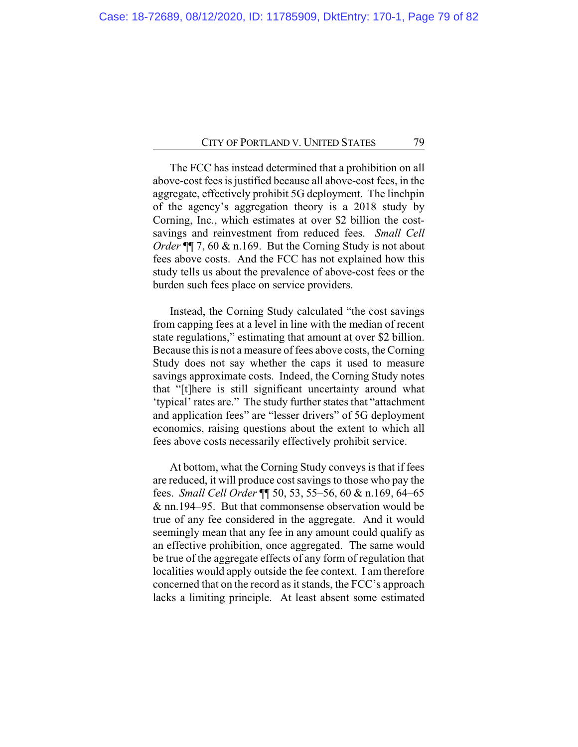The FCC has instead determined that a prohibition on all above-cost fees is justified because all above-cost fees, in the aggregate, effectively prohibit 5G deployment. The linchpin of the agency's aggregation theory is a 2018 study by Corning, Inc., which estimates at over \$2 billion the costsavings and reinvestment from reduced fees. *Small Cell Order* ¶ 7, 60 & n.169. But the Corning Study is not about fees above costs. And the FCC has not explained how this study tells us about the prevalence of above-cost fees or the burden such fees place on service providers.

Instead, the Corning Study calculated "the cost savings from capping fees at a level in line with the median of recent state regulations," estimating that amount at over \$2 billion. Because this is not a measure of fees above costs, the Corning Study does not say whether the caps it used to measure savings approximate costs. Indeed, the Corning Study notes that "[t]here is still significant uncertainty around what 'typical' rates are." The study further states that "attachment and application fees" are "lesser drivers" of 5G deployment economics, raising questions about the extent to which all fees above costs necessarily effectively prohibit service.

At bottom, what the Corning Study conveys is that if fees are reduced, it will produce cost savings to those who pay the fees. *Small Cell Order* ¶¶ 50, 53, 55–56, 60 & n.169, 64–65 & nn.194–95. But that commonsense observation would be true of any fee considered in the aggregate. And it would seemingly mean that any fee in any amount could qualify as an effective prohibition, once aggregated. The same would be true of the aggregate effects of any form of regulation that localities would apply outside the fee context. I am therefore concerned that on the record as it stands, the FCC's approach lacks a limiting principle. At least absent some estimated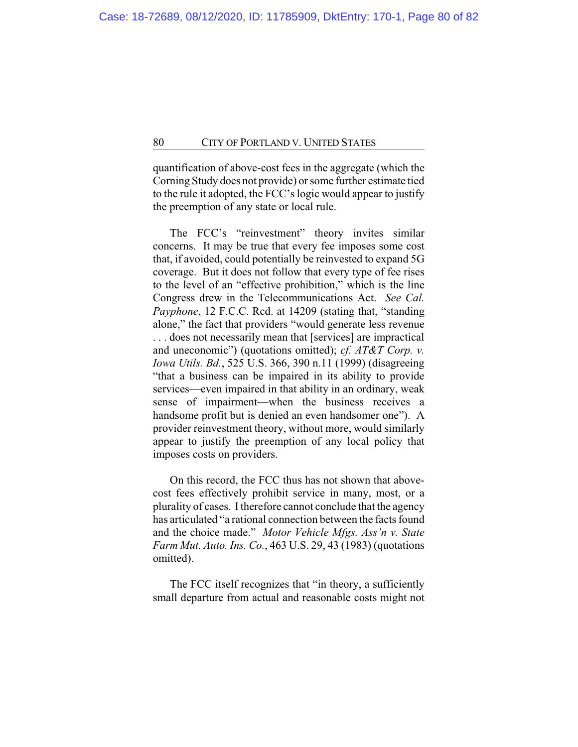quantification of above-cost fees in the aggregate (which the Corning Study does not provide) or some further estimate tied to the rule it adopted, the FCC's logic would appear to justify the preemption of any state or local rule.

The FCC's "reinvestment" theory invites similar concerns. It may be true that every fee imposes some cost that, if avoided, could potentially be reinvested to expand 5G coverage. But it does not follow that every type of fee rises to the level of an "effective prohibition," which is the line Congress drew in the Telecommunications Act. *See Cal. Payphone*, 12 F.C.C. Rcd. at 14209 (stating that, "standing alone," the fact that providers "would generate less revenue . . . does not necessarily mean that [services] are impractical and uneconomic") (quotations omitted); *cf. AT&T Corp. v. Iowa Utils. Bd.*, 525 U.S. 366, 390 n.11 (1999) (disagreeing "that a business can be impaired in its ability to provide services—even impaired in that ability in an ordinary, weak sense of impairment—when the business receives a handsome profit but is denied an even handsomer one"). A provider reinvestment theory, without more, would similarly appear to justify the preemption of any local policy that imposes costs on providers.

On this record, the FCC thus has not shown that abovecost fees effectively prohibit service in many, most, or a plurality of cases. I therefore cannot conclude that the agency has articulated "a rational connection between the facts found and the choice made." *Motor Vehicle Mfgs. Ass'n v. State Farm Mut. Auto. Ins. Co.*, 463 U.S. 29, 43 (1983) (quotations omitted).

The FCC itself recognizes that "in theory, a sufficiently small departure from actual and reasonable costs might not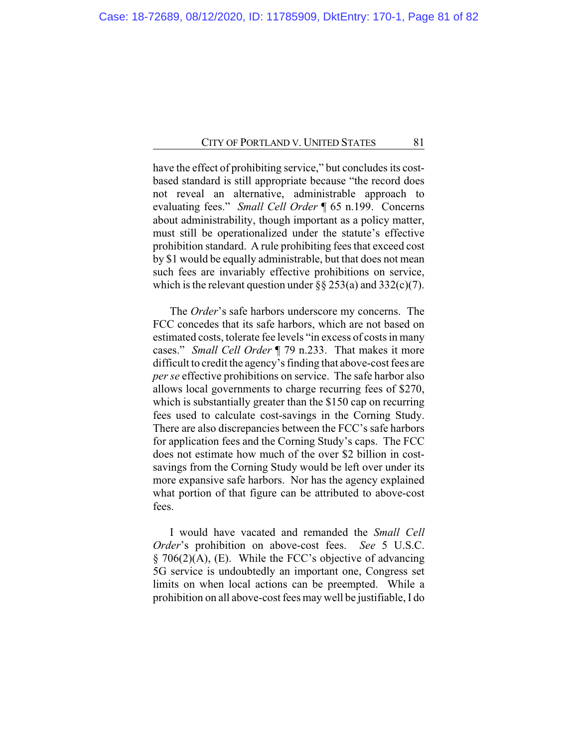have the effect of prohibiting service," but concludes its costbased standard is still appropriate because "the record does not reveal an alternative, administrable approach to evaluating fees." *Small Cell Order* ¶ 65 n.199. Concerns about administrability, though important as a policy matter, must still be operationalized under the statute's effective prohibition standard. A rule prohibiting fees that exceed cost by \$1 would be equally administrable, but that does not mean such fees are invariably effective prohibitions on service, which is the relevant question under  $\S\S 253(a)$  and  $332(c)(7)$ .

The *Order*'s safe harbors underscore my concerns. The FCC concedes that its safe harbors, which are not based on estimated costs, tolerate fee levels "in excess of costs in many cases." *Small Cell Order* ¶ 79 n.233. That makes it more difficult to credit the agency's finding that above-cost fees are *per se* effective prohibitions on service. The safe harbor also allows local governments to charge recurring fees of \$270, which is substantially greater than the \$150 cap on recurring fees used to calculate cost-savings in the Corning Study. There are also discrepancies between the FCC's safe harbors for application fees and the Corning Study's caps. The FCC does not estimate how much of the over \$2 billion in costsavings from the Corning Study would be left over under its more expansive safe harbors. Nor has the agency explained what portion of that figure can be attributed to above-cost fees.

I would have vacated and remanded the *Small Cell Order*'s prohibition on above-cost fees. *See* 5 U.S.C. § 706(2)(A), (E). While the FCC's objective of advancing 5G service is undoubtedly an important one, Congress set limits on when local actions can be preempted. While a prohibition on all above-cost fees may well be justifiable, I do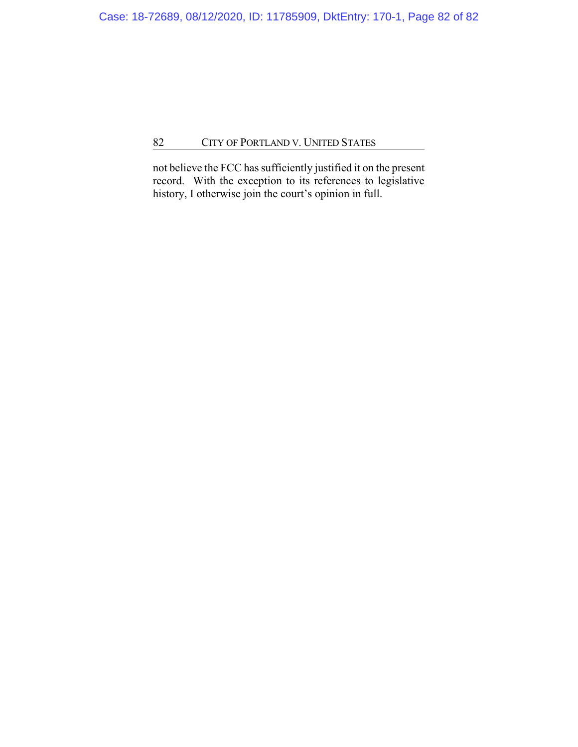not believe the FCC has sufficiently justified it on the present record. With the exception to its references to legislative history, I otherwise join the court's opinion in full.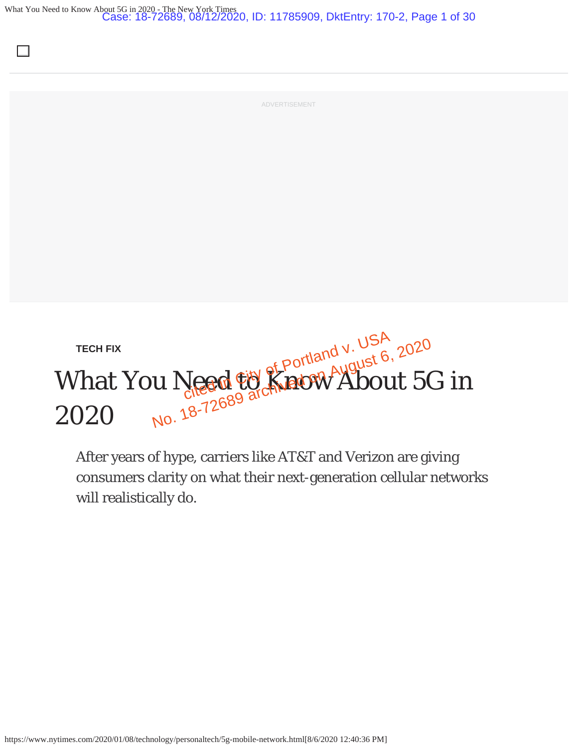What You Need to Know About 5G in 2020 - The New York Times Case: 18-72689, 08/12/2020, ID: 11785909, DktEntry: 170-2, Page 1 of 30



After years of hype, carriers like AT&T and Verizon are giving consumers clarity on what their next-generation cellular networks will realistically do.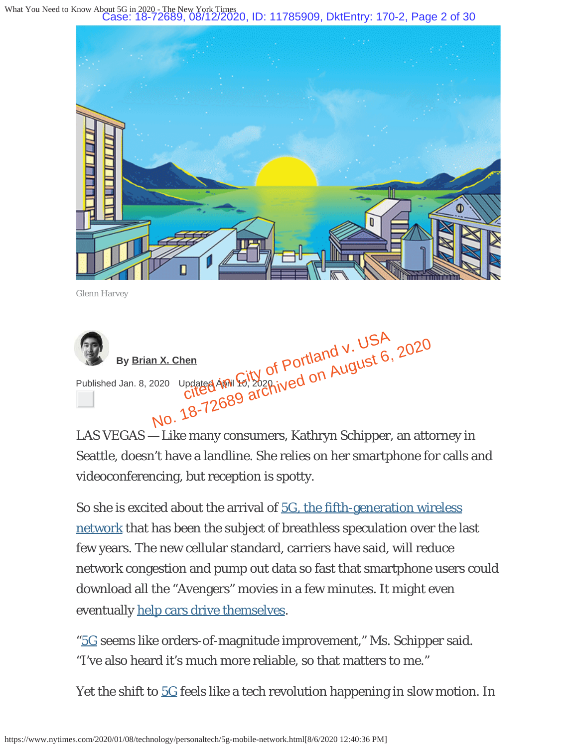What You Need to Know About 5G in 2020 <sub>York Times</sub><br>8/12/2020, ID: 11785909, DktEntry: 170-2, Page 2 of 30



Glenn Harvey



LAS VEGAS — Like many consumers, Kathryn Schipper, an attorney in Seattle, doesn't have a landline. She relies on her smartphone for calls and videoconferencing, but reception is spotty.

So she is excited about the arrival of 5G, the fifth-generation wireless network that has been the subject of breathless speculation over the last few years. The new cellular standard, carriers have said, will reduce network congestion and pump out data so fast that smartphone users could download all the "Avengers" movies in a few minutes. It might even eventually help cars drive themselves.

"5G seems like orders-of-magnitude improvement," Ms. Schipper said. "I've also heard it's much more reliable, so that matters to me."

Yet the shift to 5G feels like a tech revolution happening in slow motion. In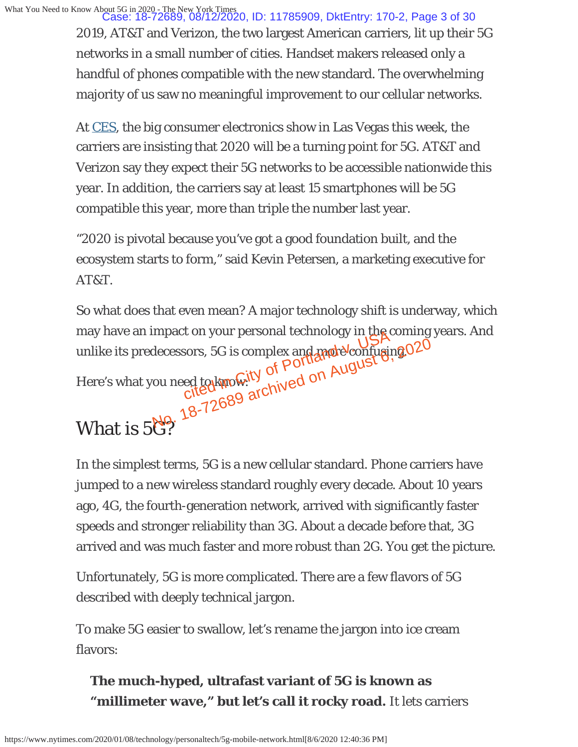What You Need to Know About 5G in 2020 - The New York Times Case: 18-72689, 08/12/2020, ID: 11785909, DktEntry: 170-2, Page 3 of 30

2019, AT&T and Verizon, the two largest American carriers, lit up their 5G networks in a small number of cities. Handset makers released only a handful of phones compatible with the new standard. The overwhelming majority of us saw no meaningful improvement to our cellular networks.

At CES, the big consumer electronics show in Las Vegas this week, the carriers are insisting that 2020 will be a turning point for 5G. AT&T and Verizon say they expect their 5G networks to be accessible nationwide this year. In addition, the carriers say at least 15 smartphones will be 5G compatible this year, more than triple the number last year.

"2020 is pivotal because you've got a good foundation built, and the ecosystem starts to form," said Kevin Petersen, a marketing executive for AT&T.

So what does that even mean? A major technology shift is underway, which may have an impact on your personal technology in the coming years. And unlike its predecessors, 5G is complex and more confusing. cion your personal technology in the corrections, sc is complex and model confusingly of Portland and Muguster,<br>ed to know ity of Portland and Muguster, decessors, 5G is complex and model confusing 020<br>ou need to kinowity of Port August<br>Cited archived on August<br>Ng. 18-72689 archived

Here's what you need to know:

# What is 5G?

In the simplest terms, 5G is a new cellular standard. Phone carriers have jumped to a new wireless standard roughly every decade. About 10 years ago, 4G, the fourth-generation network, arrived with significantly faster speeds and stronger reliability than 3G. About a decade before that, 3G arrived and was much faster and more robust than 2G. You get the picture.

Unfortunately, 5G is more complicated. There are a few flavors of 5G described with deeply technical jargon.

To make 5G easier to swallow, let's rename the jargon into ice cream flavors:

### **The much-hyped, ultrafast variant of 5G is known as** "millimeter wave," but let's call it rocky road. It lets carriers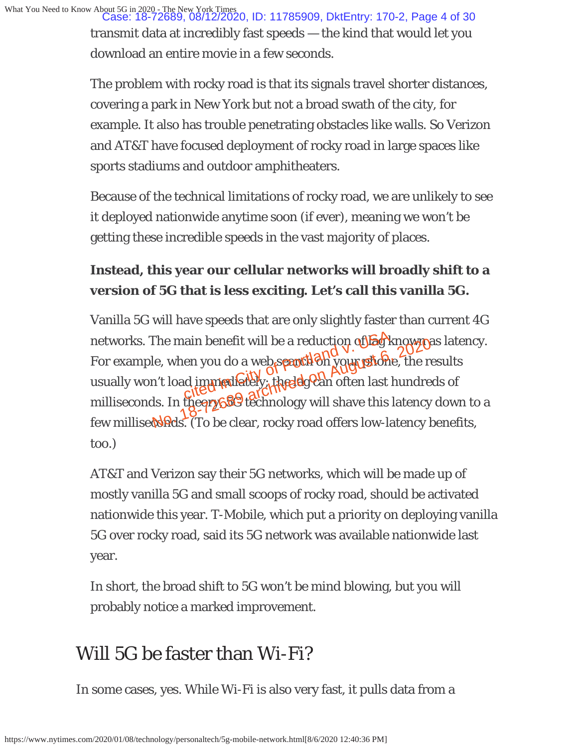What You Need to Know About 5G in 2020 - The New York Times Case: 18-72689, 08/12/2020, ID: 11785909, DktEntry: 170-2, Page 4 of 30transmit data at incredibly fast speeds — the kind that would let you download an entire movie in a few seconds.

> The problem with rocky road is that its signals travel shorter distances, covering a park in New York but not a broad swath of the city, for example. It also has trouble penetrating obstacles like walls. So Verizon and AT&T have focused deployment of rocky road in large spaces like sports stadiums and outdoor amphitheaters.

> Because of the technical limitations of rocky road, we are unlikely to see it deployed nationwide anytime soon (if ever), meaning we won't be getting these incredible speeds in the vast majority of places.

### **Instead, this year our cellular networks will broadly shift to a version of 5G that is less exciting. Let's call this vanilla 5G.**

Vanilla 5G will have speeds that are only slightly faster than current 4G networks. The main benefit will be a reduction of **lag** known as latency. For example, when you do a web spant on your phone, the results usually won't load immigdiately; the lag can often last hundreds of milliseconds. In the orge of technology will shave this latency down to a few millised and S. (To be clear, rocky road offers low-latency benefits, too.) ain benefit will be a reduction of Eg k<br>en you do a web seanth on your profit of The main benefit will be a reduction other known<br>le, when you do a web spantled your phone, the relation<br>in the cited of an offen last hundre<br>ds. In the erg of a different offen last hundre<br>ds. In the erg of a different sh

AT&T and Verizon say their 5G networks, which will be made up of mostly vanilla 5G and small scoops of rocky road, should be activated nationwide this year. T-Mobile, which put a priority on deploying vanilla 5G over rocky road, said its 5G network was available nationwide last year.

In short, the broad shift to 5G won't be mind blowing, but you will probably notice a marked improvement.

# Will 5G be faster than Wi-Fi?

In some cases, yes. While Wi-Fi is also very fast, it pulls data from a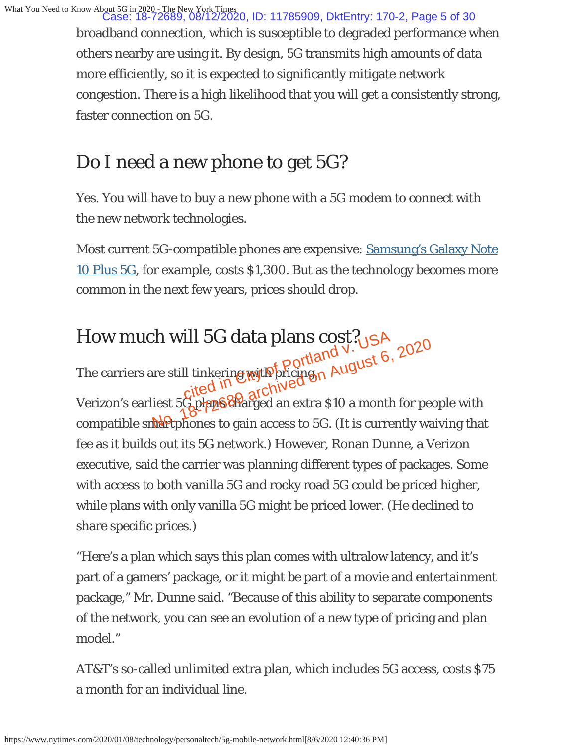broadband connection, which is susceptible to degraded performance when others nearby are using it. By design, 5G transmits high amounts of data more efficiently, so it is expected to significantly mitigate network congestion. There is a high likelihood that you will get a consistently strong, faster connection on 5G.

# Do I need a new phone to get 5G?

Yes. You will have to buy a new phone with a 5G modem to connect with the new network technologies.

Most current 5G-compatible phones are expensive: Samsung's Galaxy Note 10 Plus 5G, for example, costs \$1,300. But as the technology becomes more common in the next few years, prices should drop.

# How much will 5G data plans cost? ill 5G data plans cost?<sub>US</sub>A<br>Il tinkering with pricing a August 6,<br>cited in con archived

The carriers are still tinkering with pricing.

Verizon's earliest 5G plans charged an extra \$10 a month for people with compatible smartphones to gain access to 5G. (It is currently waiving that fee as it builds out its 5G network.) However, Ronan Dunne, a Verizon executive, said the carrier was planning different types of packages. Some with access to both vanilla 5G and rocky road 5G could be priced higher, while plans with only vanilla 5G might be priced lower. (He declined to share specific prices.) The Will Jet data plans  $\cos y \cdot \cos^2 \theta$ <br>
The still tinkering with pricing n August 6, 2020<br>
The still tinkering with pricing n August 6, 2020<br>
The still tinkering with pricing n August 6, 2020<br>
The still tinkering with pric

"Here's a plan which says this plan comes with ultralow latency, and it's part of a gamers' package, or it might be part of a movie and entertainment package," Mr. Dunne said. "Because of this ability to separate components of the network, you can see an evolution of a new type of pricing and plan model."

AT&T's so-called unlimited extra plan, which includes 5G access, costs \$75 a month for an individual line.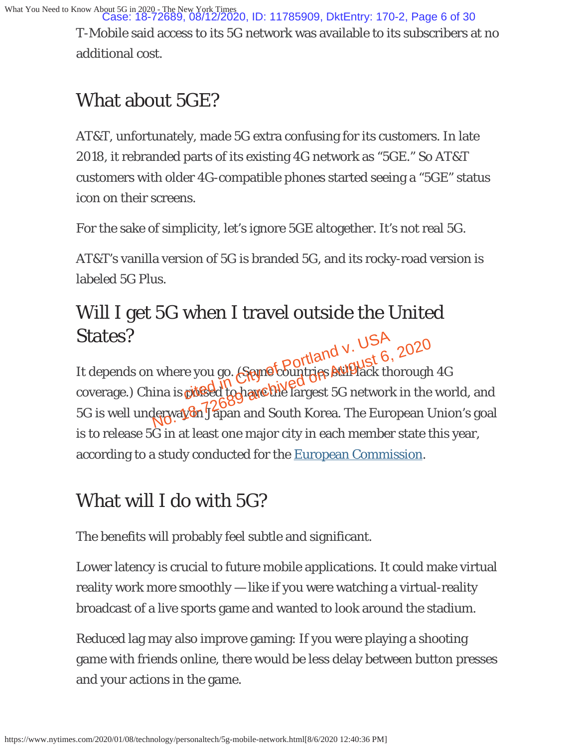What You Need to Know About 5G in 2020 - The New York Times Case: 18-72689, 08/12/2020, ID: 11785909, DktEntry: 170-2, Page 6 of 30

T-Mobile said access to its 5G network was available to its subscribers at no additional cost.

# What about 5GE?

AT&T, unfortunately, made 5G extra confusing for its customers. In late 2018, it rebranded parts of its existing 4G network as "5GE." So AT&T customers with older 4G-compatible phones started seeing a "5GE" status icon on their screens.

For the sake of simplicity, let's ignore 5GE altogether. It's not real 5G.

AT&T's vanilla version of 5G is branded 5G, and its rocky-road version is labeled 5G Plus.

### Will I get 5G when I travel outside the United States?

It depends on where you go. Som<sup>o</sup> countries still lack thorough 4G coverage.) China is posted to have the largest 5G network in the world, and 5G is well underway on Japan and South Korea. The European Union's goal is to release 5G in at least one major city in each member state this year, according to a study conducted for the European Commission. e you go. (Spynet Portland v. USA<br>e you go. (Spynet Countries Bullack the<br>pidsed to have the largest 5G network where you go. (Seynot Contland V. USP, 2020<br>ina is picked to have the largest 5G network in the<br>lerway on Japan and South Korea. The European U

### What will I do with 5G?

The benefits will probably feel subtle and significant.

Lower latency is crucial to future mobile applications. It could make virtual reality work more smoothly — like if you were watching a virtual-reality broadcast of a live sports game and wanted to look around the stadium.

Reduced lag may also improve gaming: If you were playing a shooting game with friends online, there would be less delay between button presses and your actions in the game.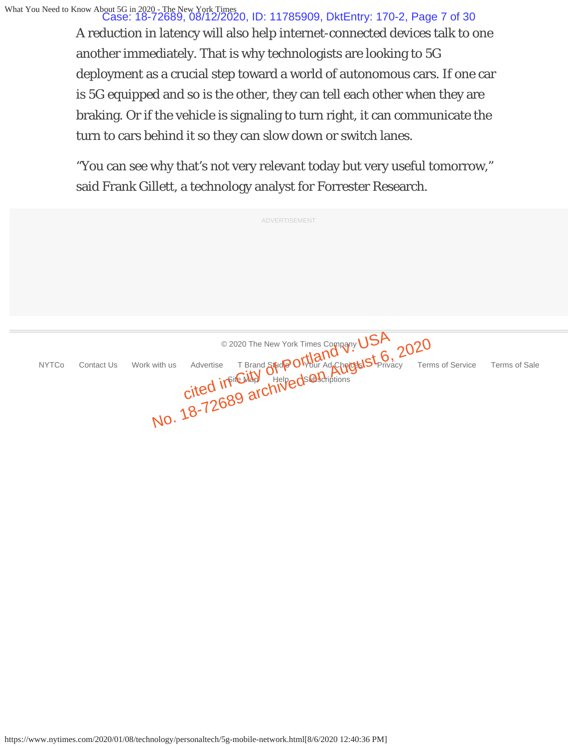What You Need to Know About 5G in 2020 - The New York Times Case: 18-72689, 08/12/2020, ID: 11785909, DktEntry: 170-2, Page 7 of 30

A reduction in latency will also help internet-connected devices talk to one another immediately. That is why technologists are looking to 5G deployment as a crucial step toward a world of autonomous cars. If one car is 5G equipped and so is the other, they can tell each other when they are braking. Or if the vehicle is signaling to turn right, it can communicate the turn to cars behind it so they can slow down or switch lanes.

"You can see why that's not very relevant today but very useful tomorrow," said Frank Gillett, a technology analyst for Forrester Research.

|              | <b>ADVERTISEMENT</b>                                                                                                                                                                                                                                                             |
|--------------|----------------------------------------------------------------------------------------------------------------------------------------------------------------------------------------------------------------------------------------------------------------------------------|
|              |                                                                                                                                                                                                                                                                                  |
|              |                                                                                                                                                                                                                                                                                  |
|              |                                                                                                                                                                                                                                                                                  |
|              |                                                                                                                                                                                                                                                                                  |
| <b>NYTCo</b> | Contact Us Work with us Advertise T Brand Strop Of Hand Company USA 2020<br>Contact Us Work with us Advertise T Brand Strop Of Hand Cheroka Accepted Stranger Terms of Server Company USA 2020<br>Cited in File Way Alelyeds @ Brigh<br><b>Terms of Service</b><br>Terms of Sale |
|              |                                                                                                                                                                                                                                                                                  |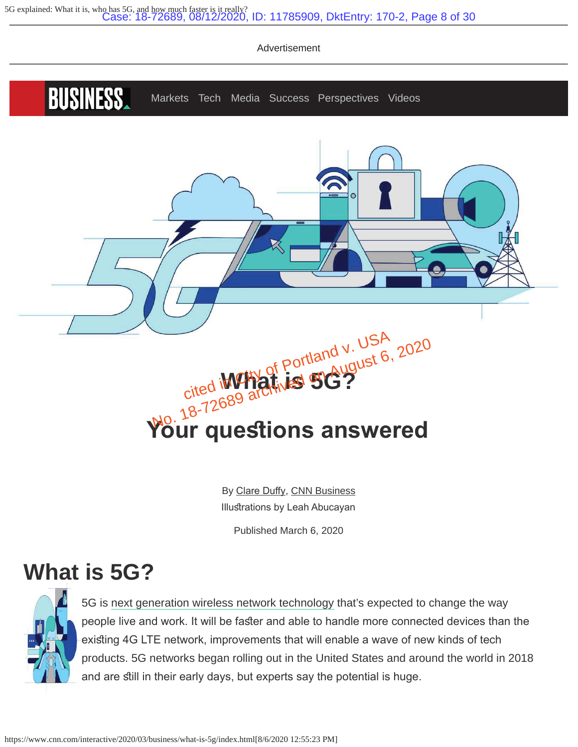

By Clare Duffy, CNN Business Illustrations by Leah Abucayan

Published March 6, 2020

# **What is 5G?**



5G is next generation wireless network technology that's expected to change the way people live and work. It will be faster and able to handle more connected devices than the existing 4G LTE network, improvements that will enable a wave of new kinds of tech products. 5G networks began rolling out in the United States and around the world in 2018 and are still in their early days, but experts say the potential is huge.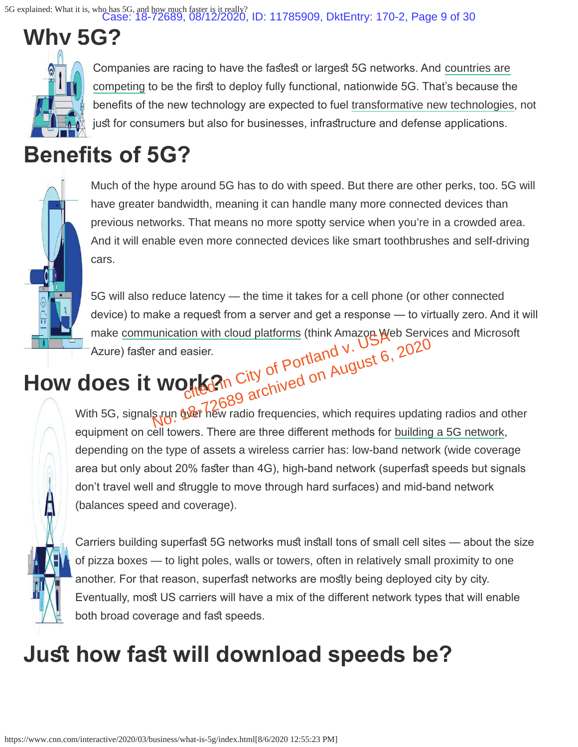5G explained: What it is, who has 5G, and how much faster is it really? Case: 18-72689, 08/12/2020, ID: 11785909, DktEntry: 170-2, Page 9 of 30

**Why 5G?**

Companies are racing to have the fastest or largest 5G networks. And countries are competing to be the first to deploy fully functional, nationwide 5G. That's because the benefits of the new technology are expected to fuel transformative new technologies, not just for consumers but also for businesses, infrastructure and defense applications.

# **Benefits of 5G?**



Much of the hype around 5G has to do with speed. But there are other perks, too. 5G will have greater bandwidth, meaning it can handle many more connected devices than previous networks. That means no more spotty service when you're in a crowded area. And it will enable even more connected devices like smart toothbrushes and self-driving cars.

5G will also reduce latency — the time it takes for a cell phone (or other connected device) to make a request from a server and get a response — to virtually zero. And it will make communication with cloud platforms (think Amazon Web Services and Microsoft Azure) faster and easier. make communication with cloud platforms (think Amazon We<br>Azure) faster and easier.<br> **How does it work?** City of Portland v. USt 6,

With 5G, signals run over hew radio frequencies, which requires updating radios and other equipment on cell towers. There are three different methods for building a 5G network, depending on the type of assets a wireless carrier has: low-band network (wide coverage area but only about 20% faster than 4G), high-band network (superfast speeds but signals don't travel well and struggle to move through hard surfaces) and mid-band network (balances speed and coverage). r and easier.<br>
WOMERAN City of Portland V. USA, 2020<br>
Supplement of References, which requires updating

Carriers building superfast 5G networks must install tons of small cell sites — about the size of pizza boxes — to light poles, walls or towers, often in relatively small proximity to one another. For that reason, superfast networks are mostly being deployed city by city. Eventually, most US carriers will have a mix of the different network types that will enable both broad coverage and fast speeds.

# **Just how fast will download speeds be?**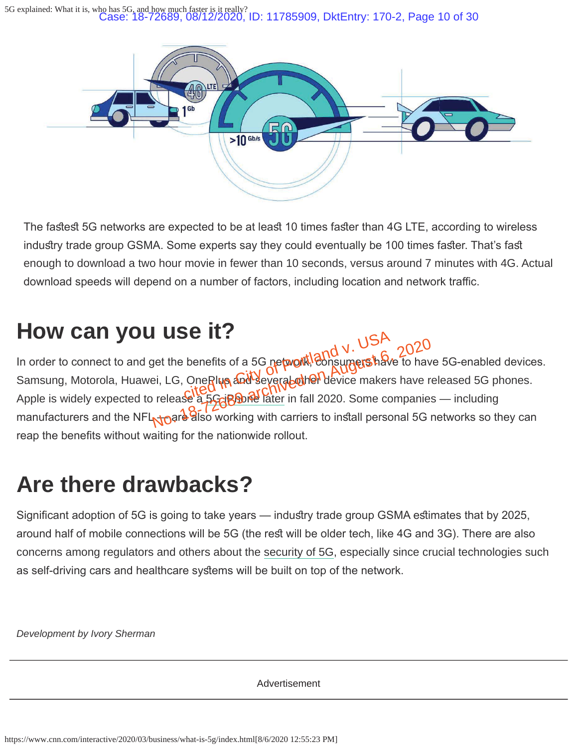5G explained: What it is, who has 5G, and how much faster is it really? Case: 18-72689, 08/12/2020, ID: 11785909, DktEntry: 170-2, Page 10 of 30



The fastest 5G networks are expected to be at least 10 times faster than 4G LTE, according to wireless industry trade group GSMA. Some experts say they could eventually be 100 times faster. That's fast enough to download a two hour movie in fewer than 10 seconds, versus around 7 minutes with 4G. Actual download speeds will depend on a number of factors, including location and network traffic.

# **How can you use it?**

In order to connect to and get the benefits of a 5G network, Consumers have to have 5G-enabled devices. Samsung, Motorola, Huawei, LG, OneRlyn and several other device makers have released 5G phones. Apple is widely expected to release a 5G iPhone later in fall 2020. Some companies — including manufacturers and the NFL<sub>NO</sub>are also working with carriers to install personal 5G networks so they can reap the benefits without waiting for the nationwide rollout. CILE<br>benefits of a 5G network eonsumershave<br>OneRlup and severated the device makers<br>City of City of Poter in fall 2020, Some co et the benefits of a 5G network!<br>Bonsumershave to have it. LG, OneRlyn and Severated her device makers have release a 5G<br>predict of the Chive of the Chivese of the companies<br>Noard also working with carriers to install pers

# **Are there drawbacks?**

Significant adoption of 5G is going to take years — industry trade group GSMA estimates that by 2025, around half of mobile connections will be 5G (the rest will be older tech, like 4G and 3G). There are also concerns among regulators and others about the security of 5G, especially since crucial technologies such as self-driving cars and healthcare systems will be built on top of the network.

*Development by Ivory Sherman*

Advertisement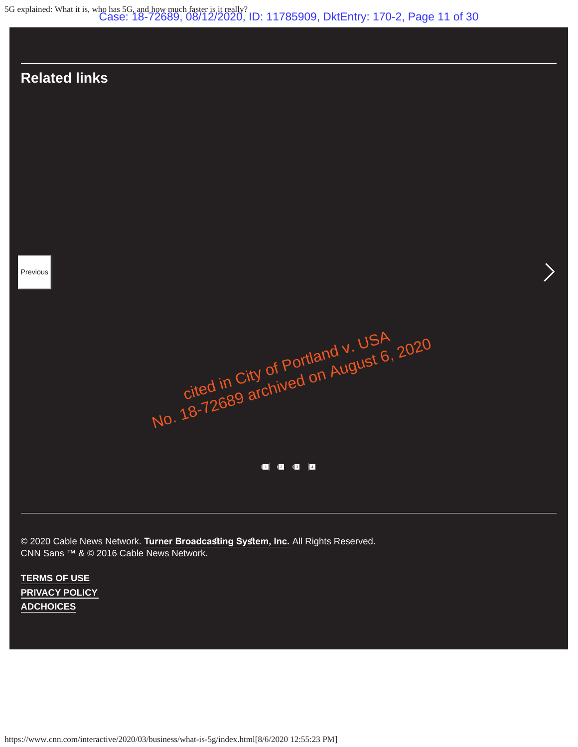5G explained: What it is, who has 5G, and how much faster is it really? Case: 18-72689, 08/12/2020, ID: 11785909, DktEntry: 170-2, Page 11 of 30

### **Related links**

Previous

cited in City of Portland v. USA<br>Cited in City of Portland v. USA Gited in City of Portland V. USP, 2020<br>Cited in City of Portland V. USP, 2020<br>No. 18-72689 archived on August 6, 2020

1 2 3 4

© 2020 Cable News Network. Turner Broadcasting System, Inc. All Rights Reserved. CNN Sans ™ & © 2016 Cable News Network.

**TERMS OF USE PRIVACY POLICY ADCHOICES**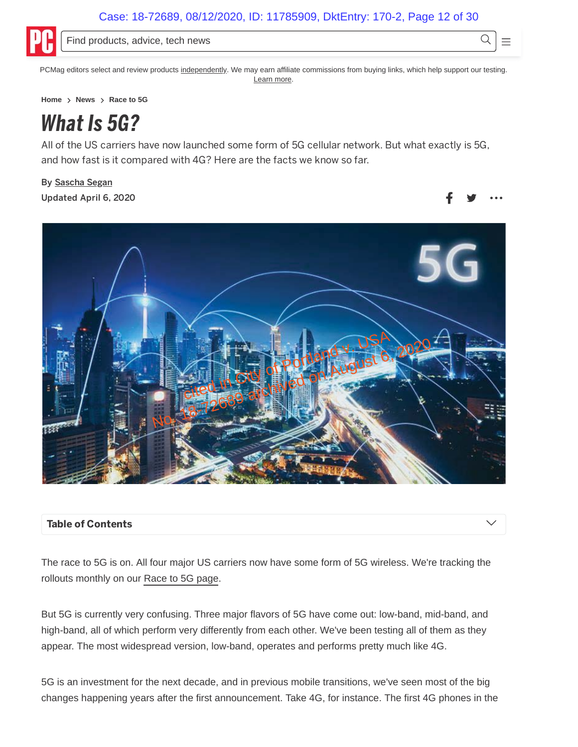Q

Ξ



Find products, advice, tech news

PCMag editors select and review products independently. We may earn affiliate commissions from buying links, which help support our testing. Learn more.

Home > News > Race to 5G

# *What Is 5G?*

All of the US carriers have now launched some form of 5G cellular network. But what exactly is 5G, and how fast is it compared with 4G? Here are the facts we know so far.

By Sascha Segan Updated April 6, 2020



### **Table of Contents**

The race to 5G is on. All four major US carriers now have some form of 5G wireless. We're tracking the rollouts monthly on our Race to 5G page.

But 5G is currently very confusing. Three major flavors of 5G have come out: low-band, mid-band, and high-band, all of which perform very differently from each other. We've been testing all of them as they appear. The most widespread version, low-band, operates and performs pretty much like 4G.

5G is an investment for the next decade, and in previous mobile transitions, we've seen most of the big changes happening years after the first announcement. Take 4G, for instance. The first 4G phones in the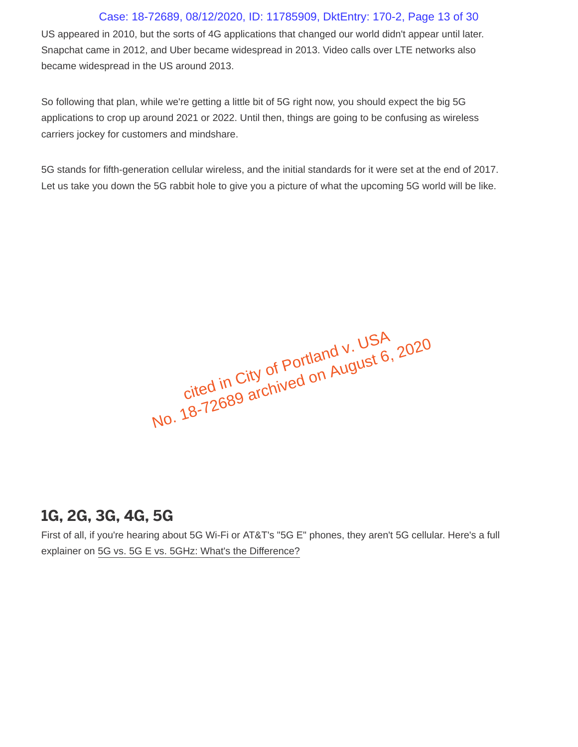### Case: 18-72689, 08/12/2020, ID: 11785909, DktEntry: 170-2, Page 13 of 30

US appeared in 2010, but the sorts of 4G applications that changed our world didn't appear until later. Snapchat came in 2012, and Uber became widespread in 2013. Video calls over LTE networks also became widespread in the US around 2013.

So following that plan, while we're getting a little bit of 5G right now, you should expect the big 5G applications to crop up around 2021 or 2022. Until then, things are going to be confusing as wireless carriers jockey for customers and mindshare.

5G stands for fifth-generation cellular wireless, and the initial standards for it were set at the end of 2017. Let us take you down the 5G rabbit hole to give you a picture of what the upcoming 5G world will be like.

cited in City of Portland v. USA View III Ully ULTUILIANU V. USA<br>Ulleu III Ully ULTUILIANU V. USA<br>No. 18-72689 archived on August 6, 2020

### **1G, 2G, 3G, 4G, 5G**

First of all, if you're hearing about 5G Wi-Fi or AT&T's "5G E" phones, they aren't 5G cellular. Here's a full explainer on 5G vs. 5G E vs. 5GHz: What's the Difference?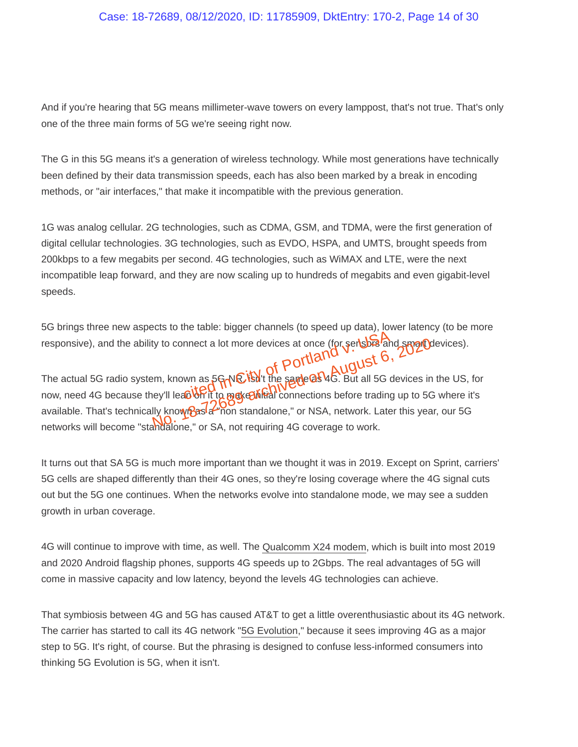#### Case: 18-72689, 08/12/2020, ID: 11785909, DktEntry: 170-2, Page 14 of 30

And if you're hearing that 5G means millimeter-wave towers on every lamppost, that's not true. That's only one of the three main forms of 5G we're seeing right now.

The G in this 5G means it's a generation of wireless technology. While most generations have technically been defined by their data transmission speeds, each has also been marked by a break in encoding methods, or "air interfaces," that make it incompatible with the previous generation.

1G was analog cellular. 2G technologies, such as CDMA, GSM, and TDMA, were the first generation of digital cellular technologies. 3G technologies, such as EVDO, HSPA, and UMTS, brought speeds from 200kbps to a few megabits per second. 4G technologies, such as WiMAX and LTE, were the next incompatible leap forward, and they are now scaling up to hundreds of megabits and even gigabit-level speeds.

5G brings three new aspects to the table: bigger channels (to speed up data), lower latency (to be more responsive), and the ability to connect a lot more devices at once (for sensors and smart devices).<br>  $\therefore$   $\text{portland}$ <br>  $\therefore$   $\text{c.t.}$  6, 2020 devices).

The actual 5G radio system, known as 5GARA isn't the same as 4G. But all 5G devices in the US, for now, need 4G because they'll lean of the make it to mections before trading up to 5G where it's available. That's technically known as a "non standalone," or NSA, network. Later this year, our 5G networks will become "standalone," or SA, not requiring 4G coverage to work. it is the total of the same of the sender of the same of the sender of the same of the sender of the same of the same of the same of the sender of the same of the same of the same of the same of the same of the same of the ty to connect a lot more devices at once (for serisbes and smart)<br>
Im, known as 5G NE is it the same as 4G. But all 5G devices in<br>
The same as 5G NE is it the same as 4G. But all 5G devices in<br>
The same as 200 standalone,"

It turns out that SA 5G is much more important than we thought it was in 2019. Except on Sprint, carriers' 5G cells are shaped differently than their 4G ones, so they're losing coverage where the 4G signal cuts out but the 5G one continues. When the networks evolve into standalone mode, we may see a sudden growth in urban coverage.

4G will continue to improve with time, as well. The Qualcomm X24 modem, which is built into most 2019 and 2020 Android flagship phones, supports 4G speeds up to 2Gbps. The real advantages of 5G will come in massive capacity and low latency, beyond the levels 4G technologies can achieve.

That symbiosis between 4G and 5G has caused AT&T to get a little overenthusiastic about its 4G network. The carrier has started to call its 4G network "5G Evolution," because it sees improving 4G as a major step to 5G. It's right, of course. But the phrasing is designed to confuse less-informed consumers into thinking 5G Evolution is 5G, when it isn't.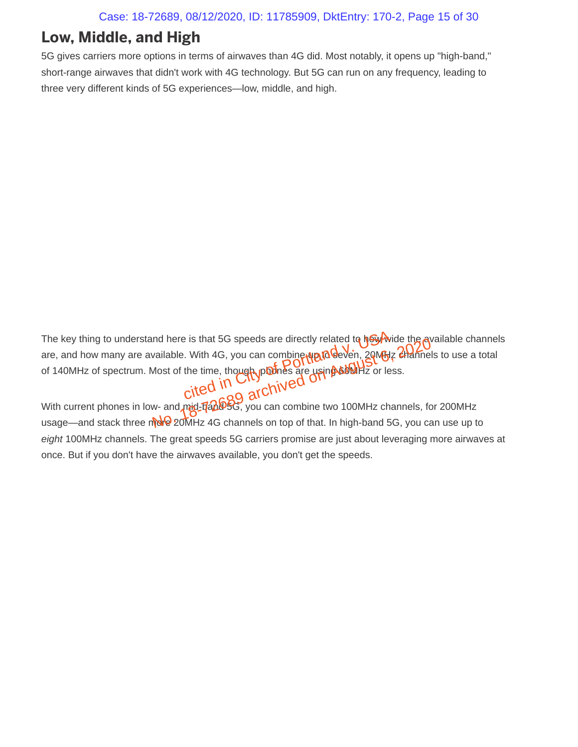### **Low, Middle, and High**

5G gives carriers more options in terms of airwaves than 4G did. Most notably, it opens up "high-band," short-range airwaves that didn't work with 4G technology. But 5G can run on any frequency, leading to three very different kinds of 5G experiences—low, middle, and high.

The key thing to understand here is that 5G speeds are directly related to how wide the available channels are, and how many are available. With 4G, you can combine water of seven, 20MHz channels to use a total of 140MHz of spectrum. Most of the time, though, phones are using 60MHz or less. e is that 5G speeds are directly related to hard with 4G, you can combine was also seen, 2016, 2016, 2016, 2016, 2016, 2016, 2016, 2016, 2016, 2016, 2016, 2016, 2016, 2016, 2016, 2016, 2016, 2016, 2016, 2016, 2016, 2016, 2 No. 18-72689 archived on August 6, 2020

With current phones in low- and mid-**f/ad/95G**, you can combine two 100MHz channels, for 200MHz usage—and stack three more 20MHz 4G channels on top of that. In high-band 5G, you can use up to *eight* 100MHz channels. The great speeds 5G carriers promise are just about leveraging more airwaves at once. But if you don't have the airwaves available, you don't get the speeds.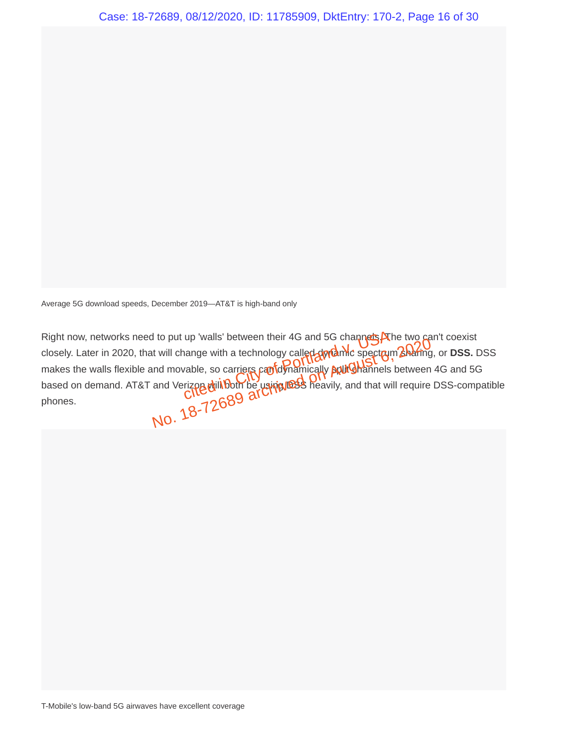Average 5G download speeds, December 2019—AT&T is high-band only

Right now, networks need to put up 'walls' between their 4G and 5G channels. The two can't coexist closely. Later in 2020, that will change with a technology called dynamic spectrum sharing, or **DSS.** DSS makes the walls flexible and movable, so carriers can dynamically **pull Ghannels** between 4G and 5G based on demand. AT&T and Verizon will both be using DSS heavily, and that will require DSS-compatible Right now, networks need to put up 'walls' between their 4G and 5G channels.<br>
closely. Later in 2020, that will change with a technology called ally and the spectrum<br>
makes the walls flexible and movable, so carriers can No. 18-72689<br>No. 18-72689 and Strain Channels between the Hotel of the two Channels contributes with a technology called dividend only spectrum and movable, so carriers can did not principly pull Channels between<br>and Veriz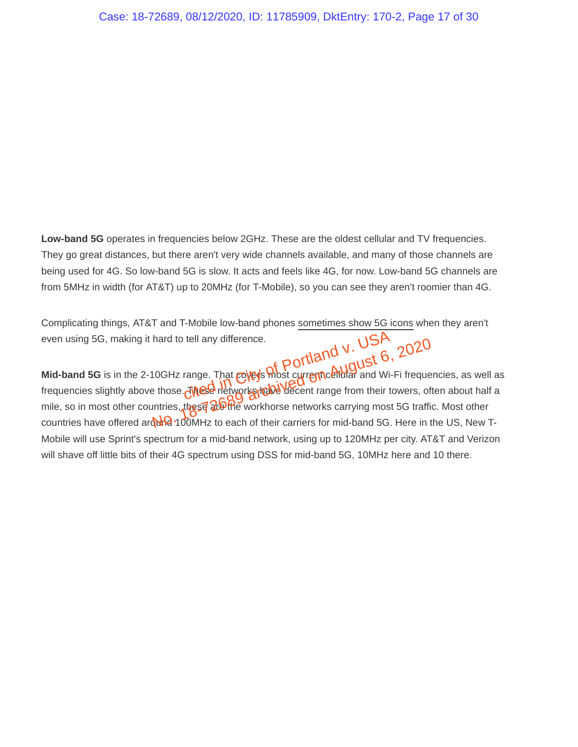**Low-band 5G** operates in frequencies below 2GHz. These are the oldest cellular and TV frequencies. They go great distances, but there aren't very wide channels available, and many of those channels are being used for 4G. So low-band 5G is slow. It acts and feels like 4G, for now. Low-band 5G channels are from 5MHz in width (for AT&T) up to 20MHz (for T-Mobile), so you can see they aren't roomier than 4G.

Complicating things, AT&T and T-Mobile low-band phones sometimes show 5G icons when they aren't even using 5G, making it hard to tell any difference.

**Mid-band 5G** is in the 2-10GHz range. That *c*oveys most current cellular and Wi-Fi frequencies, as well as frequencies slightly above those. These networks have decent range from their towers, often about half a mile, so in most other countries, these are workhorse networks carrying most 5G traffic. Most other countries have offered around 100MHz to each of their carriers for mid-band 5G. Here in the US, New T-Mobile will use Sprint's spectrum for a mid-band network, using up to 120MHz per city. AT&T and Verizon will shave off little bits of their 4G spectrum using DSS for mid-band 5G, 10MHz here and 10 there. tell any difference.<br>
range. That covey's most currence blufar and Wi-<br>
These networks that decent range from their to No. 1957<br>
No. 2020<br>
No. 2020<br>
No. 2020<br>
No. 2020<br>
No. 2020<br>
No. 2020<br>
No. 2020<br>
No. 2020<br>
No. 2020<br>
No. 2020<br>
No. 2020<br>
No. 2020<br>
No. 2020<br>
No. 2020<br>
No. 2020<br>
No. 2020<br>
No. 2020<br>
No. 2020<br>
No. 2020<br>
No. 2020<br>
No. 2020<br>
No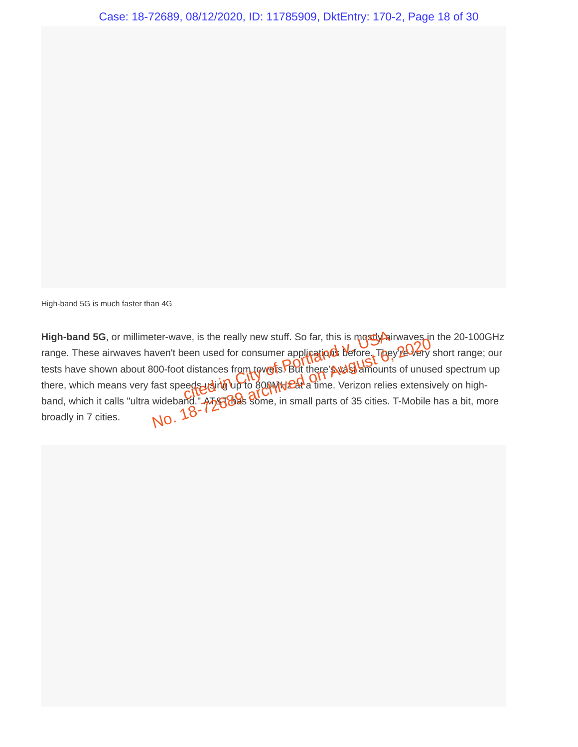High-band 5G is much faster than 4G

High-band 5G, or millimeter-wave, is the really new stuff. So far, this is mostly airwaves in the 20-100GHz range. These airwaves haven't been used for consumer applications before. They're very short range; our tests have shown about 800-foot distances from towers. But there's vast amounts of unused spectrum up there, which means very fast speeds using up to 800MHz&t a time. Verizon relies extensively on highband, which it calls "ultra wideband." ATAT has some, in small parts of 35 cities. T-Mobile has a bit, more broadly in 7 cities. ve, is the really new stuff. So far, this is mostly air<br>een used for consumer appli**cations** defore. They<br>distances from towers? But there swash amounts<br>eds using the 800 MHz at a time. Verizon relies No. 18-72689 are in the start of the start and the start waves in the same weak of the start of the start of the start speeds units in the start of the start of the start speeds units of the start of the start of the start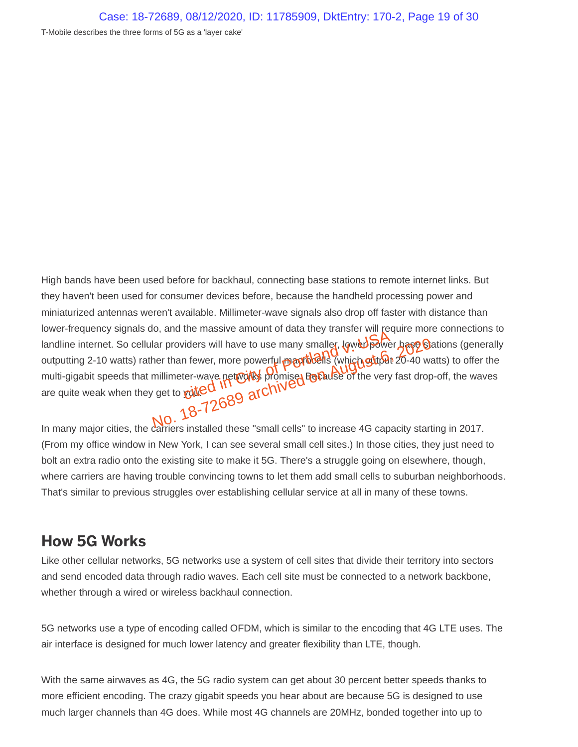T-Mobile describes the three forms of 5G as a 'layer cake'

High bands have been used before for backhaul, connecting base stations to remote internet links. But they haven't been used for consumer devices before, because the handheld processing power and miniaturized antennas weren't available. Millimeter-wave signals also drop off faster with distance than lower-frequency signals do, and the massive amount of data they transfer will require more connections to landline internet. So cellular providers will have to use many smaller, lower-power hase Stations (generally outputting 2-10 watts) rather than fewer, more powerful may be its (which output 20-40 watts) to offer the multi-gigabit speeds that millimeter-wave networks promise. Because of the very fast drop-off, the waves landline internet. So cellular providers will have to use many smaller, lower powerful contputting 2-10 watts) rather than fewer, more powerful providers (which gut pay outputting 2-10 watts) rather than fewer, more powerf In many major cities, the carriers installed these "small cells" to increase 4G capacity starting in 2017. No. 18-72689 archived only smaller, law the particle has a few than fewer, more powerful **magnetically** (which guitar 20-40 with<br>millimeter-wave net works promised allows be of the very fast drop<br>in the total of the contra

(From my office window in New York, I can see several small cell sites.) In those cities, they just need to bolt an extra radio onto the existing site to make it 5G. There's a struggle going on elsewhere, though, where carriers are having trouble convincing towns to let them add small cells to suburban neighborhoods. That's similar to previous struggles over establishing cellular service at all in many of these towns.

### **How 5G Works**

Like other cellular networks, 5G networks use a system of cell sites that divide their territory into sectors and send encoded data through radio waves. Each cell site must be connected to a network backbone, whether through a wired or wireless backhaul connection.

5G networks use a type of encoding called OFDM, which is similar to the encoding that 4G LTE uses. The air interface is designed for much lower latency and greater flexibility than LTE, though.

With the same airwaves as 4G, the 5G radio system can get about 30 percent better speeds thanks to more efficient encoding. The crazy gigabit speeds you hear about are because 5G is designed to use much larger channels than 4G does. While most 4G channels are 20MHz, bonded together into up to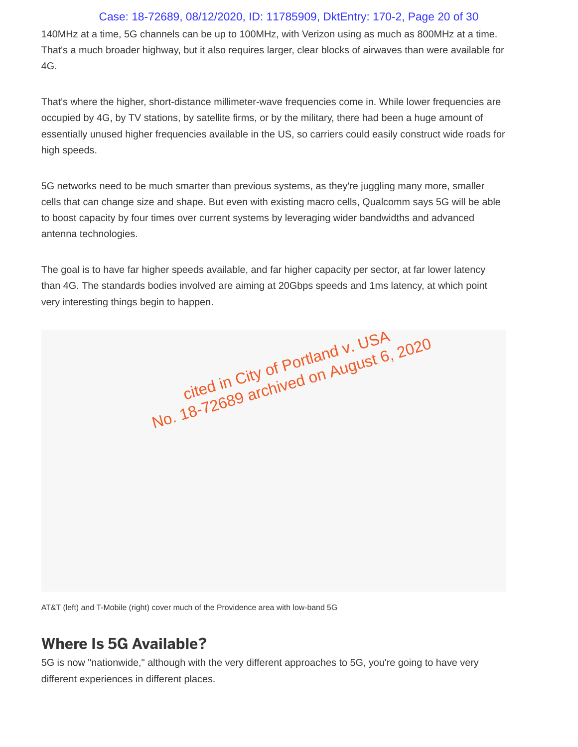### Case: 18-72689, 08/12/2020, ID: 11785909, DktEntry: 170-2, Page 20 of 30

140MHz at a time, 5G channels can be up to 100MHz, with Verizon using as much as 800MHz at a time. That's a much broader highway, but it also requires larger, clear blocks of airwaves than were available for 4G.

That's where the higher, short-distance millimeter-wave frequencies come in. While lower frequencies are occupied by 4G, by TV stations, by satellite firms, or by the military, there had been a huge amount of essentially unused higher frequencies available in the US, so carriers could easily construct wide roads for high speeds.

5G networks need to be much smarter than previous systems, as they're juggling many more, smaller cells that can change size and shape. But even with existing macro cells, Qualcomm says 5G will be able to boost capacity by four times over current systems by leveraging wider bandwidths and advanced antenna technologies.

The goal is to have far higher speeds available, and far higher capacity per sector, at far lower latency than 4G. The standards bodies involved are aiming at 20Gbps speeds and 1ms latency, at which point very interesting things begin to happen.

cited in City of Portland v. USA<br>cited in City of Portland v. USA cited in City of Portland V. USP, 2020<br>cited in City of Portland V. USP, 2020<br>No. 18-72689 archived on August 6, 2020

AT&T (left) and T-Mobile (right) cover much of the Providence area with low-band 5G

### **Where Is 5G Available?**

5G is now "nationwide," although with the very different approaches to 5G, you're going to have very different experiences in different places.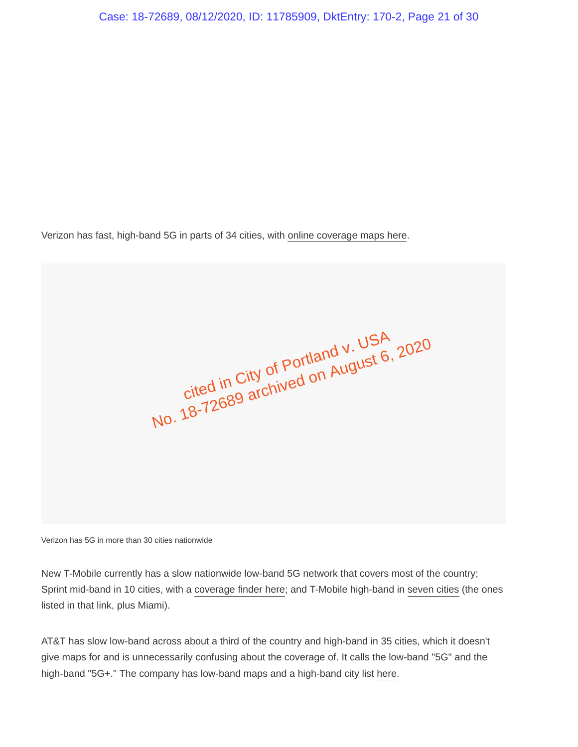Verizon has fast, high-band 5G in parts of 34 cities, with online coverage maps here.

cited in City of Portland v. USA<br>cited in City of Portland v. USA cited in City of Portland V. USP, 2020<br>cited in City of Portland V. USP, 2020<br>No. 18-72689 archived on August 6, 2020

Verizon has 5G in more than 30 cities nationwide

New T-Mobile currently has a slow nationwide low-band 5G network that covers most of the country; Sprint mid-band in 10 cities, with a coverage finder here; and T-Mobile high-band in seven cities (the ones listed in that link, plus Miami).

AT&T has slow low-band across about a third of the country and high-band in 35 cities, which it doesn't give maps for and is unnecessarily confusing about the coverage of. It calls the low-band "5G" and the high-band "5G+." The company has low-band maps and a high-band city list here.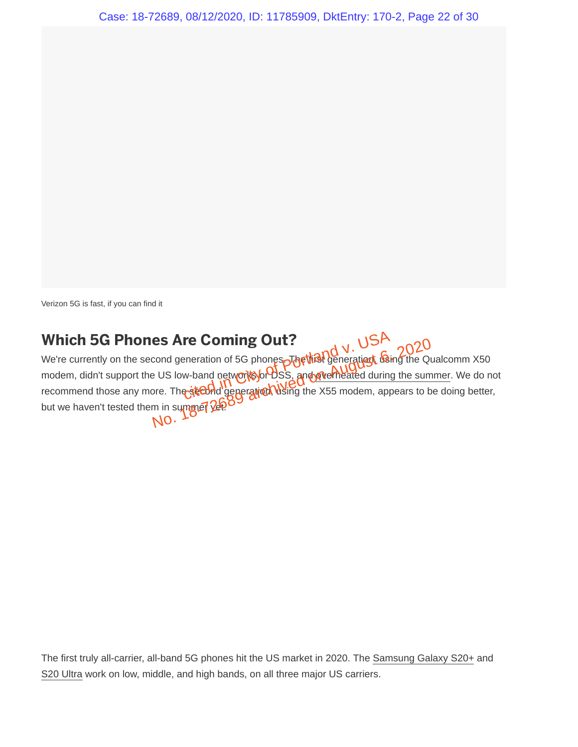Verizon 5G is fast, if you can find it

### **Which 5G Phones Are Coming Out?**

We're currently on the second generation of 5G phones. The the generation, using the Qualcomm X50 modem, didn't support the US low-band networks or DSS, and we theated during the summer. We do not recommend those any more. The second generation, using the X55 modem, appears to be doing better, but we haven't tested them in summer yet. re Coming Out?<br>
Explores The that Conception City of Portland<br>
w-band networks of Posts, and Werkelated during<br>
the Cond generation Using the X55 modem, app es Are Coming Out?<br>
Cond generation of 5G phones The thist generaties the Quadration of 5G phones The thist generaties the Quadration<br>
Dis low-band networks of DSS, and given the star one.<br>
The steady generation when the X

The first truly all-carrier, all-band 5G phones hit the US market in 2020. The Samsung Galaxy S20+ and S20 Ultra work on low, middle, and high bands, on all three major US carriers.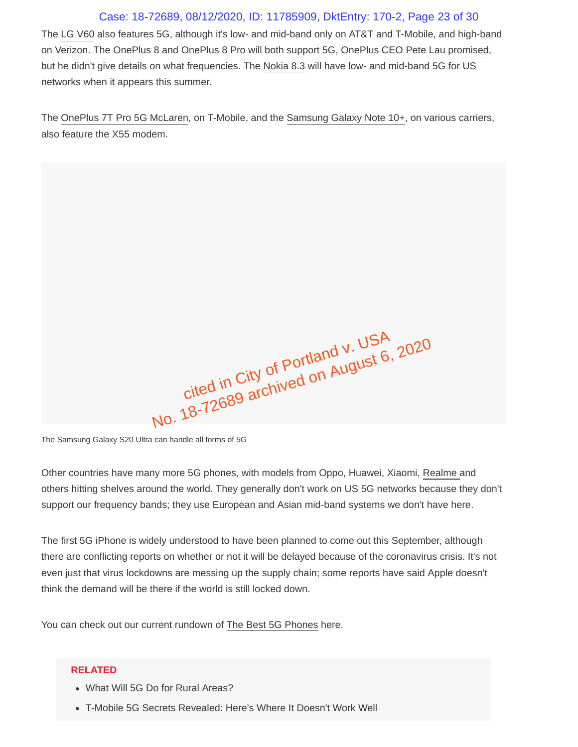### Case: 18-72689, 08/12/2020, ID: 11785909, DktEntry: 170-2, Page 23 of 30

The LG V60 also features 5G, although it's low- and mid-band only on AT&T and T-Mobile, and high-band on Verizon. The OnePlus 8 and OnePlus 8 Pro will both support 5G, OnePlus CEO Pete Lau promised, but he didn't give details on what frequencies. The Nokia 8.3 will have low- and mid-band 5G for US networks when it appears this summer.

The OnePlus 7T Pro 5G McLaren, on T-Mobile, and the Samsung Galaxy Note 10+, on various carriers, also feature the X55 modem.

cited in City of Portland v. USA No. 18-72689 archived on August 6, 2020

The Samsung Galaxy S20 Ultra can handle all forms of 5G

Other countries have many more 5G phones, with models from Oppo, Huawei, Xiaomi, Realme and others hitting shelves around the world. They generally don't work on US 5G networks because they don't support our frequency bands; they use European and Asian mid-band systems we don't have here.

The first 5G iPhone is widely understood to have been planned to come out this September, although there are conflicting reports on whether or not it will be delayed because of the coronavirus crisis. It's not even just that virus lockdowns are messing up the supply chain; some reports have said Apple doesn't think the demand will be there if the world is still locked down.

You can check out our current rundown of The Best 5G Phones here.

#### **RELATED**

- What Will 5G Do for Rural Areas?
- T-Mobile 5G Secrets Revealed: Here's Where It Doesn't Work Well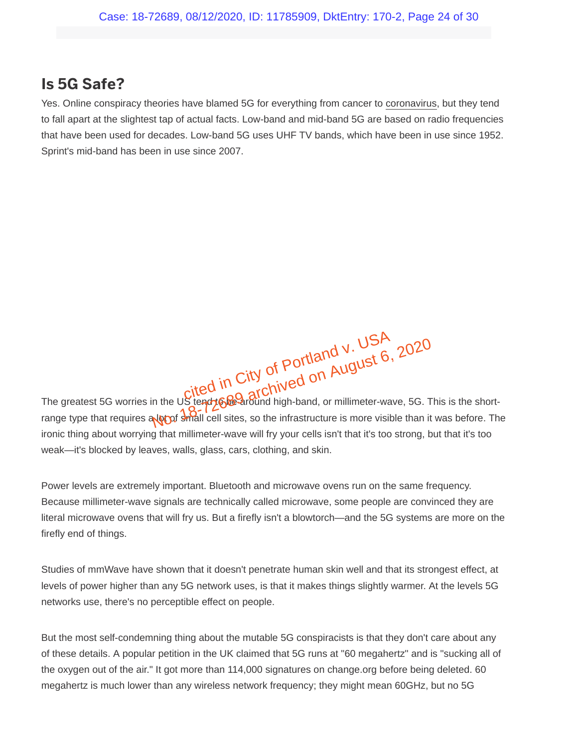### **Is 5G Safe?**

Yes. Online conspiracy theories have blamed 5G for everything from cancer to coronavirus, but they tend to fall apart at the slightest tap of actual facts. Low-band and mid-band 5G are based on radio frequencies that have been used for decades. Low-band 5G uses UHF TV bands, which have been in use since 1952. Sprint's mid-band has been in use since 2007.

The greatest 5G worries in the US tend to be archived on August 6, 2020<br>The greatest 5G worries in the US tend to be around high-band, or millimeter-wave, 5G. This is the shortred in City of Portland V. USP, 2020<br>In the Ustendt Great Chived on August 6, 2020<br>Not shall cell sites, so the infrastructure is more visible than it

range type that requires a lot of small cell sites, so the infrastructure is more visible than it was before. The ironic thing about worrying that millimeter-wave will fry your cells isn't that it's too strong, but that it's too weak—it's blocked by leaves, walls, glass, cars, clothing, and skin.

Power levels are extremely important. Bluetooth and microwave ovens run on the same frequency. Because millimeter-wave signals are technically called microwave, some people are convinced they are literal microwave ovens that will fry us. But a firefly isn't a blowtorch—and the 5G systems are more on the firefly end of things.

Studies of mmWave have shown that it doesn't penetrate human skin well and that its strongest effect, at levels of power higher than any 5G network uses, is that it makes things slightly warmer. At the levels 5G networks use, there's no perceptible effect on people.

But the most self-condemning thing about the mutable 5G conspiracists is that they don't care about any of these details. A popular petition in the UK claimed that 5G runs at "60 megahertz" and is "sucking all of the oxygen out of the air." It got more than 114,000 signatures on change.org before being deleted. 60 megahertz is much lower than any wireless network frequency; they might mean 60GHz, but no 5G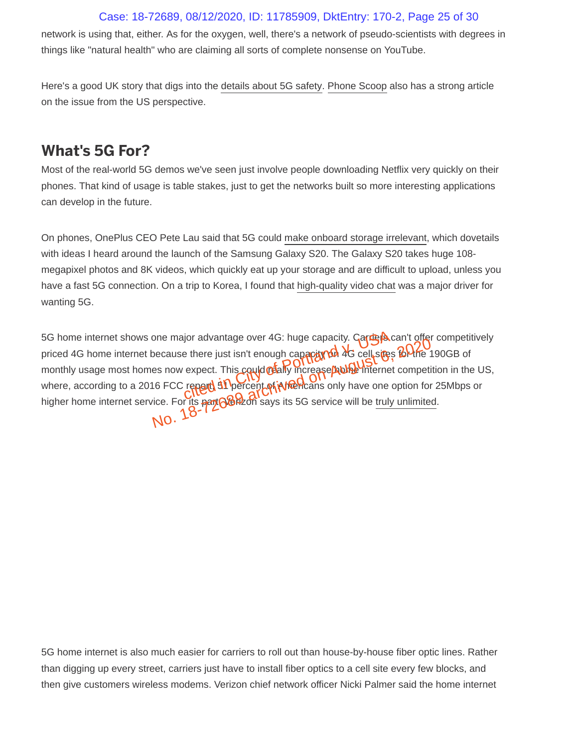### Case: 18-72689, 08/12/2020, ID: 11785909, DktEntry: 170-2, Page 25 of 30

network is using that, either. As for the oxygen, well, there's a network of pseudo-scientists with degrees in things like "natural health" who are claiming all sorts of complete nonsense on YouTube.

Here's a good UK story that digs into the details about 5G safety. Phone Scoop also has a strong article on the issue from the US perspective.

### **What's 5G For?**

Most of the real-world 5G demos we've seen just involve people downloading Netflix very quickly on their phones. That kind of usage is table stakes, just to get the networks built so more interesting applications can develop in the future.

On phones, OnePlus CEO Pete Lau said that 5G could make onboard storage irrelevant, which dovetails with ideas I heard around the launch of the Samsung Galaxy S20. The Galaxy S20 takes huge 108 megapixel photos and 8K videos, which quickly eat up your storage and are difficult to upload, unless you have a fast 5G connection. On a trip to Korea, I found that high-quality video chat was a major driver for wanting 5G.

5G home internet shows one major advantage over 4G: huge capacity. Garrego can't offer competitively priced 4G home internet because there just isn't enough capacity on 4G cell sites for the 190GB of monthly usage most homes now expect. This could really increase holes internet competition in the US, where, according to a 2016 FCC report 31 percent of Americans only have one option for 25Mbps or higher home internet service. For its **part Nort**zon says its 5G service will be truly unlimited. ior advantage over 4G: huge capacity. Cancer and the street of the portland v. Capacity of the cell street expect. This could relate the increase problem thermet<br>repert of Portland v. USA of the cell street expect. This co She major advantage over 40. https://www.com/she major advantage over 40. https://www.com/she cell sites to the<br>es now expect. This could mailly increase/hubber internet competitions on the FCC repart of Percent of interne

5G home internet is also much easier for carriers to roll out than house-by-house fiber optic lines. Rather than digging up every street, carriers just have to install fiber optics to a cell site every few blocks, and then give customers wireless modems. Verizon chief network officer Nicki Palmer said the home internet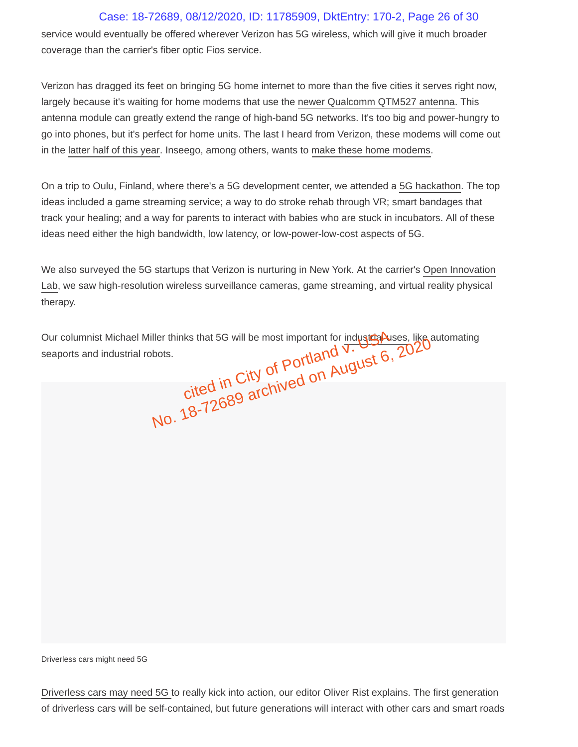### Case: 18-72689, 08/12/2020, ID: 11785909, DktEntry: 170-2, Page 26 of 30

service would eventually be offered wherever Verizon has 5G wireless, which will give it much broader coverage than the carrier's fiber optic Fios service.

Verizon has dragged its feet on bringing 5G home internet to more than the five cities it serves right now, largely because it's waiting for home modems that use the newer Qualcomm QTM527 antenna. This antenna module can greatly extend the range of high-band 5G networks. It's too big and power-hungry to go into phones, but it's perfect for home units. The last I heard from Verizon, these modems will come out in the latter half of this year. Inseego, among others, wants to make these home modems.

On a trip to Oulu, Finland, where there's a 5G development center, we attended a 5G hackathon. The top ideas included a game streaming service; a way to do stroke rehab through VR; smart bandages that track your healing; and a way for parents to interact with babies who are stuck in incubators. All of these ideas need either the high bandwidth, low latency, or low-power-low-cost aspects of 5G.

We also surveyed the 5G startups that Verizon is nurturing in New York. At the carrier's Open Innovation Lab, we saw high-resolution wireless surveillance cameras, game streaming, and virtual reality physical therapy.

Our columnist Michael Miller thinks that 5G will be most important for industrial poses, like automating<br>seaports and industrial robots.<br> $\frac{1}{2}$  of POITIAND  $\frac{1}{2}$  on AUGUST 6, 2020 seaports and industrial robots. ks that 5G will be most important for industry  $\frac{1}{\sqrt{2}}$ <br>cited in City of Portland V.<br>cited in City of Portland V. No. 18-72689 archived on August 6, 2020<br>No. 18-72689 archived on August 6, 2020

Driverless cars might need 5G

Driverless cars may need 5G to really kick into action, our editor Oliver Rist explains. The first generation of driverless cars will be self-contained, but future generations will interact with other cars and smart roads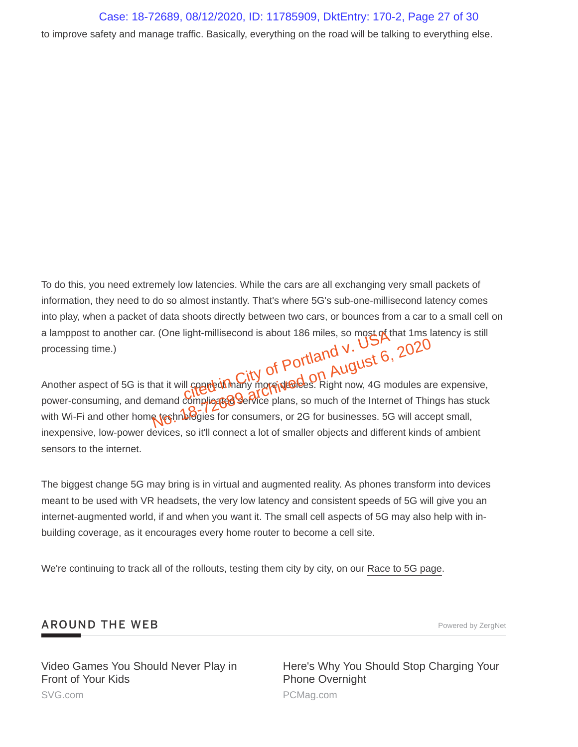To do this, you need extremely low latencies. While the cars are all exchanging very small packets of information, they need to do so almost instantly. That's where 5G's sub-one-millisecond latency comes into play, when a packet of data shoots directly between two cars, or bounces from a car to a small cell on a lamppost to another car. (One light-millisecond is about 186 miles, so most of that 1ms latency is still<br>processing time.)<br>Another aspect of FOLD on the property of  $Portland V$ .<br>Another aspect of FOLD on the property of FOLD processing time.) light-millisecond is about 186 miles, so most of the<br>city of Portland v.<br>Il couple in City of Portland v.<br>City of Portland v. August 6,

Another aspect of 5G is that it will connect many more devices. Right now, 4G modules are expensive, power-consuming, and demand complicated service plans, so much of the Internet of Things has stuck with Wi-Fi and other home test nologies for consumers, or 2G for businesses. 5G will accept small, inexpensive, low-power devices, so it'll connect a lot of smaller objects and different kinds of ambient sensors to the internet. No. 1857, 2020<br>No. 2020<br>No. 2020<br>August 6, 2020<br>Anat it will complicated on August 6, 2020<br>Anat it will complicated on Microphenesies. Right now, 4G modules are<br>Right to Complicated Service plans, so much of the Internet o

The biggest change 5G may bring is in virtual and augmented reality. As phones transform into devices meant to be used with VR headsets, the very low latency and consistent speeds of 5G will give you an internet-augmented world, if and when you want it. The small cell aspects of 5G may also help with inbuilding coverage, as it encourages every home router to become a cell site.

We're continuing to track all of the rollouts, testing them city by city, on our Race to 5G page.

#### **AROUND THE WEB Powered by ZergNet**

Video Games You Should Never Play in Front of Your Kids SVG.com

Here's Why You Should Stop Charging Your Phone Overnight PCMag.com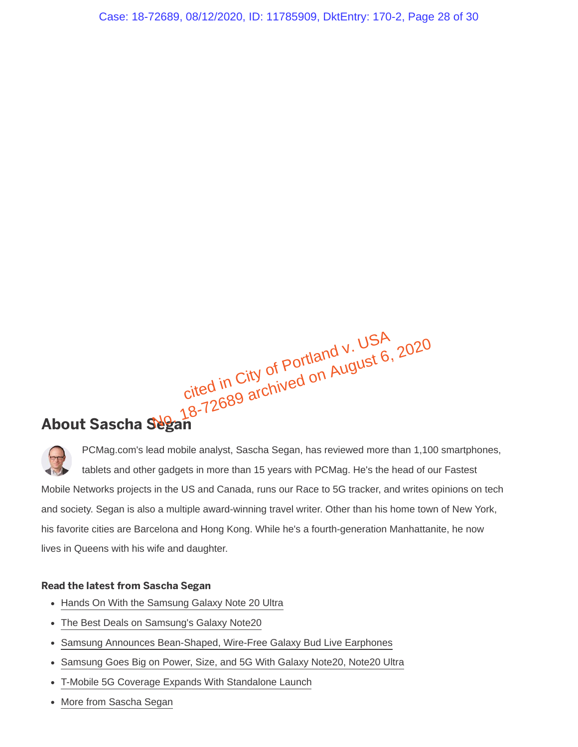Case: 18-72689, 08/12/2020, ID: 11785909, DktEntry: 170-2, Page 28 of 30

cited in City of Portland v. USA<br>cited in City of Portland v. USA cited in City of Portland v. USP, 2020<br>cited in City of Portland v. USP, 2020<br>Neean

# **About Sascha Segan**

PCMag.com's lead mobile analyst, Sascha Segan, has reviewed more than 1,100 smartphones, tablets and other gadgets in more than 15 years with PCMag. He's the head of our Fastest Mobile Networks projects in the US and Canada, runs our Race to 5G tracker, and writes opinions on tech and society. Segan is also a multiple award-winning travel writer. Other than his home town of New York, his favorite cities are Barcelona and Hong Kong. While he's a fourth-generation Manhattanite, he now lives in Queens with his wife and daughter.

#### **Read the latest from Sascha Segan**

- Hands On With the Samsung Galaxy Note 20 Ultra
- The Best Deals on Samsung's Galaxy Note20
- Samsung Announces Bean-Shaped, Wire-Free Galaxy Bud Live Earphones  $\bullet$
- Samsung Goes Big on Power, Size, and 5G With Galaxy Note20, Note20 Ultra  $\bullet$
- T-Mobile 5G Coverage Expands With Standalone Launch  $\bullet$
- More from Sascha Segan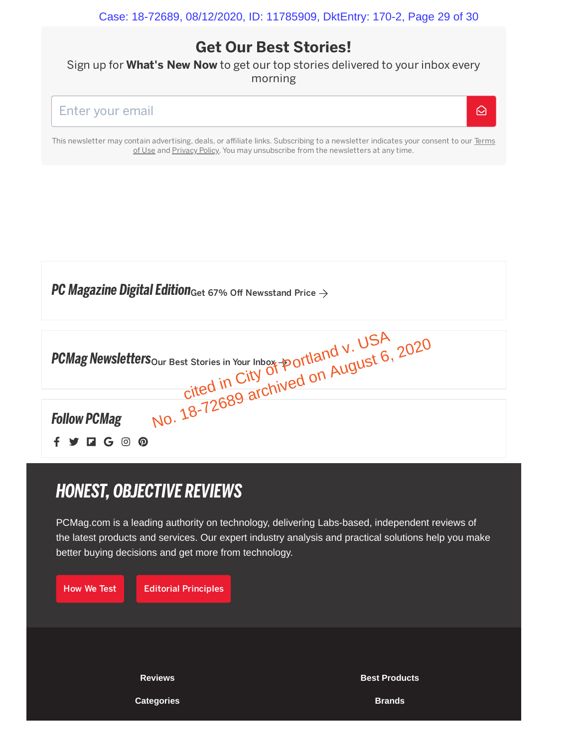$\Omega$ 

## **Get Our Best Stories!**

Sign up for **What's New Now** to get our top stories delivered to your inbox every morning



This newsletter may contain advertising, deals, or affiliate links. Subscribing to a newsletter indicates your consent to our Terms of Use and Privacy Policy. You may unsubscribe from the newsletters at any time.

| <b>PC Magazine Digital Edition</b> Get 67% Off Newsstand Price $\rightarrow$                                                                                         |
|----------------------------------------------------------------------------------------------------------------------------------------------------------------------|
| PCMag Newsletters <sub>our Best</sub> stories in Your Inbox-portland V. USA<br>cited in City of portland V. USA<br>Vow PCMag No. 18-72689 archived on August 6, 2020 |
| ര<br>$\Box G$ $\odot$                                                                                                                                                |

# *HONEST, OBJECTIVE REVIEWS*

PCMag.com is a leading authority on technology, delivering Labs-based, independent reviews of the latest products and services. Our expert industry analysis and practical solutions help you make better buying decisions and get more from technology.

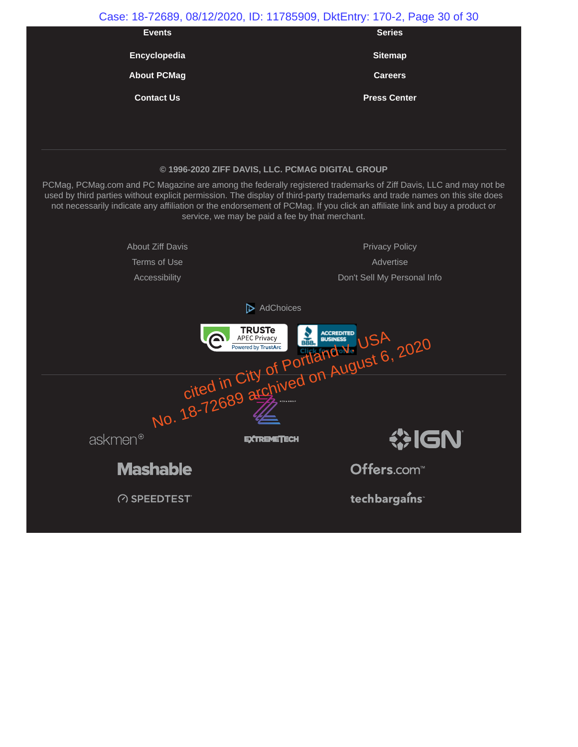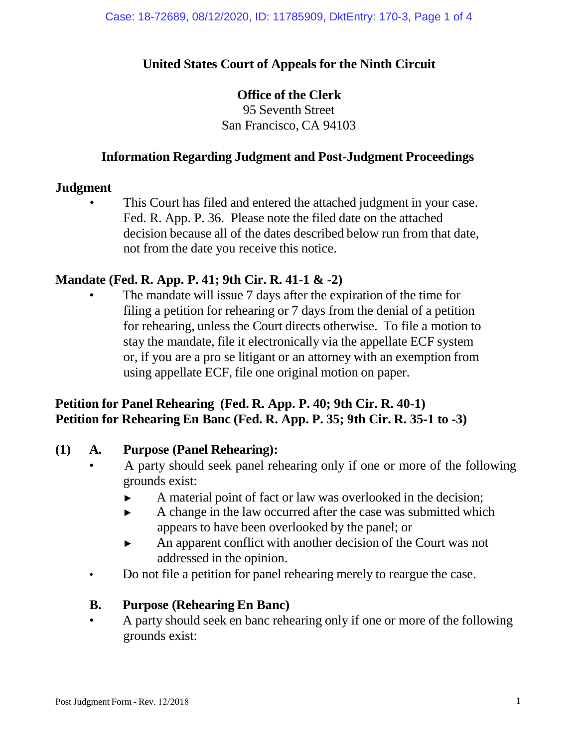## **United States Court of Appeals for the Ninth Circuit**

#### **Office of the Clerk**

95 Seventh Street San Francisco, CA 94103

#### **Information Regarding Judgment and Post-Judgment Proceedings**

#### **Judgment**

This Court has filed and entered the attached judgment in your case. Fed. R. App. P. 36. Please note the filed date on the attached decision because all of the dates described below run from that date, not from the date you receive this notice.

### **Mandate (Fed. R. App. P. 41; 9th Cir. R. 41-1 & -2)**

The mandate will issue 7 days after the expiration of the time for filing a petition for rehearing or 7 days from the denial of a petition for rehearing, unless the Court directs otherwise. To file a motion to stay the mandate, file it electronically via the appellate ECF system or, if you are a pro se litigant or an attorney with an exemption from using appellate ECF, file one original motion on paper.

## **Petition for Panel Rehearing (Fed. R. App. P. 40; 9th Cir. R. 40-1) Petition for Rehearing En Banc (Fed. R. App. P. 35; 9th Cir. R. 35-1 to -3)**

#### **(1) A. Purpose (Panel Rehearing):**

- A party should seek panel rehearing only if one or more of the following grounds exist:
	- ► A material point of fact or law was overlooked in the decision;
	- ► A change in the law occurred after the case was submitted which appears to have been overlooked by the panel; or
	- ► An apparent conflict with another decision of the Court was not addressed in the opinion.
- Do not file a petition for panel rehearing merely to reargue the case.

#### **B. Purpose (Rehearing En Banc)**

• A party should seek en banc rehearing only if one or more of the following grounds exist: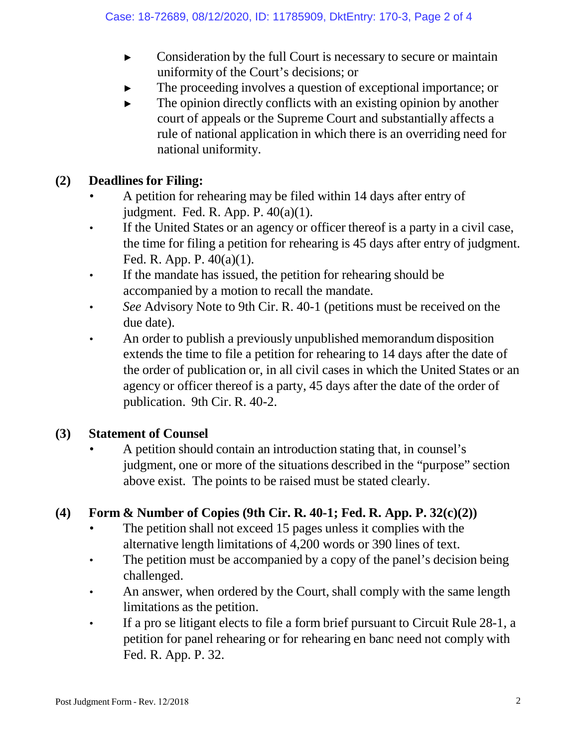- ► Consideration by the full Court is necessary to secure or maintain uniformity of the Court's decisions; or
- The proceeding involves a question of exceptional importance; or
- $\blacktriangleright$  The opinion directly conflicts with an existing opinion by another court of appeals or the Supreme Court and substantially affects a rule of national application in which there is an overriding need for national uniformity.

## **(2) Deadlines for Filing:**

- A petition for rehearing may be filed within 14 days after entry of judgment. Fed. R. App. P. 40(a)(1).
- If the United States or an agency or officer thereof is a party in a civil case, the time for filing a petition for rehearing is 45 days after entry of judgment. Fed. R. App. P. 40(a)(1).
- If the mandate has issued, the petition for rehearing should be accompanied by a motion to recall the mandate.
- *See* Advisory Note to 9th Cir. R. 40-1 (petitions must be received on the due date).
- An order to publish a previously unpublished memorandum disposition extends the time to file a petition for rehearing to 14 days after the date of the order of publication or, in all civil cases in which the United States or an agency or officer thereof is a party, 45 days after the date of the order of publication. 9th Cir. R. 40-2.

### **(3) Statement of Counsel**

• A petition should contain an introduction stating that, in counsel's judgment, one or more of the situations described in the "purpose" section above exist. The points to be raised must be stated clearly.

## **(4) Form & Number of Copies (9th Cir. R. 40-1; Fed. R. App. P. 32(c)(2))**

- The petition shall not exceed 15 pages unless it complies with the alternative length limitations of 4,200 words or 390 lines of text.
- The petition must be accompanied by a copy of the panel's decision being challenged.
- An answer, when ordered by the Court, shall comply with the same length limitations as the petition.
- If a pro se litigant elects to file a form brief pursuant to Circuit Rule 28-1, a petition for panel rehearing or for rehearing en banc need not comply with Fed. R. App. P. 32.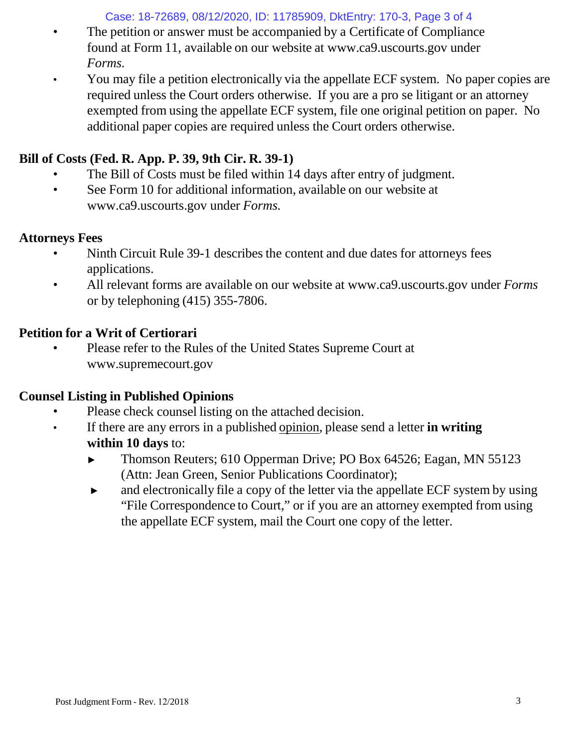Case: 18-72689, 08/12/2020, ID: 11785909, DktEntry: 170-3, Page 3 of 4

- The petition or answer must be accompanied by a Certificate of Compliance found at Form 11, available on our website [at www.ca9.uscourts.gov](http://www.ca9.uscourts.gov/) under *Forms.*
- You may file a petition electronically via the appellate ECF system. No paper copies are required unless the Court orders otherwise. If you are a pro se litigant or an attorney exempted from using the appellate ECF system, file one original petition on paper. No additional paper copies are required unless the Court orders otherwise.

## **Bill of Costs (Fed. R. App. P. 39, 9th Cir. R. 39-1)**

- The Bill of Costs must be filed within 14 days after entry of judgment.
- See Form 10 for addi[t](http://www.ca9.uscourts.gov/)ional information, available on our website at [www.ca9.uscourts.gov](http://www.ca9.uscourts.gov/) under *Forms.*

## **Attorneys Fees**

- Ninth Circuit Rule 39-1 describes the content and due dates for attorneys fees applications.
- All relevant forms are available on our website at [www.ca9.uscourts.gov](http://www.ca9.uscourts.gov/) under *Forms* or by telephoning (415) 355-7806.

## **Petition for a Writ of Certiorari**

• Please refer to the Rules of the United States Supreme Court a[t](http://www.supremecourt.gov/) [www.supremecourt.gov](http://www.supremecourt.gov/)

## **Counsel Listing in Published Opinions**

- Please check counsel listing on the attached decision.
- If there are any errors in a published opinion, please send a letter **in writing within 10 days** to:
	- ► Thomson Reuters; 610 Opperman Drive; PO Box 64526; Eagan, MN 55123 (Attn: Jean Green, Senior Publications Coordinator);
	- ► and electronically file a copy of the letter via the appellate ECF system by using "File Correspondence to Court," or if you are an attorney exempted from using the appellate ECF system, mail the Court one copy of the letter.